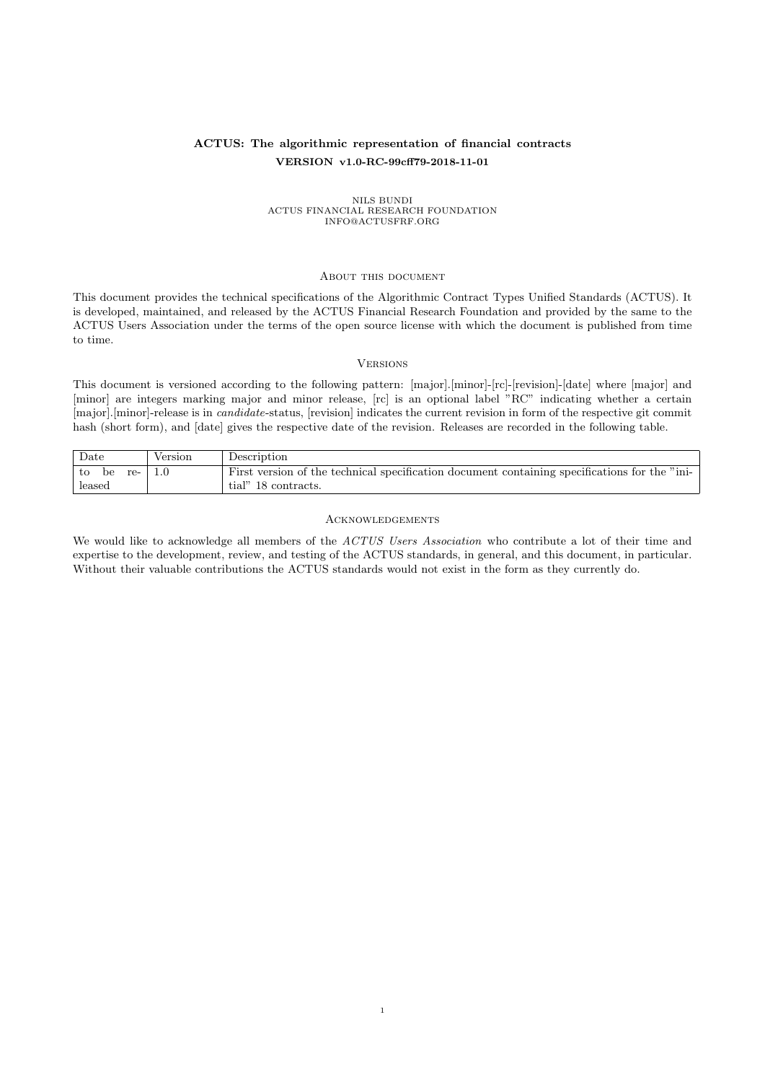## ACTUS: The algorithmic representation of financial contracts VERSION v1.0-RC-99cff79-2018-11-01

# NILS BUNDI<br>ACTUS FINANCIAL RESEARCH FOUNDATION<br>INFO@ACTUSFRF.ORG

#### <span id="page-0-0"></span>About this document

This document provides the technical specifications of the Algorithmic Contract Types Unified Standards (ACTUS). It is developed, maintained, and released by the ACTUS Financial Research Foundation and provided by the same to the ACTUS Users Association under the terms of the open source license with which the document is published from time to time.

#### <span id="page-0-1"></span>**VERSIONS**

This document is versioned according to the following pattern: [major].[minor]-[rc]-[revision]-[date] where [major] and [minor] are integers marking major and minor release, [rc] is an optional label "RC" indicating whether a certain [major].[minor]-release is in *candidate*-status, [revision] indicates the current revision in form of the respective git commit hash (short form), and [date] gives the respective date of the revision. Releases are recorded in the following table.

| Date              | Version | Description                                                                                   |
|-------------------|---------|-----------------------------------------------------------------------------------------------|
| l to<br>re-<br>be |         | First version of the technical specification document containing specifications for the "ini- |
| leased            |         | tial" 18 contracts.                                                                           |

#### <span id="page-0-2"></span>Acknowledgements

We would like to acknowledge all members of the ACTUS Users Association who contribute a lot of their time and expertise to the development, review, and testing of the ACTUS standards, in general, and this document, in particular. Without their valuable contributions the ACTUS standards would not exist in the form as they currently do.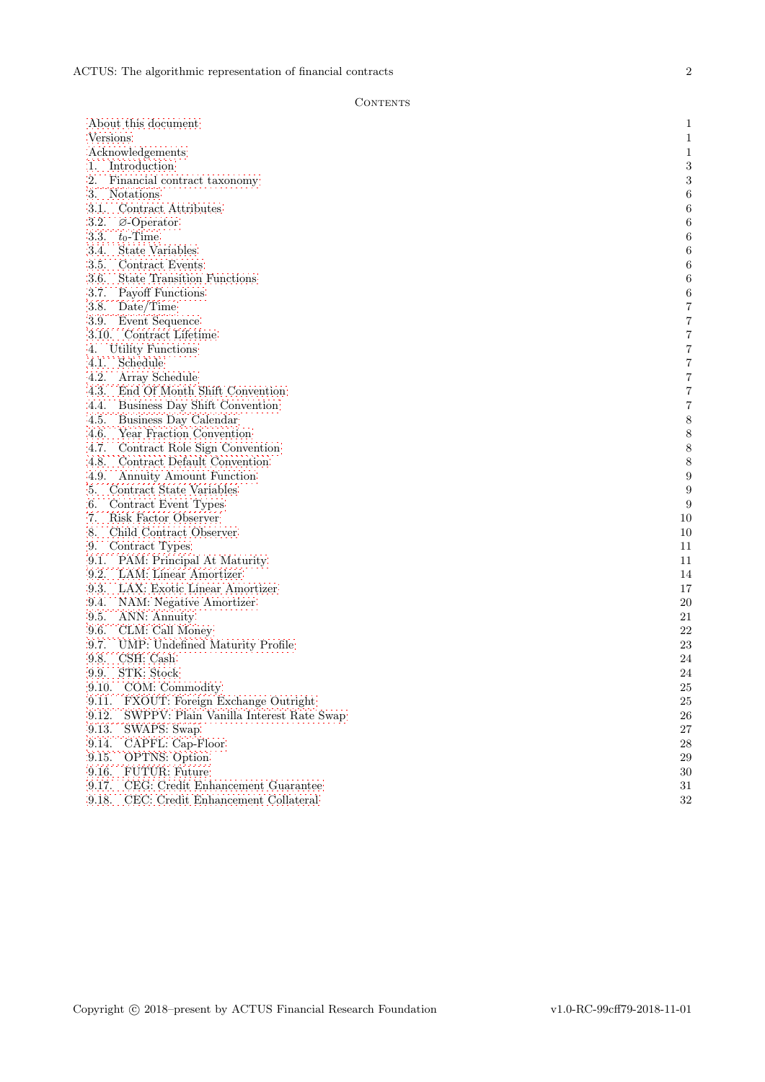### **CONTENTS**

| About this document                              | 1                       |
|--------------------------------------------------|-------------------------|
| Versions                                         | $\,1$                   |
| Acknowledgements                                 | $\mathbf{1}$            |
| 1. Introduction                                  | $\sqrt{3}$              |
| 2.<br>Financial contract taxonomy                | 3                       |
| 3.<br>Notations                                  | $\,6$                   |
| 3.1. Contract Attributes                         | $\,6$                   |
| 3.2.<br>$\varnothing$ -Operator                  | $\,6$                   |
| 3.3.<br>$t_0$ -Time                              | 6                       |
| 3.4.<br>State Variables                          | 6                       |
| 3.5.<br>Contract Events                          | $\,$ 6 $\,$             |
| 3.6.<br><b>State Transition Functions</b>        | 6                       |
| 3.7.<br>Payoff Functions                         | $\,6$                   |
| 3.8.<br>Date/Time                                | $\overline{7}$          |
| 3.9.<br>Event Sequence                           | 7                       |
| 3.10. Contract Lifetime                          | $\overline{\mathbf{7}}$ |
| Utility Functions<br>4.                          | $\overline{7}$          |
| Schedule<br>4.1.                                 | $\overline{7}$          |
| 4.2.<br>Array Schedule                           | $\overline{7}$          |
| 4.3.<br>End Of Month Shift Convention            | $\overline{7}$          |
| 4.4.<br>Business Day Shift Convention            | 7                       |
| 4.5.<br>Business Day Calendar                    | 8                       |
| 4.6.<br>Year Fraction Convention                 | 8                       |
| 4.7.<br>Contract Role Sign Convention            | $\,$ $\,$               |
| 4.8.<br>Contract Default Convention              | $\,8\,$                 |
| 4.9.<br><b>Annuity Amount Function</b>           | $\boldsymbol{9}$        |
| Contract State Variables<br>5.                   | $\boldsymbol{9}$        |
| Contract Event Types<br>6.                       | 9                       |
| 7.<br>Risk Factor Observer                       | 10                      |
| Child Contract Observer<br>8.                    | 10                      |
| Contract Types<br>9.                             | 11                      |
| 9.1. PAM: Principal At Maturity                  | 11                      |
| 9.2.<br>LAM: Linear Amortizer                    | 14                      |
| 9.3.<br>LAX: Exotic Linear Amortizer             | 17                      |
| 9.4.<br>NAM: Negative Amortizer                  | $20\,$                  |
| 9.5.<br>ANN: Annuity                             | 21                      |
| 9.6.<br>CLM: Call Money                          | $22\,$                  |
| 9.7.<br>UMP: Undefined Maturity Profile          | 23                      |
| CSH: Cash<br>9.8.                                | 24                      |
| STK: Stock<br>9.9.                               | 24                      |
| 9.10.<br>COM: Commodity                          | 25                      |
| FXOUT: Foreign Exchange Outright<br>9.11.        | $25\,$                  |
| 9.12.<br>SWPPV: Plain Vanilla Interest Rate Swap | ${\bf 26}$              |
| 9.13.<br>SWAPS: Swap                             | $27\,$                  |
| 9.14.<br>CAPFL: Cap-Floor                        | 28                      |
| 9.15.<br><b>OPTNS:</b> Option                    | $\,29$                  |
| 9.16.<br>FUTUR: Future                           | $30\,$                  |
| 9.17.<br>CEG: Credit Enhancement Guarantee       | 31                      |
| CEC: Credit Enhancement Collateral<br>9.18.      | 32                      |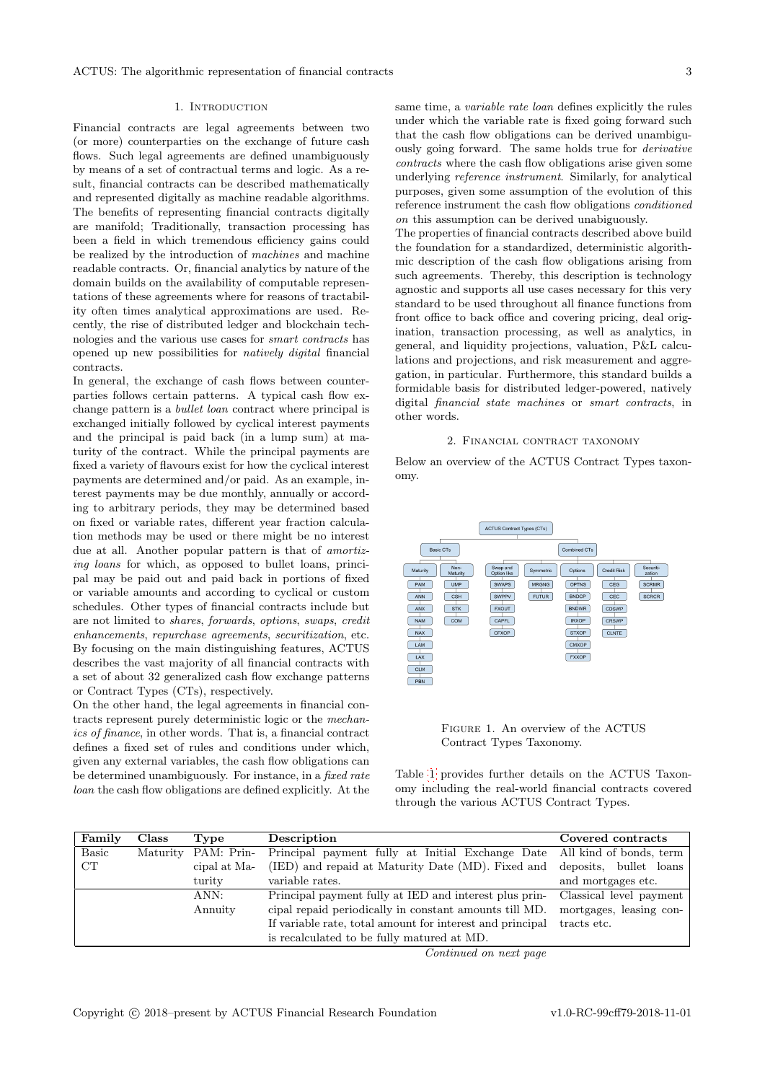#### 1. Introduction

<span id="page-2-0"></span>Financial contracts are legal agreements between two (or more) counterparties on the exchange of future cash flows. Such legal agreements are defined unambiguously by means of a set of contractual terms and logic. As a result, financial contracts can be described mathematically and represented digitally as machine readable algorithms. The benefits of representing financial contracts digitally are manifold; Traditionally, transaction processing has been a field in which tremendous efficiency gains could be realized by the introduction of machines and machine readable contracts. Or, financial analytics by nature of the domain builds on the availability of computable representations of these agreements where for reasons of tractability often times analytical approximations are used. Recently, the rise of distributed ledger and blockchain technologies and the various use cases for smart contracts has opened up new possibilities for natively digital financial contracts.

In general, the exchange of cash flows between counterparties follows certain patterns. A typical cash flow exchange pattern is a bullet loan contract where principal is exchanged initially followed by cyclical interest payments and the principal is paid back (in a lump sum) at maturity of the contract. While the principal payments are fixed a variety of flavours exist for how the cyclical interest payments are determined and/or paid. As an example, interest payments may be due monthly, annually or according to arbitrary periods, they may be determined based on fixed or variable rates, different year fraction calculation methods may be used or there might be no interest due at all. Another popular pattern is that of *amortiz*ing loans for which, as opposed to bullet loans, principal may be paid out and paid back in portions of fixed or variable amounts and according to cyclical or custom schedules. Other types of financial contracts include but are not limited to shares, forwards, options, swaps, credit enhancements, repurchase agreements, securitization, etc. By focusing on the main distinguishing features, ACTUS describes the vast majority of all financial contracts with a set of about 32 generalized cash flow exchange patterns or Contract Types (CTs), respectively.

On the other hand, the legal agreements in financial contracts represent purely deterministic logic or the mechanics of finance, in other words. That is, a financial contract defines a fixed set of rules and conditions under which, given any external variables, the cash flow obligations can be determined unambiguously. For instance, in a fixed rate loan the cash flow obligations are defined explicitly. At the same time, a variable rate loan defines explicitly the rules under which the variable rate is fixed going forward such that the cash flow obligations can be derived unambiguously going forward. The same holds true for derivative contracts where the cash flow obligations arise given some underlying reference instrument. Similarly, for analytical purposes, given some assumption of the evolution of this reference instrument the cash flow obligations conditioned on this assumption can be derived unabiguously.

The properties of financial contracts described above build the foundation for a standardized, deterministic algorithmic description of the cash flow obligations arising from such agreements. Thereby, this description is technology agnostic and supports all use cases necessary for this very standard to be used throughout all finance functions from front office to back office and covering pricing, deal origination, transaction processing, as well as analytics, in general, and liquidity projections, valuation, P&L calculations and projections, and risk measurement and aggregation, in particular. Furthermore, this standard builds a formidable basis for distributed ledger-powered, natively digital financial state machines or smart contracts, in other words.

#### 2. Financial contract taxonomy

<span id="page-2-1"></span>Below an overview of the ACTUS Contract Types taxonomy.



<span id="page-2-3"></span>Figure 1. An overview of the ACTUS Contract Types Taxonomy.

Table [1](#page-2-2) provides further details on the ACTUS Taxonomy including the real-world financial contracts covered through the various ACTUS Contract Types.

<span id="page-2-2"></span>

| Family       | <b>Class</b> | Type                | Description                                                              | Covered contracts       |
|--------------|--------------|---------------------|--------------------------------------------------------------------------|-------------------------|
| <b>Basic</b> |              | Maturity PAM: Prin- | Principal payment fully at Initial Exchange Date All kind of bonds, term |                         |
| CT           |              | cipal at Ma-        | (IED) and repaid at Maturity Date (MD). Fixed and                        | deposits, bullet loans  |
|              |              | turity              | variable rates.                                                          | and mortgages etc.      |
|              |              | ANN:                | Principal payment fully at IED and interest plus prin-                   | Classical level payment |
|              |              | Annuity             | cipal repaid periodically in constant amounts till MD.                   | mortgages, leasing con- |
|              |              |                     | If variable rate, total amount for interest and principal                | tracts etc.             |
|              |              |                     | is recalculated to be fully matured at MD.                               |                         |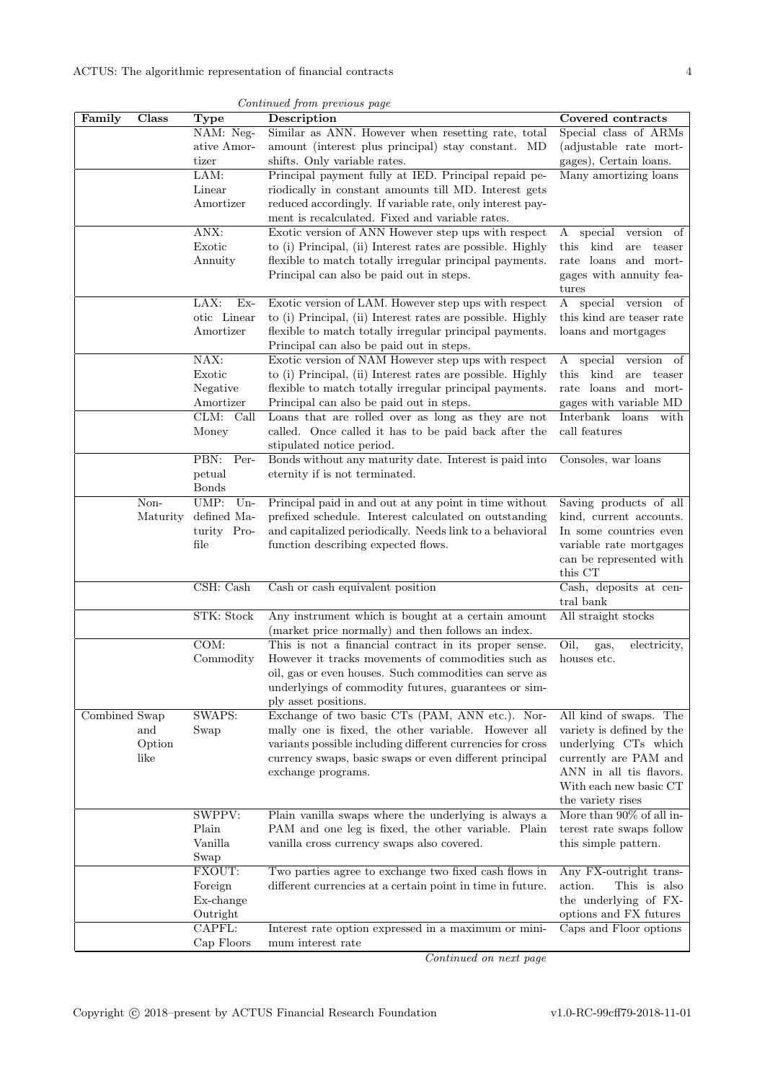| Continued from previous page |          |                           |                                                                                                                   |                                               |
|------------------------------|----------|---------------------------|-------------------------------------------------------------------------------------------------------------------|-----------------------------------------------|
| Family                       | Class    | <b>Type</b>               | Description                                                                                                       | Covered contracts                             |
|                              |          | NAM: Neg-                 | Similar as ANN. However when resetting rate, total                                                                | Special class of ARMs                         |
|                              |          | ative Amor-               | amount (interest plus principal) stay constant. MD                                                                | (adjustable rate mort-                        |
|                              |          | tizer                     | shifts. Only variable rates.                                                                                      | gages), Certain loans.                        |
|                              |          | LAM:                      | Principal payment fully at IED. Principal repaid pe-                                                              | Many amortizing loans                         |
|                              |          | Linear                    | riodically in constant amounts till MD. Interest gets                                                             |                                               |
|                              |          | Amortizer                 | reduced accordingly. If variable rate, only interest pay-                                                         |                                               |
|                              |          | ANX:                      | ment is recalculated. Fixed and variable rates.                                                                   |                                               |
|                              |          | Exotic                    | Exotic version of ANN However step ups with respect<br>to (i) Principal, (ii) Interest rates are possible. Highly | special<br>version<br>οf<br>A<br>kind         |
|                              |          | Annuity                   | flexible to match totally irregular principal payments.                                                           | this<br>are<br>teaser<br>rate loans and mort- |
|                              |          |                           | Principal can also be paid out in steps.                                                                          | gages with annuity fea-                       |
|                              |          |                           |                                                                                                                   | tures                                         |
|                              |          | LAX:<br>$Ex-$             | Exotic version of LAM. However step ups with respect                                                              | special version<br>A<br>οf                    |
|                              |          | otic Linear               | to (i) Principal, (ii) Interest rates are possible. Highly                                                        | this kind are teaser rate                     |
|                              |          | Amortizer                 | flexible to match totally irregular principal payments.                                                           | loans and mortgages                           |
|                              |          |                           | Principal can also be paid out in steps.                                                                          |                                               |
|                              |          | NAX:                      | Exotic version of NAM However step ups with respect                                                               | special<br>of<br>A<br>version                 |
|                              |          | Exotic                    | to (i) Principal, (ii) Interest rates are possible. Highly                                                        | kind<br>this<br>are<br>teaser                 |
|                              |          | Negative                  | flexible to match totally irregular principal payments.                                                           | rate loans and mort-                          |
|                              |          | Amortizer                 | Principal can also be paid out in steps.                                                                          | gages with variable MD                        |
|                              |          | CLM:<br>Call              | Loans that are rolled over as long as they are not                                                                | Interbank<br>loans<br>with                    |
|                              |          | Money                     | called. Once called it has to be paid back after the                                                              | call features                                 |
|                              |          | PBN:<br>Per-              | stipulated notice period.<br>Bonds without any maturity date. Interest is paid into                               |                                               |
|                              |          | petual                    | eternity if is not terminated.                                                                                    | Consoles, war loans                           |
|                              |          | <b>Bonds</b>              |                                                                                                                   |                                               |
|                              | Non-     | UMP:<br>$Un-$             | Principal paid in and out at any point in time without                                                            | Saving products of all                        |
|                              | Maturity | defined Ma-               | prefixed schedule. Interest calculated on outstanding                                                             | kind, current accounts.                       |
|                              |          | turity Pro-               | and capitalized periodically. Needs link to a behavioral                                                          | In some countries even                        |
|                              |          | file                      | function describing expected flows.                                                                               | variable rate mortgages                       |
|                              |          |                           |                                                                                                                   | can be represented with                       |
|                              |          |                           |                                                                                                                   | this CT                                       |
|                              |          | CSH: Cash                 | Cash or cash equivalent position                                                                                  | Cash, deposits at cen-                        |
|                              |          | STK: Stock                | Any instrument which is bought at a certain amount                                                                | tral bank<br>All straight stocks              |
|                              |          |                           | (market price normally) and then follows an index.                                                                |                                               |
|                              |          | $\overline{\text{COM}}$ : | This is not a financial contract in its proper sense.                                                             | Oil,<br>electricity,<br>gas,                  |
|                              |          | Commodity                 | However it tracks movements of commodities such as                                                                | houses etc.                                   |
|                              |          |                           | oil, gas or even houses. Such commodities can serve as                                                            |                                               |
|                              |          |                           | underlyings of commodity futures, guarantees or sim-                                                              |                                               |
|                              |          |                           | ply asset positions.                                                                                              |                                               |
| Combined Swap                |          | SWAPS:                    | Exchange of two basic CTs (PAM, ANN etc.). Nor-                                                                   | All kind of swaps. The                        |
|                              | and      | Swap                      | mally one is fixed, the other variable. However all                                                               | variety is defined by the                     |
|                              | Option   |                           | variants possible including different currencies for cross                                                        | underlying CTs which                          |
|                              | like     |                           | currency swaps, basic swaps or even different principal                                                           | currently are PAM and                         |
|                              |          |                           | exchange programs.                                                                                                | ANN in all tis flavors.                       |
|                              |          |                           |                                                                                                                   | With each new basic CT                        |
|                              |          | SWPPV:                    | Plain vanilla swaps where the underlying is always a                                                              | the variety rises<br>More than 90% of all in- |
|                              |          | Plain                     | PAM and one leg is fixed, the other variable. Plain                                                               | terest rate swaps follow                      |
|                              |          | Vanilla                   | vanilla cross currency swaps also covered.                                                                        | this simple pattern.                          |
|                              |          | Swap                      |                                                                                                                   |                                               |
|                              |          | FXOUT:                    | Two parties agree to exchange two fixed cash flows in                                                             | Any FX-outright trans-                        |
|                              |          | Foreign                   | different currencies at a certain point in time in future.                                                        | This is also<br>action.                       |
|                              |          | Ex-change                 |                                                                                                                   | the underlying of FX-                         |
|                              |          | Outright                  |                                                                                                                   | options and FX futures                        |
|                              |          | CAPFL:                    | Interest rate option expressed in a maximum or mini-                                                              | Caps and Floor options                        |
|                              |          | Cap Floors                | mum interest rate                                                                                                 |                                               |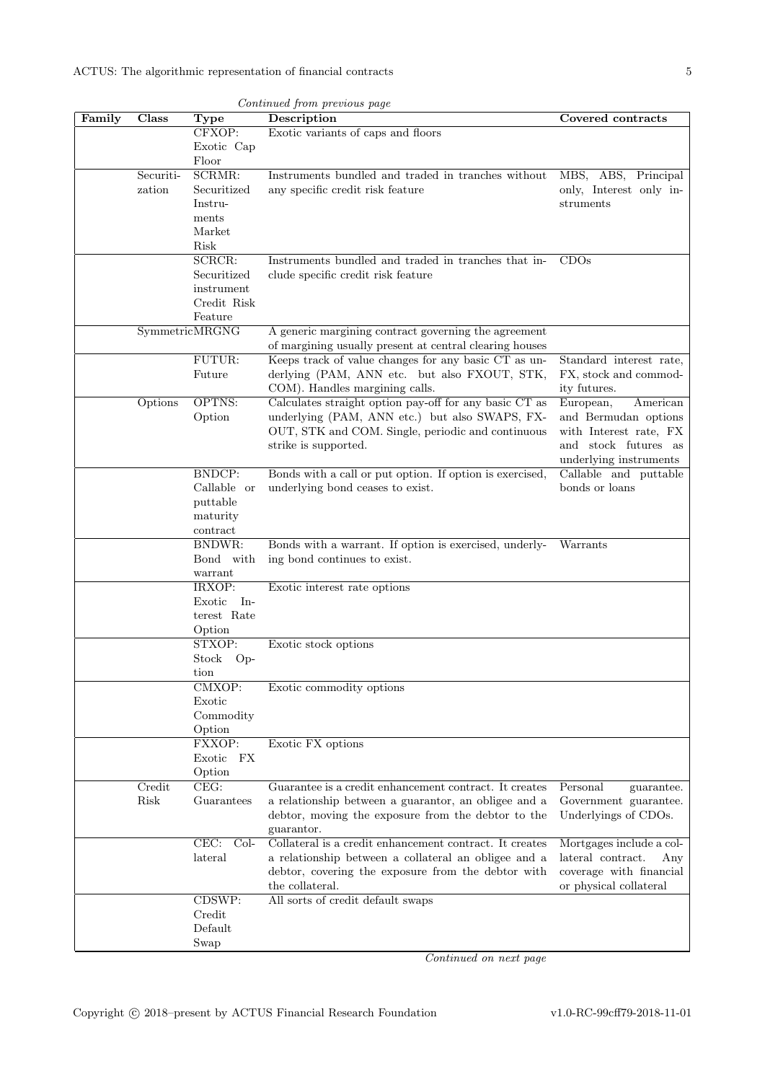| Continued from previous page |           |                           |                                                          |                          |
|------------------------------|-----------|---------------------------|----------------------------------------------------------|--------------------------|
| Family                       | Class     | <b>Type</b>               | Description                                              | Covered contracts        |
|                              |           | CFXOP:                    | Exotic variants of caps and floors                       |                          |
|                              |           | Exotic Cap                |                                                          |                          |
|                              |           | Floor                     |                                                          |                          |
|                              | Securiti- | SCRMR:                    | Instruments bundled and traded in tranches without       | MBS, ABS, Principal      |
|                              | zation    | Securitized               | any specific credit risk feature                         | only, Interest only in-  |
|                              |           | Instru-                   |                                                          | struments                |
|                              |           | ments                     |                                                          |                          |
|                              |           | Market                    |                                                          |                          |
|                              |           | Risk                      |                                                          |                          |
|                              |           | SCRCR:                    | Instruments bundled and traded in tranches that in-      | CDOs                     |
|                              |           | Securitized<br>instrument | clude specific credit risk feature                       |                          |
|                              |           | Credit Risk               |                                                          |                          |
|                              |           | Feature                   |                                                          |                          |
|                              |           | SymmetricMRGNG            | A generic margining contract governing the agreement     |                          |
|                              |           |                           | of margining usually present at central clearing houses  |                          |
|                              |           | FUTUR:                    | Keeps track of value changes for any basic CT as un-     | Standard interest rate,  |
|                              |           | Future                    | derlying (PAM, ANN etc. but also FXOUT, STK,             | FX, stock and commod-    |
|                              |           |                           | COM). Handles margining calls.                           | ity futures.             |
|                              | Options   | OPTNS:                    | Calculates straight option pay-off for any basic CT as   | European,<br>American    |
|                              |           | Option                    | underlying (PAM, ANN etc.) but also SWAPS, FX-           | and Bermudan options     |
|                              |           |                           | OUT, STK and COM. Single, periodic and continuous        | with Interest rate, FX   |
|                              |           |                           | strike is supported.                                     | and stock futures as     |
|                              |           |                           |                                                          | underlying instruments   |
|                              |           | <b>BNDCP:</b>             | Bonds with a call or put option. If option is exercised, | Callable and puttable    |
|                              |           | Callable or               | underlying bond ceases to exist.                         | bonds or loans           |
|                              |           | puttable                  |                                                          |                          |
|                              |           | maturity                  |                                                          |                          |
|                              |           | contract                  |                                                          |                          |
|                              |           | <b>BNDWR:</b>             | Bonds with a warrant. If option is exercised, underly-   | Warrants                 |
|                              |           | Bond with                 | ing bond continues to exist.                             |                          |
|                              |           | warrant                   |                                                          |                          |
|                              |           | IRXOP:                    | Exotic interest rate options                             |                          |
|                              |           | Exotic<br>- In            |                                                          |                          |
|                              |           | terest Rate               |                                                          |                          |
|                              |           | Option                    |                                                          |                          |
|                              |           | STXOP:                    | Exotic stock options                                     |                          |
|                              |           | Stock Op-                 |                                                          |                          |
|                              |           | tion                      |                                                          |                          |
|                              |           | CMXOP:                    | Exotic commodity options                                 |                          |
|                              |           | Exotic<br>Commodity       |                                                          |                          |
|                              |           | Option                    |                                                          |                          |
|                              |           | FXXOP:                    | Exotic FX options                                        |                          |
|                              |           | Exotic FX                 |                                                          |                          |
|                              |           | Option                    |                                                          |                          |
|                              | Credit    | CEG:                      | Guarantee is a credit enhancement contract. It creates   | Personal<br>guarantee.   |
|                              | Risk      | Guarantees                | a relationship between a guarantor, an obligee and a     | Government guarantee.    |
|                              |           |                           | debtor, moving the exposure from the debtor to the       | Underlyings of CDOs.     |
|                              |           |                           | guarantor.                                               |                          |
|                              |           | CEC:<br>$Col-$            | Collateral is a credit enhancement contract. It creates  | Mortgages include a col- |
|                              |           | lateral                   | a relationship between a collateral an obligee and a     | lateral contract.<br>Any |
|                              |           |                           | debtor, covering the exposure from the debtor with       | coverage with financial  |
|                              |           |                           | the collateral.                                          | or physical collateral   |
|                              |           | CDSWP:                    | All sorts of credit default swaps                        |                          |
|                              |           | Credit                    |                                                          |                          |
|                              |           | Default                   |                                                          |                          |
|                              |           | Swap                      |                                                          |                          |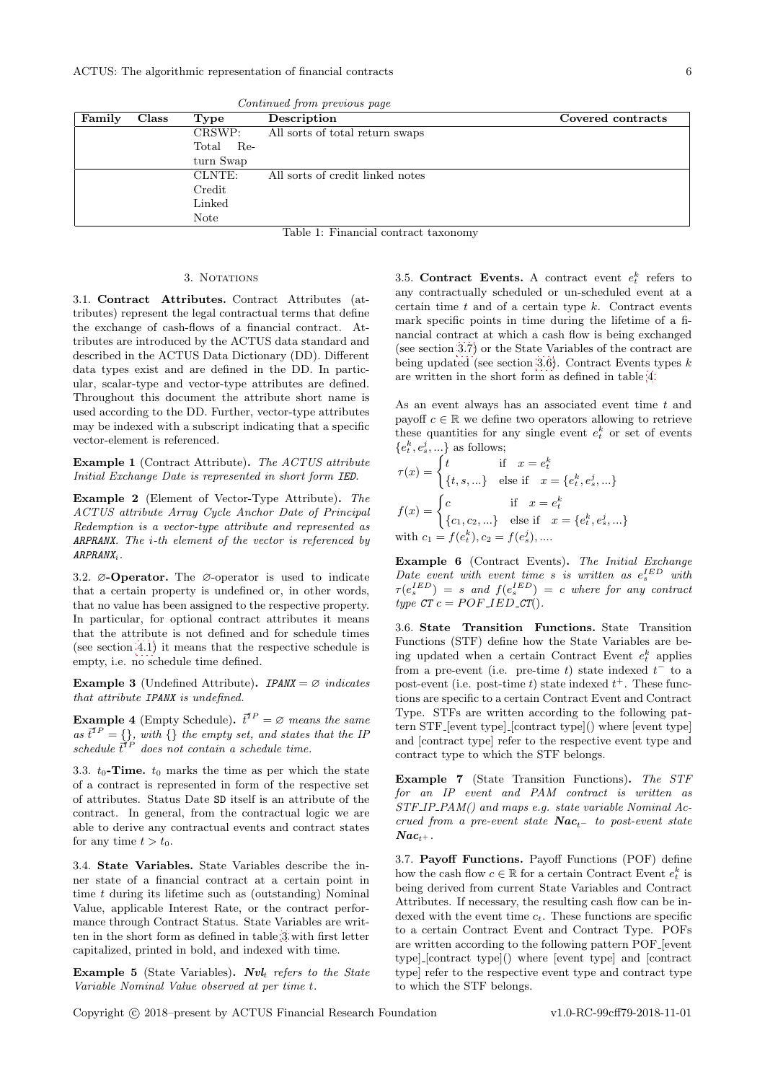ACTUS: The algorithmic representation of financial contracts 6

|                                      | Continued from previous page |           |                                  |                   |
|--------------------------------------|------------------------------|-----------|----------------------------------|-------------------|
| Family                               | Class                        | Type      | Description                      | Covered contracts |
|                                      |                              | CRSWP:    | All sorts of total return swaps  |                   |
|                                      |                              | Total Re- |                                  |                   |
|                                      |                              | turn Swap |                                  |                   |
|                                      |                              | CLNTE:    | All sorts of credit linked notes |                   |
|                                      | Credit                       |           |                                  |                   |
| Linked                               |                              |           |                                  |                   |
|                                      |                              | Note      |                                  |                   |
| Table 1: Financial contract taxonomy |                              |           |                                  |                   |

#### 3. NOTATIONS

<span id="page-5-1"></span><span id="page-5-0"></span>3.1. Contract Attributes. Contract Attributes (attributes) represent the legal contractual terms that define the exchange of cash-flows of a financial contract. Attributes are introduced by the ACTUS data standard and described in the ACTUS Data Dictionary (DD). Different data types exist and are defined in the DD. In particular, scalar-type and vector-type attributes are defined. Throughout this document the attribute short name is used according to the DD. Further, vector-type attributes may be indexed with a subscript indicating that a specific vector-element is referenced.

Example 1 (Contract Attribute). The ACTUS attribute Initial Exchange Date is represented in short form IED.

Example 2 (Element of Vector-Type Attribute). The ACTUS attribute Array Cycle Anchor Date of Principal Redemption is a vector-type attribute and represented as ARPRANX. The  $i$ -th element of the vector is referenced by  $ARPRANK_i$ .

<span id="page-5-2"></span>3.2. ∅-Operator. The ∅-operator is used to indicate that a certain property is undefined or, in other words, that no value has been assigned to the respective property. In particular, for optional contract attributes it means that the attribute is not defined and for schedule times (see section [4.1\)](#page-6-4) it means that the respective schedule is empty, i.e. no schedule time defined.

Example 3 (Undefined Attribute). IPANX =  $\varnothing$  indicates that attribute IPANX is undefined.

**Example 4** (Empty Schedule).  $\vec{t}^{TP} = \varnothing$  means the same as  $\vec{t}^{TP} = \{\},\$  with  $\{\}\$  the empty set, and states that the IP schedule  $\vec{t}^{TP}$  does not contain a schedule time.

<span id="page-5-3"></span>3.3.  $t_0$ -Time.  $t_0$  marks the time as per which the state of a contract is represented in form of the respective set of attributes. Status Date SD itself is an attribute of the contract. In general, from the contractual logic we are able to derive any contractual events and contract states for any time  $t > t_0$ .

<span id="page-5-4"></span>3.4. State Variables. State Variables describe the inner state of a financial contract at a certain point in time  $t$  during its lifetime such as (outstanding) Nominal Value, applicable Interest Rate, or the contract performance through Contract Status. State Variables are written in the short form as defined in table [3](#page-8-3) with first letter capitalized, printed in bold, and indexed with time.

**Example 5** (State Variables).  $Nvl_t$  refers to the State Variable Nominal Value observed at per time t.

<span id="page-5-5"></span>3.5. Contract Events. A contract event  $e_t^k$  refers to any contractually scheduled or un-scheduled event at a certain time  $t$  and of a certain type  $k$ . Contract events mark specific points in time during the lifetime of a financial contract at which a cash flow is being exchanged (see section [3.7\)](#page-5-7) or the State Variables of the contract are being updated (see section [3.6\)](#page-5-6). Contract Events types  $k$ are written in the short form as defined in table [4.](#page-8-4)

As an event always has an associated event time t and payoff  $c \in \mathbb{R}$  we define two operators allowing to retrieve these quantities for any single event  $e_t^k$  or set of events  ${e_t^k, e_s^j, \ldots}$  as follows;

$$
\tau(x) = \begin{cases} t & \text{if } x = e_t^k \\ \{t, s, \ldots\} & \text{else if } x = \{e_t^k, e_s^j, \ldots\} \end{cases}
$$

$$
f(x) = \begin{cases} c & \text{if } x = e_t^k \\ \{c_1, c_2, \ldots\} & \text{else if } x = \{e_t^k, e_s^j, \ldots\} \end{cases}
$$
with  $c_1 = f(e_t^k), c_2 = f(e_s^j), \ldots$ .

Example 6 (Contract Events). The Initial Exchange Date event with event time s is written as  $e_s^{IED}$  with  $\tau(e_s^{IED}) = s$  and  $f(e_s^{IED}) = c$  where for any contract type  $CT c = POF$ <sub>-IED-CT</sub> $()$ .

<span id="page-5-6"></span>3.6. State Transition Functions. State Transition Functions (STF) define how the State Variables are being updated when a certain Contract Event  $e_t^k$  applies from a pre-event (i.e. pre-time t) state indexed  $t^-$  to a post-event (i.e. post-time t) state indexed  $t^+$ . These functions are specific to a certain Contract Event and Contract Type. STFs are written according to the following pattern STF [event type] [contract type]() where [event type] and [contract type] refer to the respective event type and contract type to which the STF belongs.

Example 7 (State Transition Functions). The STF for an IP event and PAM contract is written as STF IP PAM() and maps e.g. state variable Nominal Accrued from a pre-event state  $Nac_{t-}$  to post-event state  $Nac_{t+}$ .

<span id="page-5-7"></span>3.7. Payoff Functions. Payoff Functions (POF) define how the cash flow  $c \in \mathbb{R}$  for a certain Contract Event  $e_t^k$  is being derived from current State Variables and Contract Attributes. If necessary, the resulting cash flow can be indexed with the event time  $c_t$ . These functions are specific to a certain Contract Event and Contract Type. POFs are written according to the following pattern POF [event type] [contract type]() where [event type] and [contract type] refer to the respective event type and contract type to which the STF belongs.

Copyright c 2018–present by ACTUS Financial Research Foundation v1.0-RC-99cff79-2018-11-01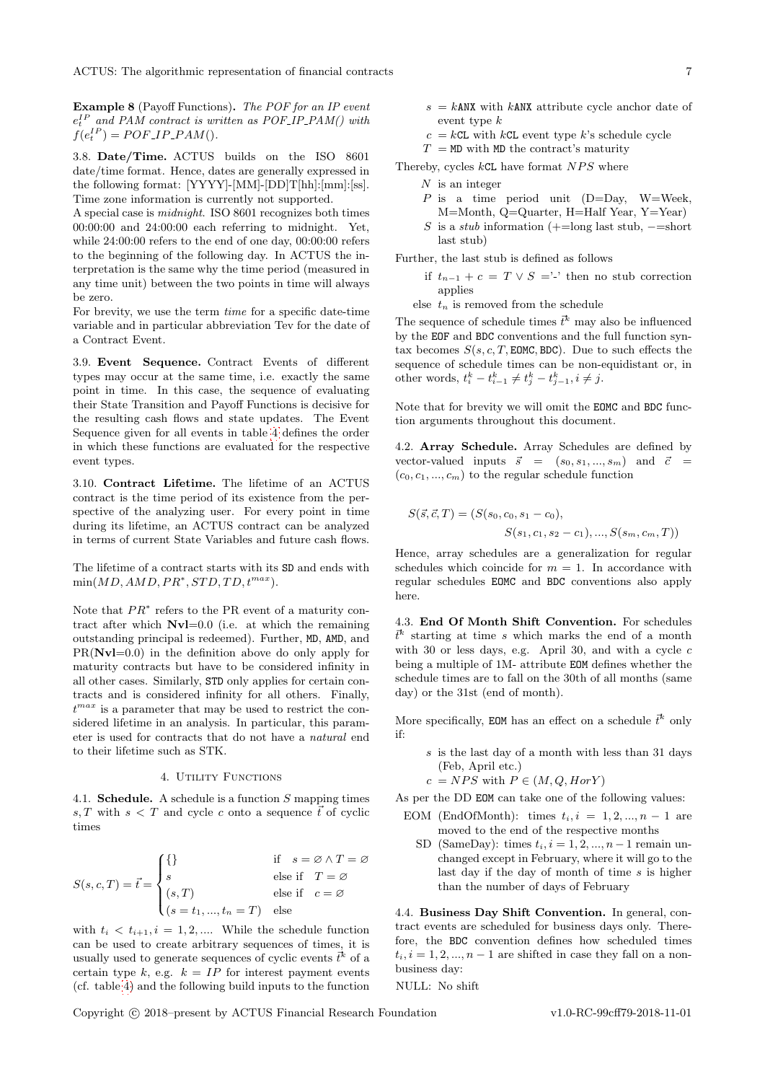ACTUS: The algorithmic representation of financial contracts 7

Example 8 (Payoff Functions). The POF for an IP event  $e_t^{IP}$  and PAM contract is written as POF\_IP\_PAM() with  $f(e_t^{IP}) = POF\_IP\_PAM()$ .

<span id="page-6-0"></span>3.8. Date/Time. ACTUS builds on the ISO 8601 date/time format. Hence, dates are generally expressed in the following format: [YYYY]-[MM]-[DD]T[hh]:[mm]:[ss]. Time zone information is currently not supported.

A special case is midnight. ISO 8601 recognizes both times 00:00:00 and 24:00:00 each referring to midnight. Yet, while 24:00:00 refers to the end of one day, 00:00:00 refers to the beginning of the following day. In ACTUS the interpretation is the same why the time period (measured in any time unit) between the two points in time will always be zero.

For brevity, we use the term time for a specific date-time variable and in particular abbreviation Tev for the date of a Contract Event.

<span id="page-6-1"></span>3.9. Event Sequence. Contract Events of different types may occur at the same time, i.e. exactly the same point in time. In this case, the sequence of evaluating their State Transition and Payoff Functions is decisive for the resulting cash flows and state updates. The Event Sequence given for all events in table [4](#page-8-4) defines the order in which these functions are evaluated for the respective event types.

<span id="page-6-2"></span>3.10. Contract Lifetime. The lifetime of an ACTUS contract is the time period of its existence from the perspective of the analyzing user. For every point in time during its lifetime, an ACTUS contract can be analyzed in terms of current State Variables and future cash flows.

The lifetime of a contract starts with its SD and ends with  $min(MD, AMD, PR^*,STD, TD, t^{max}).$ 

Note that  $PR^*$  refers to the PR event of a maturity contract after which  $Nvl=0.0$  (i.e. at which the remaining outstanding principal is redeemed). Further, MD, AMD, and  $PR(Nv1=0.0)$  in the definition above do only apply for maturity contracts but have to be considered infinity in all other cases. Similarly, STD only applies for certain contracts and is considered infinity for all others. Finally,  $t^{max}$  is a parameter that may be used to restrict the considered lifetime in an analysis. In particular, this parameter is used for contracts that do not have a natural end to their lifetime such as STK.

#### 4. Utility Functions

<span id="page-6-4"></span><span id="page-6-3"></span>4.1. Schedule. A schedule is a function S mapping times s, T with  $s < T$  and cycle c onto a sequence  $\vec{t}$  of cyclic times

$$
S(s, c, T) = \vec{t} = \begin{cases} \{\} & \text{if } s = \emptyset \land T = \emptyset \\ s & \text{else if } T = \emptyset \\ (s, T) & \text{else if } c = \emptyset \\ (s = t_1, ..., t_n = T) & \text{else} \end{cases}
$$

with  $t_i < t_{i+1}, i = 1, 2, \dots$  While the schedule function can be used to create arbitrary sequences of times, it is usually used to generate sequences of cyclic events  $\vec{t}^k$  of a certain type k, e.g.  $k = IP$  for interest payment events (cf. table [4\)](#page-8-4) and the following build inputs to the function

- $s = k$ ANX with kANX attribute cycle anchor date of event type k
- $c = kCL$  with  $kCL$  event type k's schedule cycle
- $T = M\text{D}$  with MD the contract's maturity

Thereby, cycles  $kCL$  have format  $NPS$  where

- $N$  is an integer
- P is a time period unit  $(D=Day, W=Week,$ M=Month, Q=Quarter, H=Half Year, Y=Year)
- S is a *stub* information  $(+)$ =long last stub,  $-$ =short last stub)

Further, the last stub is defined as follows

if  $t_{n-1} + c = T \vee S =$ '-' then no stub correction applies

else  $t_n$  is removed from the schedule

The sequence of schedule times  $\vec{t}^k$  may also be influenced by the EOF and BDC conventions and the full function syntax becomes  $S(s, c, T, \text{EDMC}, \text{BDC})$ . Due to such effects the sequence of schedule times can be non-equidistant or, in other words,  $t_i^k - t_{i-1}^k \neq t_j^k - t_{j-1}^k, i \neq j$ .

Note that for brevity we will omit the EOMC and BDC function arguments throughout this document.

<span id="page-6-5"></span>4.2. Array Schedule. Array Schedules are defined by vector-valued inputs  $\vec{s} = (s_0, s_1, ..., s_m)$  and  $\vec{c} =$  $(c_0, c_1, ..., c_m)$  to the regular schedule function

$$
S(\vec{s}, \vec{c}, T) = (S(s_0, c_0, s_1 - c_0),
$$
  

$$
S(s_1, c_1, s_2 - c_1), ..., S(s_m, c_m, T))
$$

Hence, array schedules are a generalization for regular schedules which coincide for  $m = 1$ . In accordance with regular schedules EOMC and BDC conventions also apply here.

<span id="page-6-6"></span>4.3. End Of Month Shift Convention. For schedules  $\bar{t}^k$  starting at time s which marks the end of a month with 30 or less days, e.g. April 30, and with a cycle c being a multiple of 1M- attribute EOM defines whether the schedule times are to fall on the 30th of all months (same day) or the 31st (end of month).

More specifically, EOM has an effect on a schedule  $\vec{t}^k$  only if:

- s is the last day of a month with less than 31 days (Feb, April etc.)
- $c = NPS$  with  $P \in (M, Q, HorY)$

As per the DD EOM can take one of the following values:

- EOM (EndOfMonth): times  $t_i, i = 1, 2, ..., n-1$  are moved to the end of the respective months
	- SD (SameDay): times  $t_i$ ,  $i = 1, 2, ..., n-1$  remain unchanged except in February, where it will go to the last day if the day of month of time  $s$  is higher than the number of days of February

<span id="page-6-7"></span>4.4. Business Day Shift Convention. In general, contract events are scheduled for business days only. Therefore, the BDC convention defines how scheduled times  $t_i, i = 1, 2, ..., n-1$  are shifted in case they fall on a nonbusiness day:

NULL: No shift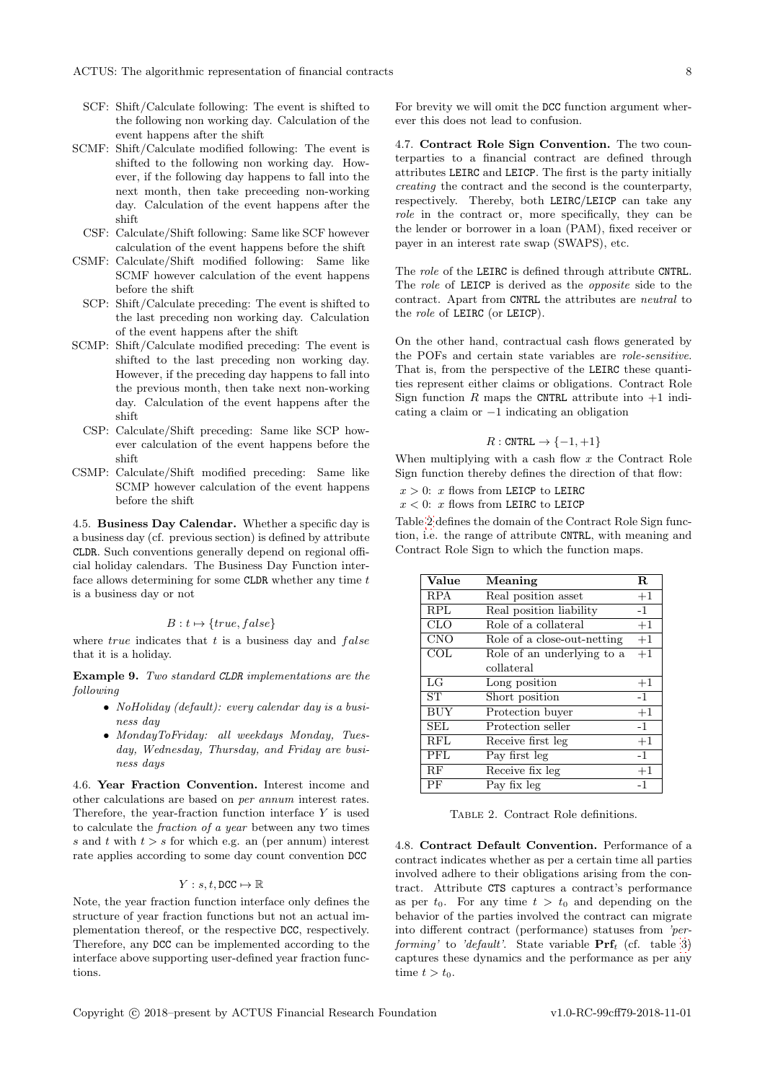- SCF: Shift/Calculate following: The event is shifted to the following non working day. Calculation of the event happens after the shift
- SCMF: Shift/Calculate modified following: The event is shifted to the following non working day. However, if the following day happens to fall into the next month, then take preceeding non-working day. Calculation of the event happens after the shift
- CSF: Calculate/Shift following: Same like SCF however calculation of the event happens before the shift
- CSMF: Calculate/Shift modified following: Same like SCMF however calculation of the event happens before the shift
- SCP: Shift/Calculate preceding: The event is shifted to the last preceding non working day. Calculation of the event happens after the shift
- SCMP: Shift/Calculate modified preceding: The event is shifted to the last preceding non working day. However, if the preceding day happens to fall into the previous month, then take next non-working day. Calculation of the event happens after the shift
	- CSP: Calculate/Shift preceding: Same like SCP however calculation of the event happens before the shift
- CSMP: Calculate/Shift modified preceding: Same like SCMP however calculation of the event happens before the shift

<span id="page-7-0"></span>4.5. Business Day Calendar. Whether a specific day is a business day (cf. previous section) is defined by attribute CLDR. Such conventions generally depend on regional official holiday calendars. The Business Day Function interface allows determining for some  $CLDR$  whether any time  $t$ is a business day or not

#### $B : t \mapsto \{true, false\}$

where  $true$  indicates that  $t$  is a business day and  $false$ that it is a holiday.

Example 9. Two standard CLDR implementations are the following

- NoHoliday (default): every calendar day is a business day
- MondayToFriday: all weekdays Monday, Tuesday, Wednesday, Thursday, and Friday are business days

<span id="page-7-1"></span>4.6. Year Fraction Convention. Interest income and other calculations are based on per annum interest rates. Therefore, the year-fraction function interface  $Y$  is used to calculate the fraction of a year between any two times s and t with  $t > s$  for which e.g. an (per annum) interest rate applies according to some day count convention DCC

#### $Y : s, t$ , DCC  $\mapsto \mathbb{R}$

Note, the year fraction function interface only defines the structure of year fraction functions but not an actual implementation thereof, or the respective DCC, respectively. Therefore, any DCC can be implemented according to the interface above supporting user-defined year fraction functions.

For brevity we will omit the DCC function argument wherever this does not lead to confusion.

<span id="page-7-2"></span>4.7. Contract Role Sign Convention. The two counterparties to a financial contract are defined through attributes LEIRC and LEICP. The first is the party initially creating the contract and the second is the counterparty, respectively. Thereby, both LEIRC/LEICP can take any role in the contract or, more specifically, they can be the lender or borrower in a loan (PAM), fixed receiver or payer in an interest rate swap (SWAPS), etc.

The *role* of the LEIRC is defined through attribute CNTRL. The *role* of LEICP is derived as the *opposite* side to the contract. Apart from CNTRL the attributes are neutral to the role of LEIRC (or LEICP).

On the other hand, contractual cash flows generated by the POFs and certain state variables are role-sensitive. That is, from the perspective of the LEIRC these quantities represent either claims or obligations. Contract Role Sign function  $R$  maps the CNTRL attribute into  $+1$  indicating a claim or −1 indicating an obligation

#### $R:$  CNTRL  $\rightarrow \{-1,+1\}$

When multiplying with a cash flow  $x$  the Contract Role Sign function thereby defines the direction of that flow:

 $x > 0$ : x flows from LEICP to LEIRC

 $x < 0$ : x flows from LEIRC to LEICP

Table [2](#page-7-4) defines the domain of the Contract Role Sign function, i.e. the range of attribute CNTRL, with meaning and Contract Role Sign to which the function maps.

| Value      | Meaning                     | $\mathbf R$ |
|------------|-----------------------------|-------------|
| <b>RPA</b> | Real position asset         | $+1$        |
| <b>RPL</b> | Real position liability     | $-1$        |
| CLO        | Role of a collateral        | $+1$        |
| <b>CNO</b> | Role of a close-out-netting | $+1$        |
| COL        | Role of an underlying to a  | $+1$        |
|            | collateral                  |             |
| LG         | Long position               | $+1$        |
| ST         | Short position              | $-1$        |
| <b>BUY</b> | Protection buyer            | $+1$        |
| <b>SEL</b> | Protection seller           | $-1$        |
| <b>RFL</b> | Receive first leg           | $+1$        |
| PFL        | Pay first leg               | $-1$        |
| RF         | Receive fix leg             | $+1$        |
| PF         | Pay fix leg                 | $-1$        |

<span id="page-7-4"></span>TABLE 2. Contract Role definitions.

<span id="page-7-3"></span>4.8. Contract Default Convention. Performance of a contract indicates whether as per a certain time all parties involved adhere to their obligations arising from the contract. Attribute CTS captures a contract's performance as per  $t_0$ . For any time  $t > t_0$  and depending on the behavior of the parties involved the contract can migrate into different contract (performance) statuses from 'performing' to 'default'. State variable  $\Pr f_t$  (cf. table [3\)](#page-8-3) captures these dynamics and the performance as per any time  $t > t_0$ .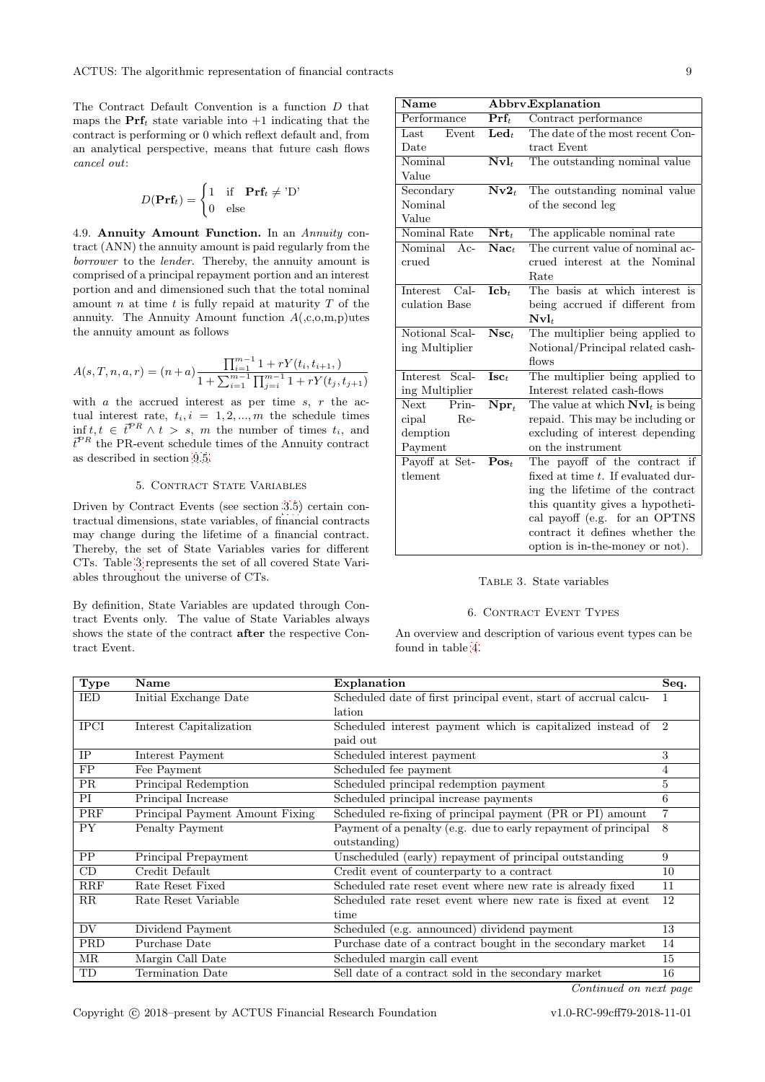The Contract Default Convention is a function D that maps the  $\Pr f_t$  state variable into  $+1$  indicating that the contract is performing or 0 which reflext default and, from an analytical perspective, means that future cash flows cancel out:

$$
D(\mathbf{Prf}_t) = \begin{cases} 1 & \text{if } \mathbf{Prf}_t \neq \text{'D'} \\ 0 & \text{else} \end{cases}
$$

<span id="page-8-0"></span>4.9. Annuity Amount Function. In an Annuity contract (ANN) the annuity amount is paid regularly from the borrower to the lender. Thereby, the annuity amount is comprised of a principal repayment portion and an interest portion and and dimensioned such that the total nominal amount n at time t is fully repaid at maturity  $T$  of the annuity. The Annuity Amount function  $A(0,0,m,p)$ utes the annuity amount as follows

$$
A(s,T,n,a,r) = (n+a) \frac{\prod_{i=1}^{m-1} 1 + rY(t_i, t_{i+1},)}{1 + \sum_{i=1}^{m-1} \prod_{j=i}^{m-1} 1 + rY(t_j, t_{j+1})}
$$

with  $a$  the accrued interest as per time  $s, r$  the actual interest rate,  $t_i, i = 1, 2, ..., m$  the schedule times  $\inf t, t \in \overline{t}^{PR} \wedge t > s, m$  the number of times  $t_i$ , and  $\vec{t}^{PR}$  the PR-event schedule times of the Annuity contract as described in section [9.5.](#page-20-0)

#### 5. CONTRACT STATE VARIABLES

<span id="page-8-1"></span>Driven by Contract Events (see section [3.5\)](#page-5-5) certain contractual dimensions, state variables, of financial contracts may change during the lifetime of a financial contract. Thereby, the set of State Variables varies for different CTs. Table [3](#page-8-3) represents the set of all covered State Variables throughout the universe of CTs.

By definition, State Variables are updated through Contract Events only. The value of State Variables always shows the state of the contract after the respective Contract Event.

| <b>Name</b>        |                                    | Abbrv.Explanation                            |  |
|--------------------|------------------------------------|----------------------------------------------|--|
| Performance        | $\mathbf{Pr}\mathbf{f}_t$          | Contract performance                         |  |
| Last<br>Event      | $\mathbf{L}\mathbf{e}\mathbf{d}_t$ | The date of the most recent Con-             |  |
| Date               |                                    | tract Event                                  |  |
| Nominal            | $\mathbf{Nvl}_t$                   | The outstanding nominal value                |  |
| Value              |                                    |                                              |  |
| Secondary          | $Nv2_t$                            | The outstanding nominal value                |  |
| Nominal            |                                    | of the second leg                            |  |
| Value              |                                    |                                              |  |
| Nominal Rate       | $\mathbf{Nrt}_t$                   | The applicable nominal rate                  |  |
| Nominal<br>$Ac-$   | $\mathbf{Nac}_t$                   | The current value of nominal ac-             |  |
| crued              |                                    | crued interest at the Nominal                |  |
|                    |                                    | Rate                                         |  |
| $Cal-$<br>Interest | Ich <sub>t</sub>                   | The basis at which interest is               |  |
| culation Base      |                                    | being accrued if different from              |  |
|                    |                                    | $\mathbf{Nvl}_t$                             |  |
| Notional Scal-     | $Nsc_{t}$                          | The multiplier being applied to              |  |
| ing Multiplier     |                                    | Notional/Principal related cash-             |  |
|                    |                                    | $f_{\text{rows}}$                            |  |
| Interest Scal-     | $\mathbf{Isc}_t$                   | The multiplier being applied to              |  |
| ing Multiplier     |                                    | Interest related cash-flows                  |  |
| Next<br>Prin-      | $\mathbf{N}\mathbf{pr}_t$          | The value at which $\mathbf{Nvl}_t$ is being |  |
| cipal<br>Re-       |                                    | repaid. This may be including or             |  |
| demption           |                                    | excluding of interest depending              |  |
| Payment            |                                    | on the instrument                            |  |
| Payoff at Set-     | $\mathbf{Pos}_t$                   | The payoff of the contract if                |  |
| tlement            |                                    | fixed at time t. If evaluated dur-           |  |
|                    |                                    | ing the lifetime of the contract             |  |
|                    |                                    | this quantity gives a hypotheti-             |  |
|                    |                                    | cal payoff (e.g. for an OPTNS                |  |
|                    |                                    | contract it defines whether the              |  |
|                    |                                    | option is in-the-money or not).              |  |

### <span id="page-8-3"></span>Table 3. State variables

#### 6. CONTRACT EVENT TYPES

<span id="page-8-2"></span>An overview and description of various event types can be found in table [4.](#page-8-4)

<span id="page-8-4"></span>

| Type        | Name                            | Explanation                                                      | Seq.          |
|-------------|---------------------------------|------------------------------------------------------------------|---------------|
| IED         | Initial Exchange Date           | Scheduled date of first principal event, start of accrual calcu- |               |
|             |                                 | lation                                                           |               |
| <b>IPCI</b> | Interest Capitalization         | Scheduled interest payment which is capitalized instead of       | $\mathcal{D}$ |
|             |                                 | paid out                                                         |               |
| IP          | Interest Payment                | Scheduled interest payment                                       | 3             |
| FP          | Fee Payment                     | Scheduled fee payment                                            | 4             |
| <b>PR</b>   | Principal Redemption            | Scheduled principal redemption payment                           | 5             |
| PI          | Principal Increase              | Scheduled principal increase payments                            | 6             |
| PRF         | Principal Payment Amount Fixing | Scheduled re-fixing of principal payment (PR or PI) amount       |               |
| <b>PY</b>   | Penalty Payment                 | Payment of a penalty (e.g. due to early repayment of principal   | 8             |
|             |                                 | outstanding)                                                     |               |
| PP          | Principal Prepayment            | Unscheduled (early) repayment of principal outstanding           | 9             |
| CD          | Credit Default                  | Credit event of counterparty to a contract                       | 10            |
| RRF         | Rate Reset Fixed                | Scheduled rate reset event where new rate is already fixed       | 11            |
| $\rm RR$    | Rate Reset Variable             | Scheduled rate reset event where new rate is fixed at event      | 12            |
|             |                                 | time                                                             |               |
| DV          | Dividend Payment                | Scheduled (e.g. announced) dividend payment                      | 13            |
| <b>PRD</b>  | Purchase Date                   | Purchase date of a contract bought in the secondary market       | 14            |
| ΜR          | Margin Call Date                | Scheduled margin call event                                      | 15            |
| TD          | Termination Date                | Sell date of a contract sold in the secondary market             | 16            |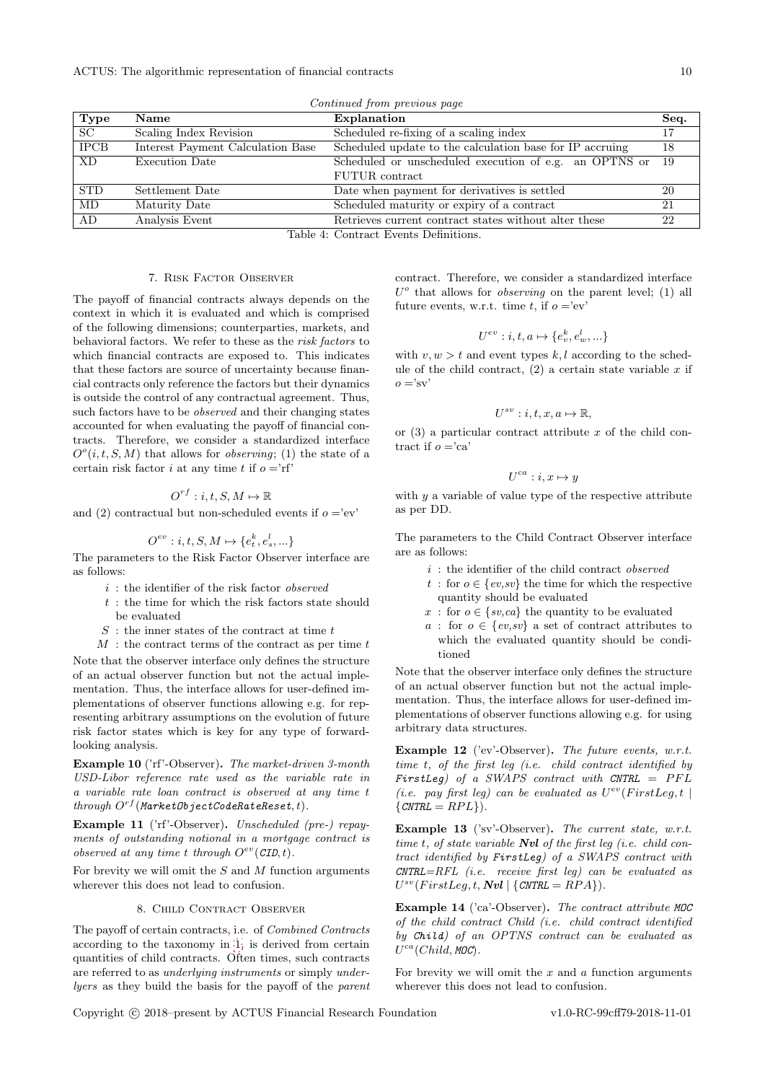| Continued from previous page                                   |                                   |                                                          |      |  |  |
|----------------------------------------------------------------|-----------------------------------|----------------------------------------------------------|------|--|--|
| Type                                                           | Name                              | Explanation                                              | Seq. |  |  |
| SC                                                             | Scaling Index Revision            | Scheduled re-fixing of a scaling index                   | 17   |  |  |
| <b>IPCB</b>                                                    | Interest Payment Calculation Base | Scheduled update to the calculation base for IP accruing | 18   |  |  |
| XD                                                             | Execution Date                    | Scheduled or unscheduled execution of e.g. an OPTNS or   | -19  |  |  |
|                                                                |                                   | <b>FUTUR</b> contract                                    |      |  |  |
| <b>STD</b>                                                     | Settlement Date                   | Date when payment for derivatives is settled             | 20   |  |  |
| MD                                                             | Maturity Date                     | Scheduled maturity or expiry of a contract               | 21   |  |  |
| AD                                                             | Analysis Event                    | Retrieves current contract states without alter these    | 22   |  |  |
| $\mathbf{m}$ is a set of $\mathbf{m}$ is a set of $\mathbf{m}$ |                                   |                                                          |      |  |  |

Table 4: Contract Events Definitions.

#### 7. Risk Factor Observer

<span id="page-9-0"></span>The payoff of financial contracts always depends on the context in which it is evaluated and which is comprised of the following dimensions; counterparties, markets, and behavioral factors. We refer to these as the risk factors to which financial contracts are exposed to. This indicates that these factors are source of uncertainty because financial contracts only reference the factors but their dynamics is outside the control of any contractual agreement. Thus, such factors have to be observed and their changing states accounted for when evaluating the payoff of financial contracts. Therefore, we consider a standardized interface  $O<sup>o</sup>(i, t, S, M)$  that allows for *observing*; (1) the state of a certain risk factor *i* at any time *t* if  $o = rf'$ 

### $O^{rf}: i, t, S, M \mapsto \mathbb{R}$

and (2) contractual but non-scheduled events if  $o = 'ev'$ 

$$
O^{ev}: i, t, S, M \mapsto \{e_t^k, e_s^l, \ldots\}
$$

The parameters to the Risk Factor Observer interface are as follows:

- $i$ : the identifier of the risk factor *observed*
- $t$ : the time for which the risk factors state should be evaluated
- $S$ : the inner states of the contract at time  $t$

 $M$ : the contract terms of the contract as per time  $t$ 

Note that the observer interface only defines the structure of an actual observer function but not the actual implementation. Thus, the interface allows for user-defined implementations of observer functions allowing e.g. for representing arbitrary assumptions on the evolution of future risk factor states which is key for any type of forwardlooking analysis.

Example 10 ('rf'-Observer). The market-driven 3-month USD-Libor reference rate used as the variable rate in a variable rate loan contract is observed at any time t  $through~O^{rf} (MarketObjectCodeRateRest, t).$ 

Example 11 ('rf'-Observer). Unscheduled (pre-) repayments of outstanding notional in a mortgage contract is observed at any time t through  $O^{ev}(\text{CID}, t)$ .

For brevity we will omit the  $S$  and  $M$  function arguments wherever this does not lead to confusion.

#### 8. Child Contract Observer

<span id="page-9-1"></span>The payoff of certain contracts, i.e. of Combined Contracts according to the taxonomy in [1,](#page-2-3) is derived from certain quantities of child contracts. Often times, such contracts are referred to as underlying instruments or simply underlyers as they build the basis for the payoff of the parent contract. Therefore, we consider a standardized interface  $U^o$  that allows for *observing* on the parent level; (1) all future events, w.r.t. time t, if  $o = 'ev'$ 

$$
U^{ev}: i, t, a \mapsto \{e_v^k, e_w^l, \ldots\}
$$

with  $v, w > t$  and event types k, l according to the schedule of the child contract,  $(2)$  a certain state variable x if  $o = 'sv'$ 

$$
U^{sv}: i, t, x, a \mapsto \mathbb{R},
$$

or  $(3)$  a particular contract attribute x of the child contract if  $o = 'ca'$ 

$$
U^{ca}: i, x \mapsto y
$$

with  $y$  a variable of value type of the respective attribute as per DD.

The parameters to the Child Contract Observer interface are as follows:

- $i\,$  : the identifier of the child contract  $\emph{observed}$
- t: for  $o \in \{ev, sv\}$  the time for which the respective quantity should be evaluated
- x: for  $o \in \{sv, ca\}$  the quantity to be evaluated
- a : for  $o \in \{ev, sv\}$  a set of contract attributes to which the evaluated quantity should be conditioned

Note that the observer interface only defines the structure of an actual observer function but not the actual implementation. Thus, the interface allows for user-defined implementations of observer functions allowing e.g. for using arbitrary data structures.

Example 12 ('ev'-Observer). The future events, w.r.t. time t, of the first leg (i.e. child contract identified by FirstLeg) of a SWAPS contract with  $CNTRL = PFL$ (i.e. pay first leg) can be evaluated as  $U^{ev}(FirstLeg, t |$  $\{CNTRL = RPL\}$ .

Example 13 ('sv'-Observer). The current state, w.r.t. time t, of state variable  $\boldsymbol{N}$ vi of the first leg (i.e. child contract identified by FirstLeg) of a SWAPS contract with  $CNTRL=RFL$  (i.e. receive first leg) can be evaluated as  $U^{sv}(FirstLeg, t, \textit{Nvl} \mid \{\textit{CNTRL} = \textit{RPA}\}).$ 

Example 14 ('ca'-Observer). The contract attribute MOC of the child contract Child (i.e. child contract identified by Child) of an OPTNS contract can be evaluated as  $U^{ca}(Child, MOC)$ .

For brevity we will omit the  $x$  and  $a$  function arguments wherever this does not lead to confusion.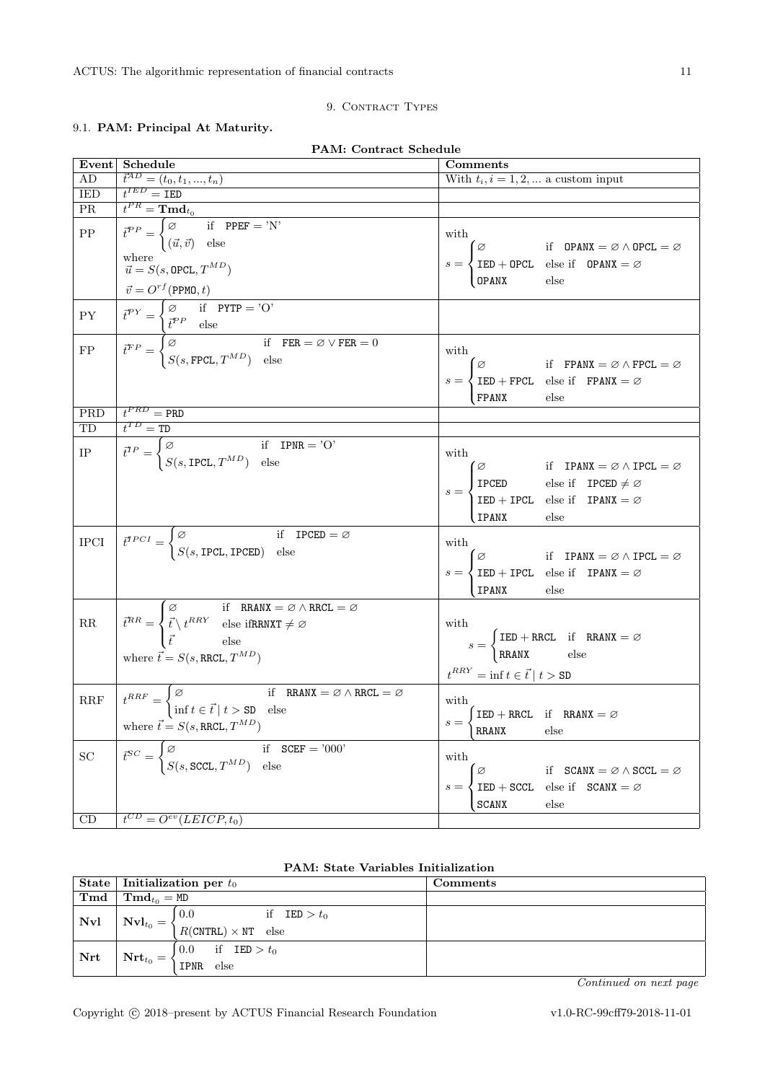# <span id="page-10-1"></span><span id="page-10-0"></span>9.1. PAM: Principal At Maturity.

| PAM: Contract Schedule                                                                                       |                                                                                                                                                                                                                                                                                                                                                                                                                                                    |                                                                                                                                                                                                                                                                                                  |  |  |
|--------------------------------------------------------------------------------------------------------------|----------------------------------------------------------------------------------------------------------------------------------------------------------------------------------------------------------------------------------------------------------------------------------------------------------------------------------------------------------------------------------------------------------------------------------------------------|--------------------------------------------------------------------------------------------------------------------------------------------------------------------------------------------------------------------------------------------------------------------------------------------------|--|--|
| Event                                                                                                        | Schedule                                                                                                                                                                                                                                                                                                                                                                                                                                           | Comments                                                                                                                                                                                                                                                                                         |  |  |
| AD                                                                                                           | $\frac{\vec{t}^{AD} = (t_0, t_1, , t_n)}{t^{IED} = \text{IED}}$                                                                                                                                                                                                                                                                                                                                                                                    | With $t_i, i = 1, 2, $ a custom input                                                                                                                                                                                                                                                            |  |  |
| <b>IED</b>                                                                                                   |                                                                                                                                                                                                                                                                                                                                                                                                                                                    |                                                                                                                                                                                                                                                                                                  |  |  |
| PR                                                                                                           |                                                                                                                                                                                                                                                                                                                                                                                                                                                    |                                                                                                                                                                                                                                                                                                  |  |  |
| $\overline{PP}$                                                                                              | $\begin{aligned} \overline{t}^{PR} &= \mathbf{Tmd}_{t_0} \\ \overline{t}^{PP} &= \begin{cases} \varnothing & \text{if} \quad \text{PPEF} = \text{'N'} \\ (\vec{u},\vec{v}) & \text{else} \end{cases} \end{aligned}$<br>where<br>$\vec{u} = S(s, \text{OPCL}, T^{MD})$                                                                                                                                                                              | with<br>$s = \begin{cases} \varnothing & \text{if} \quad \text{OPANX} = \varnothing \land \text{OPCL} = \varnothing \\ \text{IED} + \text{OPCL} & \text{else if} \quad \text{OPANX} = \varnothing \\ \text{OPANX} & \text{else} \end{cases}$                                                     |  |  |
| ${\rm PY}$                                                                                                   |                                                                                                                                                                                                                                                                                                                                                                                                                                                    |                                                                                                                                                                                                                                                                                                  |  |  |
| $\begin{tabular}{ c c } \hline \quad \quad & \quad \quad & \quad \quad \\ \hline FP \\ \hline \end{tabular}$ | $\label{eq:1} \begin{array}{l} \displaystyle \overrightarrow{v} = O^{rf}(\texttt{PPMO},t) \\[1ex] \displaystyle \overrightarrow{t}^{PY} = \begin{cases} \varnothing & \text{if \quad PYTP = 'O'}\\ \overrightarrow{t}^{PP} & \text{else} \end{cases} \\[1ex] \displaystyle \overrightarrow{t}^{FP} = \begin{cases} \varnothing & \text{if \quad FER = \varnothing \lor FER = 0}\\ S(s,\texttt{FPCL},T^{MD}) & \text{else} \end{cases} \end{array}$ | with<br>$s = \begin{cases} \varnothing & \text{if } \texttt{FPANX} = \varnothing \land \texttt{FPCL} = \varnothing \\ \texttt{IED} + \texttt{FPCL} & \text{else if } \texttt{FPANX} = \varnothing \end{cases}$<br>$_{\rm else}$<br>FPANX                                                         |  |  |
| PRD                                                                                                          | $t^{PRD} = PRD$                                                                                                                                                                                                                                                                                                                                                                                                                                    |                                                                                                                                                                                                                                                                                                  |  |  |
| TD                                                                                                           |                                                                                                                                                                                                                                                                                                                                                                                                                                                    |                                                                                                                                                                                                                                                                                                  |  |  |
| $\frac{1}{\sqrt{1-\frac{1}{2}}\left( \frac{1}{2}\right) ^{2}}$                                               | $\frac{t^{TD} = TD}{t^{TP} = \begin{cases} \varnothing & \text{if } \text{IPNR} = 'O' \\ S(s, \text{IPCL}, T^{MD}) & \text{else} \end{cases}}$                                                                                                                                                                                                                                                                                                     | with<br>Solution $s = \begin{cases} \varnothing & \text{if } \text{IPANNX} = \varnothing \land \text{IPCL} = \varnothing \\ \text{IPCED} & \text{else if } \text{IPCED} \neq \varnothing \\ \text{IED} + \text{IPCL} & \text{else if } \text{IPANNX} = \varnothing \end{cases}$<br>IPANX<br>else |  |  |
| <b>IPCI</b>                                                                                                  | $\overline{t}^{\text{TPCI}} = \begin{cases} \varnothing & \text{if} \quad \text{IPCED} = \varnothing \\ S(s, \text{IPCL}, \text{IPCED}) & \text{else} \end{cases}$                                                                                                                                                                                                                                                                                 | with<br>where $s = \begin{cases} \varnothing & \text{if } \text{IPANX} = \varnothing \land \text{IPCL} = \varnothing \\ \text{IED} + \text{IPCL} & \text{else if } \text{IPANX} = \varnothing \end{cases}$<br>IPANX else                                                                         |  |  |
| $\rm RR$                                                                                                     | $\overline{t}^{RR} = \begin{cases} \varnothing & \text{if } \text{ RRANX} = \varnothing \wedge \text{RRCL} = \varnothing \\ \overline{t} \wedge t^{RRY} & \text{else ifRRNXT} \neq \varnothing \\ \overline{t} & \text{else} \end{cases}$<br>where $\vec{t} = S(s, \text{RRCL}, T^{MD})$                                                                                                                                                           | with<br>$S = \begin{cases} \text{IED} + \text{RRCL} & \text{if} \quad \text{RRANX} = \varnothing \\ \text{RRANX} & \text{else} \end{cases}$<br>$t^{RRY} = \inf t \in \vec{t} \mid t > \text{SD}$                                                                                                 |  |  |
| $\operatorname{RRF}$                                                                                         | $t^{RRF} = \begin{cases} \varnothing & \text{if} \quad \text{RRANX} = \varnothing \land \text{RRCL} = \varnothing \\ \inf t \in \vec{t} \mid t > \text{SD} \quad \text{else} \end{cases}$<br>where $\vec{t} = S(s, \text{RRCL}, T^{MD})$                                                                                                                                                                                                           | with<br>$\int \text{IED} + \text{RRCL} \quad \text{if} \quad \text{RRANX} = \varnothing$<br>else<br>RRANX                                                                                                                                                                                        |  |  |
| SC                                                                                                           | if $SCEF = '000'$<br>$\vec{t}^{SC} = \begin{cases} \varnothing & \text{if} \quad \text{S} \\ S(s, \text{SCCL}, T^{MD}) & \text{else} \end{cases}$                                                                                                                                                                                                                                                                                                  | with<br>Ø<br>if $SCANX = \emptyset \wedge SCCL = \emptyset$<br>$IED + SCCL$<br>else if $SCANK = \varnothing$<br>$s =$<br>SCANX<br>else                                                                                                                                                           |  |  |
| CD                                                                                                           | $t^{CD} = O^{ev}(LEICP, t_0)$                                                                                                                                                                                                                                                                                                                                                                                                                      |                                                                                                                                                                                                                                                                                                  |  |  |

|             |                                                      | State   Initialization per $t_0$                                  | Comments |
|-------------|------------------------------------------------------|-------------------------------------------------------------------|----------|
| $Tmd$       | $\mathbf{T}\mathbf{m}\mathbf{d}_{t_0} = \texttt{MD}$ |                                                                   |          |
| $\vert$ Nvl | $\mathbf{Nvl}_{t_0} = \left\{$                       | if $IED > t_0$<br>10.0<br>$R(\text{CNTRL}) \times \text{NT}$ else |          |
| $\mid$ Nrt  | $\textbf{Nrt}_{t_0} = \big\langle$                   | if $IED > t_0$<br>0.0<br>IPNR else                                |          |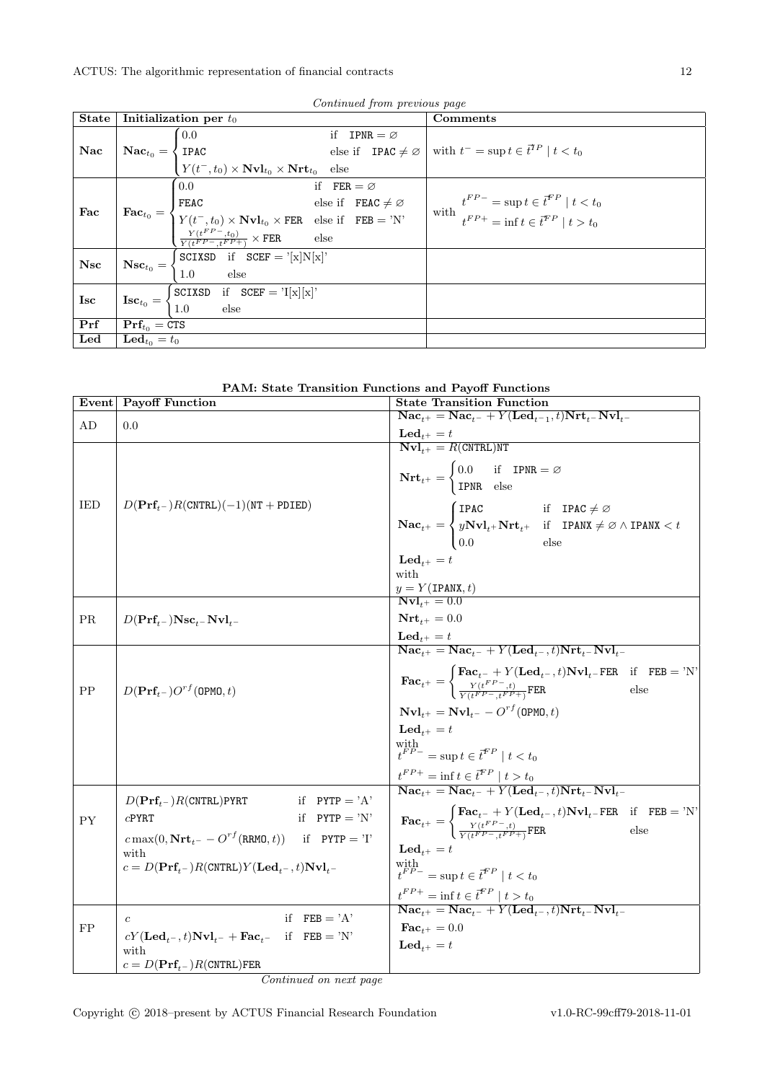|             |                            |                                                                                                                                                                                                                                                                                                                                                                                     | Continued from previous page |                                                                                                                                                                                                                                               |
|-------------|----------------------------|-------------------------------------------------------------------------------------------------------------------------------------------------------------------------------------------------------------------------------------------------------------------------------------------------------------------------------------------------------------------------------------|------------------------------|-----------------------------------------------------------------------------------------------------------------------------------------------------------------------------------------------------------------------------------------------|
| State       |                            | Initialization per $t_0$                                                                                                                                                                                                                                                                                                                                                            |                              | Comments                                                                                                                                                                                                                                      |
|             |                            | 0.0                                                                                                                                                                                                                                                                                                                                                                                 | if IPNR = $\varnothing$      |                                                                                                                                                                                                                                               |
| Nac         |                            |                                                                                                                                                                                                                                                                                                                                                                                     |                              | $\mathbf{Nac}_{t_0} = \begin{cases} 0.0 \text{ } \\ \text{IPAC} \\ Y(t^-, t_0) \times \text{Nvl}_{t_0} \times \text{Nrt}_{t_0} \end{cases}$ else if $\text{IPAC} \neq \varnothing$ with $t^- = \sup t \in \vec{t}^{\mathit{TP}} \mid t < t_0$ |
|             |                            |                                                                                                                                                                                                                                                                                                                                                                                     |                              |                                                                                                                                                                                                                                               |
|             |                            | $\sim 0.0$                                                                                                                                                                                                                                                                                                                                                                          | if $FER = \varnothing$       |                                                                                                                                                                                                                                               |
|             |                            |                                                                                                                                                                                                                                                                                                                                                                                     |                              | $\begin{cases} t^{FP-} = \sup t \in \vec{t}^{FP} \mid t < t_0 \\ t^{FP+} = \inf t \in \vec{t}^{FP} \mid t > t_0 \end{cases}$                                                                                                                  |
| $\vert$ Fac |                            |                                                                                                                                                                                                                                                                                                                                                                                     |                              |                                                                                                                                                                                                                                               |
|             |                            | $\label{eq:rec} \textbf{Fac}_{t_0} = \begin{cases} 0.0 & \text{if} \quad \texttt{FER} = \varnothing \\ \texttt{FEAC} & \text{else if} \quad \texttt{FEAC} \neq \varnothing \\ Y(t^-,t_0) \times \textbf{Nvl}_{t_0} \times \texttt{FER} & \text{else if} \quad \texttt{FEB} = \text{'N'} \\ \frac{Y(t^{FP}-,t_0)}{Y(t^{FP}-,t^{FP+})} \times \texttt{FER} & \text{else} \end{cases}$ |                              |                                                                                                                                                                                                                                               |
| Nsc         |                            | $\mathbf{Nsc}_{t_0} = \begin{cases} \texttt{SCIXSD} & \text{if } \texttt{SCEF} = \text{'[x]} \texttt{N[x]'} \\ 1.0 & \text{else} \end{cases}$                                                                                                                                                                                                                                       |                              |                                                                                                                                                                                                                                               |
|             |                            |                                                                                                                                                                                                                                                                                                                                                                                     |                              |                                                                                                                                                                                                                                               |
| Isc         |                            | $\textbf{Isc}_{t_0} = \begin{cases} \texttt{SCIXSD} & \text{if } \texttt{SCEF} = \text{Y}[x][x] \\ 1.0 & \text{else} \end{cases}$                                                                                                                                                                                                                                                   |                              |                                                                                                                                                                                                                                               |
|             |                            |                                                                                                                                                                                                                                                                                                                                                                                     |                              |                                                                                                                                                                                                                                               |
| $\vert$ Prf | $\Pr_{t_0} = \text{CTS}$   |                                                                                                                                                                                                                                                                                                                                                                                     |                              |                                                                                                                                                                                                                                               |
| Led         | $\mathbf{Led}_{t_0} = t_0$ |                                                                                                                                                                                                                                                                                                                                                                                     |                              |                                                                                                                                                                                                                                               |

Continued from previous

| PAM: State Transition Functions and Payoff Functions |  |  |  |  |  |
|------------------------------------------------------|--|--|--|--|--|
|------------------------------------------------------|--|--|--|--|--|

|           | Event Payoff Function                                                                                                                                                                                                                                             | <b>State Transition Function</b>                                                                                                                                                                                                                                                                                                            |
|-----------|-------------------------------------------------------------------------------------------------------------------------------------------------------------------------------------------------------------------------------------------------------------------|---------------------------------------------------------------------------------------------------------------------------------------------------------------------------------------------------------------------------------------------------------------------------------------------------------------------------------------------|
| AD        |                                                                                                                                                                                                                                                                   | $\overline{\text{Nac}_{t^+}} = \overline{\text{Nac}_{t^-}} + Y(\overline{\text{Led}_{t^-1}, t})\overline{\text{Nrt}_{t^-}}\overline{\text{Nvl}_{t^-}}$                                                                                                                                                                                      |
|           | 0.0                                                                                                                                                                                                                                                               | $\textbf{Led}_{t+} = t$                                                                                                                                                                                                                                                                                                                     |
|           |                                                                                                                                                                                                                                                                   | $\overline{\text{Nvl}_{t+}} = R(\text{CNTRL})$ NT<br>$\textbf{Nrt}_{t+} = \begin{cases} 0.0 & \text{if} \quad \textbf{IPNR} = \varnothing \\ \textbf{IPNR} & \text{else} \end{cases}$                                                                                                                                                       |
| IED       | $D(\text{Prf}_{t-})R(\text{CNTRL})(-1)(\text{NT} + \text{PDIED})$                                                                                                                                                                                                 | $\label{eq:1} \mathbf{Nac}_{t^+} = \begin{cases} \text{IPAC} & \text{if} \quad \text{IPAC} \neq \varnothing \\ y \mathbf{Nvl}_{t^+} \mathbf{Nrt}_{t^+} & \text{if} \quad \text{IPANX} \neq \varnothing \wedge \text{IPANX} < t \\ 0.0 & \text{else} \end{cases}$                                                                            |
|           |                                                                                                                                                                                                                                                                   | $\mathbf{Led}_{t+} = t$<br>with<br>$\frac{y = Y(\text{IPANK}, t)}{\text{Nvl}_{t^{+}} = 0.0}$                                                                                                                                                                                                                                                |
| <b>PR</b> | $D(\mathbf{Prf}_{t-})\mathbf{Nsc}_{t-}\mathbf{Nvl}_{t-}$                                                                                                                                                                                                          | $\mathbf{Nrt}_{t+} = 0.0$                                                                                                                                                                                                                                                                                                                   |
|           |                                                                                                                                                                                                                                                                   | $\textbf{Led}_{t^+} = t$<br>$\textbf{Nac}_{t^+} = \textbf{Nac}_{t^-} + Y(\textbf{Led}_{t^-}, t) \textbf{Nrt}_{t^-} \textbf{Nvl}_{t^-}$                                                                                                                                                                                                      |
| PP        | $D(\mathbf{Prf}_{t-})O^{rf}(\text{OPMO}, t)$                                                                                                                                                                                                                      | $\textbf{Fac}_{t^{+}} = \begin{cases} \textbf{Fac}_{t^{-}} + Y(\textbf{Led}_{t^{-}}, t) \textbf{Nvl}_{t^{-}} \textbf{FER} & \text{if} \quad \textbf{FEB} = \text{'}\textbf{N'} \\ \frac{Y(t^{FP} - t)}{Y(t^{FP} - t^{FP} + 1)} \textbf{FER} & \text{else} \end{cases}$<br>$\mathbf{Nvl}_{t+} = \mathbf{Nvl}_{t-} - O^{rf}(\mathtt{OPMO},t)$ |
|           |                                                                                                                                                                                                                                                                   | $\mathbf{Led}_{t+} = t$<br>with $t^{FP-}=\sup t\in\bar{t}^{FP}\mid t< t_0$<br>$\frac{t^{FP+}}{\textbf{Nac}_{t+}} = \textbf{inf } t \in \overline{t}^{FP} \mid t > t_0$<br>$\textbf{Nac}_{t+} = \textbf{Nac}_{t-} + Y(\textbf{Led}_{t-}, t) \textbf{Nrt}_{t-} \textbf{Nvl}_{t-}$                                                             |
| <b>PY</b> | if $PYTP = 'A'$<br>$D(\mathbf{Prf}_{t-})R(\text{CNTRL})$ PYRT<br>if $PYTP = 'N'$<br>$c$ PYRT<br>$c \max(0, \text{Nrt}_{t^-} - O^{rf}(\text{RRMO}, t))$ if PYTP = 'I'<br>with<br>$c = D(\mathbf{Prf}_{t-})R(\text{CNTRL})Y(\mathbf{Led}_{t-}, t)\mathbf{Nvl}_{t-}$ | $\textbf{Fac}_{t^+} = \begin{cases} \textbf{Fac}_{t^-} + Y(\textbf{Led}_{t^-}, t) \textbf{Nvl}_{t^-} \textbf{FER} & \text{if} \quad \textbf{FEB} = \text{'N'} \\ \frac{Y(t^{FP-}, t)}{Y(t^{FP-}, t^{FP+})} \textbf{FER} & \text{else} \end{cases}$<br>$\mathbf{Led}_{t+} = t$<br>with $t^{FP-}=\sup t\in\vec{t}^{FP}\mid t< t_0$            |
| FP        | if $FEB = 'A'$<br>$\boldsymbol{c}$<br>$cY(\mathbf{Led}_{t^-}, t)\mathbf{Nvl}_{t^-} + \mathbf{Fac}_{t^-}$ if $\mathbf{FEB} = 'N'$<br>with<br>$c = D(\textbf{Prf}_{t-})R(\texttt{CNTRL})\texttt{FER}$                                                               | $\frac{t^{FP+}}{\textbf{Nac}_{t+}} = \textbf{inf} \ t \in \overline{t}^{FP} \mid t > t_0$<br>$\textbf{Nac}_{t+} = \textbf{Nac}_{t-} + Y(\textbf{Led}_{t-}, t) \textbf{Nrt}_{t-} \textbf{Nvl}_{t-}$<br>$\textbf{Fac}_{i+} = 0.0$<br>$\mathbf{Led}_{t+} = t$                                                                                  |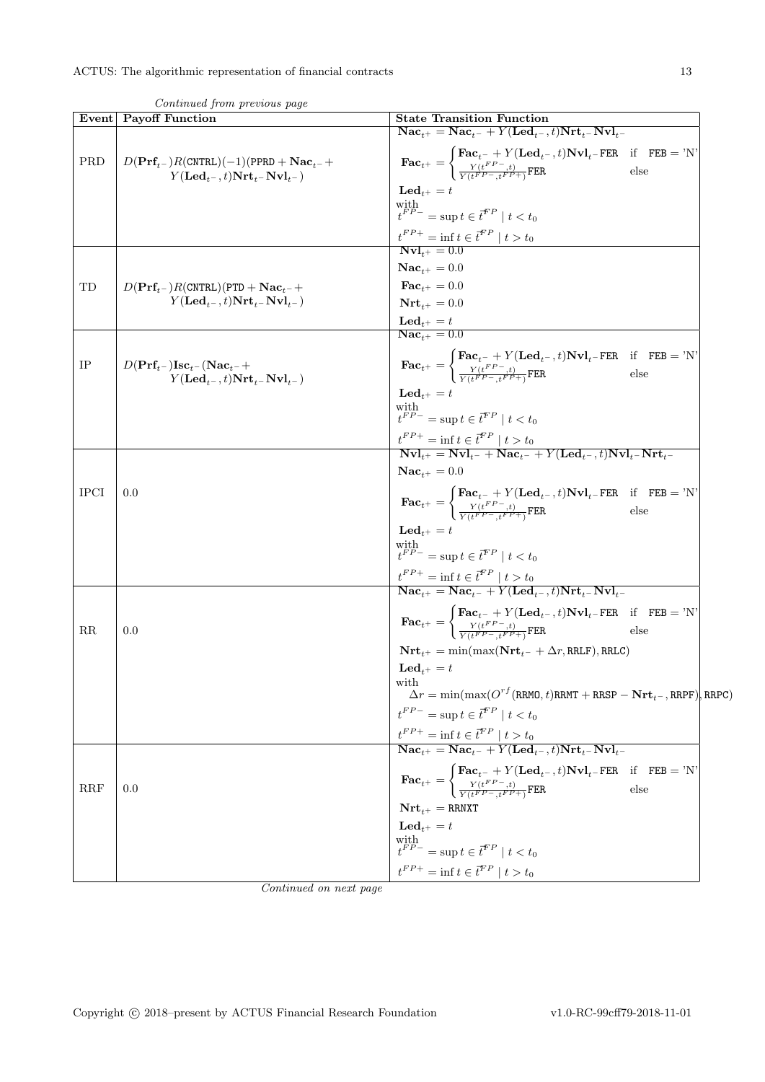|             | Event Payoff Function                                                                                                                    | <b>State Transition Function</b>                                                                                                                                                                                                                                                                                                                                                                                           |
|-------------|------------------------------------------------------------------------------------------------------------------------------------------|----------------------------------------------------------------------------------------------------------------------------------------------------------------------------------------------------------------------------------------------------------------------------------------------------------------------------------------------------------------------------------------------------------------------------|
|             |                                                                                                                                          | $\textbf{Nac}_{t+} = \textbf{Nac}_{t-} + Y(\textbf{Led}_{t-}, t) \textbf{Nrt}_{t-} \textbf{Nvl}_{t-}$                                                                                                                                                                                                                                                                                                                      |
| PRD         | $D(\text{Prf}_{t-})R(\text{CNTRL})(-1)(\text{PPRD} + \text{Nac}_{t-} +$<br>$Y(\mathbf{Led}_{t-}, t) \mathbf{Nrt}_{t-} \mathbf{Nvl}_{t-}$ | $\textbf{Fac}_{t^+} = \begin{cases} \textbf{Fac}_{t^-} + Y(\textbf{Led}_{t^-}, t) \textbf{Nvl}_{t^-} \textbf{FER} & \text{if} \quad \textbf{FEB} = \text{'}\text{N'}\\ \frac{Y(t^{FP-}, t)}{Y(t^{FP-}, t^{FP+})} \textbf{FER} & \text{else} \end{cases}$                                                                                                                                                                   |
|             |                                                                                                                                          | $\mathbf{Led}_{t+} = t$                                                                                                                                                                                                                                                                                                                                                                                                    |
|             |                                                                                                                                          | with $t^{FP-}$ = sup $t \in \vec{t}^{FP} \mid t < t_0$                                                                                                                                                                                                                                                                                                                                                                     |
|             |                                                                                                                                          | $t^{FP+} = \inf t \in \vec{t}^{FP} \mid t > t_0$                                                                                                                                                                                                                                                                                                                                                                           |
|             |                                                                                                                                          | $Nvl_{t+} = 0.0$                                                                                                                                                                                                                                                                                                                                                                                                           |
|             |                                                                                                                                          | $\mathbf{Nac}_{t+} = 0.0$                                                                                                                                                                                                                                                                                                                                                                                                  |
| TD          | $D(\text{Prf}_{t-})R(\text{CNTRL})(\text{PTD} + \text{Nac}_{t-} +$                                                                       | $\textbf{Fac}_{t+} = 0.0$                                                                                                                                                                                                                                                                                                                                                                                                  |
|             | $Y(\mathbf{Led}_{t-}, t) \mathbf{Nrt}_{t-} \mathbf{Nvl}_{t-}$                                                                            | $Nrtt+ = 0.0$                                                                                                                                                                                                                                                                                                                                                                                                              |
|             |                                                                                                                                          | $\textbf{Led}_{t+} = t$<br>$\mathbf{Nac}_{t+} = 0.0$                                                                                                                                                                                                                                                                                                                                                                       |
|             |                                                                                                                                          |                                                                                                                                                                                                                                                                                                                                                                                                                            |
| $_{\rm IP}$ | $D(\mathbf{Prf}_{t-})\mathbf{Isc}_{t-}(\mathbf{Nac}_{t-}+)$                                                                              | $\mathbf{Fac}_{t^+} = \begin{cases} \mathbf{Fac}_{t^-} + Y(\mathbf{Led}_{t^-}, t) \mathbf{Nvl}_{t^-} \text{FER} & \text{if} \quad \text{FEB} = 'N' \\ \frac{Y(t^{FP-}, t)}{Y(t^{FP-}, t^{FP+})} \text{FER} & \text{else} \end{cases}$                                                                                                                                                                                      |
|             | $Y(\mathbf{Led}_{t-}, t) \mathbf{Nrt}_{t-} \mathbf{Nvl}_{t-}$                                                                            |                                                                                                                                                                                                                                                                                                                                                                                                                            |
|             |                                                                                                                                          | $\mathbf{Led}_{t+} = t$                                                                                                                                                                                                                                                                                                                                                                                                    |
|             |                                                                                                                                          | with $t^{FP-} = \sup t \in \bar{t}^{FP} \mid t < t_0$                                                                                                                                                                                                                                                                                                                                                                      |
|             |                                                                                                                                          | $t^{FP+}$ = inf $t \in t^{FP} \mid t > t_0$<br><b>Nvl</b> <sub>t+</sub> = <b>Nvl</b> <sub>t-</sub> + <b>Nac</b> <sub>t-</sub> + <b>Y</b> ( <b>Led</b> <sub>t-</sub> , <i>t</i> ) <b>Nvl</b> <sub>t-</sub> <b>Nrt</b> <sub>t-</sub>                                                                                                                                                                                         |
|             |                                                                                                                                          |                                                                                                                                                                                                                                                                                                                                                                                                                            |
|             |                                                                                                                                          | $Nac_{t+} = 0.0$                                                                                                                                                                                                                                                                                                                                                                                                           |
| <b>IPCI</b> | 0.0                                                                                                                                      | $\textbf{Fac}_{t^+} = \begin{cases} \textbf{Fac}_{t^-} + Y(\textbf{Led}_{t^-}, t) \textbf{Nvl}_{t^-} \textbf{FER} & \text{if} \quad \textbf{FEB} = \text{'N'} \\ \frac{Y(t^{FP-}, t)}{Y(t^{FP-}, t^{FP+})} \textbf{FER} & \text{else} \end{cases}$                                                                                                                                                                         |
|             |                                                                                                                                          | $\mathbf{Led}_{t+} = t$                                                                                                                                                                                                                                                                                                                                                                                                    |
|             |                                                                                                                                          | with $t^{FP-}=\sup t\in\vec{t}^{FP}\mid t< t_0$                                                                                                                                                                                                                                                                                                                                                                            |
|             |                                                                                                                                          | $\begin{array}{l} \label{eq:trn1} \boldsymbol{t}^{FP+} = \inf \boldsymbol{t} \in \boldsymbol{\bar{t}}^{FP} \mid \boldsymbol{t} > t_0 \\ \overline{\textbf{N} \textbf{a} \textbf{c}_{t^+}} = \overline{\textbf{N} \textbf{a} \textbf{c}_{t^-}} + Y(\overline{\textbf{L} \textbf{e} \textbf{d}_{t^-}}, \boldsymbol{t}) \overline{\textbf{N} \textbf{r} \textbf{t}_{t^-} \textbf{N} \textbf{v} \textbf{l}_{t^-}} \end{array}$ |
|             |                                                                                                                                          |                                                                                                                                                                                                                                                                                                                                                                                                                            |
| RR          | 0.0                                                                                                                                      | $\textbf{Fac}_{t^+} = \begin{cases} \textbf{Fac}_{t^-} + Y(\textbf{Led}_{t^-}, t) \textbf{Nvl}_{t^-} \textbf{FER} & \text{if} \quad \textbf{FEB} = \textit{'N'}\\ \frac{Y(t^{FP-}, t)}{Y(t^{FP-}, t^{FP+1})} \textbf{FER} & \text{else} \end{cases}$                                                                                                                                                                       |
|             |                                                                                                                                          | $\mathbf{Nrt}_{t+} = \min(\max(\mathbf{Nrt}_{t-} + \Delta r, \text{RRLF}), \text{RRLC})$                                                                                                                                                                                                                                                                                                                                   |
|             |                                                                                                                                          | $\text{Led}_{t+} = t$                                                                                                                                                                                                                                                                                                                                                                                                      |
|             |                                                                                                                                          | with                                                                                                                                                                                                                                                                                                                                                                                                                       |
|             |                                                                                                                                          | $\Delta r = \min(\max(O^{rf}(\texttt{RRMO}, t)\texttt{RRMT} + \texttt{RRSP} - \textbf{Nrt}_{t^-}, \texttt{RRPF})\mid \texttt{RRPC})$                                                                                                                                                                                                                                                                                       |
|             |                                                                                                                                          | $t^{FP-} = \sup t \in \bar{t}^{FP} \mid t < t_0$                                                                                                                                                                                                                                                                                                                                                                           |
|             |                                                                                                                                          | $\frac{t^{FP+}}{\textbf{Nac}_{t+}} = \textbf{inf} \ t \in \bar{t}^{FP} \mid t > t_0$<br>$\textbf{Nac}_{t+} = \textbf{Nac}_{t-} + Y(\textbf{Led}_{t-}, t) \textbf{Nrt}_{t-} \textbf{Nvl}_{t-}$                                                                                                                                                                                                                              |
|             |                                                                                                                                          |                                                                                                                                                                                                                                                                                                                                                                                                                            |
| RRF         | 0.0                                                                                                                                      | $\textbf{Fac}_{t^+} = \begin{cases} \textbf{Fac}_{t^-} + Y(\textbf{Led}_{t^-}, t) \textbf{Nvl}_{t^-} \textbf{FER} & \text{if} \quad \textbf{FEB} = \text{'N'} \\ \frac{Y(t^{FP-}, t)}{Y(t^{FP-}, t^{FP+})} \textbf{FER} & \text{else} \end{cases}$                                                                                                                                                                         |
|             |                                                                                                                                          | $\mathbf{Nrt}_{t+} = \texttt{RRNXT}$                                                                                                                                                                                                                                                                                                                                                                                       |
|             |                                                                                                                                          | $\mathbf{Led}_{t+} = t$                                                                                                                                                                                                                                                                                                                                                                                                    |
|             |                                                                                                                                          | $\label{eq:optimal} \begin{array}{l} \underset{t}{\text{with}}\\ t^{FP-}=\sup t\in \vec{t}^{FP}\mid t< t_0 \end{array}$                                                                                                                                                                                                                                                                                                    |
|             |                                                                                                                                          | $t^{FP+} = \inf t \in \overline{t}^{FP} \mid t > t_0$                                                                                                                                                                                                                                                                                                                                                                      |
|             |                                                                                                                                          |                                                                                                                                                                                                                                                                                                                                                                                                                            |

Continued from previous page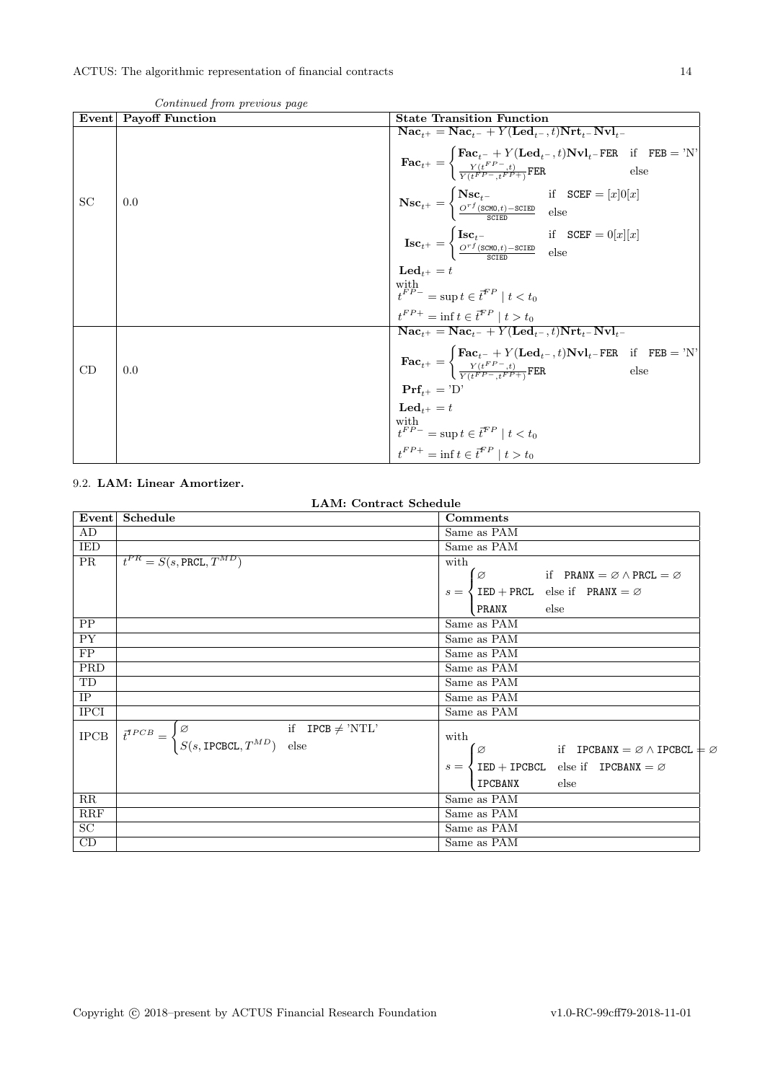| Event | <b>Payoff Function</b> | <b>State Transition Function</b>                                                                                                                                                                                                                          |
|-------|------------------------|-----------------------------------------------------------------------------------------------------------------------------------------------------------------------------------------------------------------------------------------------------------|
|       |                        | $\textbf{Nac}_{t+} = \textbf{Nac}_{t-} + Y(\textbf{Led}_{t-}, t)\textbf{Nrt}_{t-} - \textbf{Nvl}_{t-}$                                                                                                                                                    |
|       |                        | $\textbf{Fac}_{t^+} = \begin{cases} \textbf{Fac}_{t^-} + Y(\textbf{Led}_{t^-}, t) \textbf{Nvl}_{t^-} \textbf{FER} & \text{if} \quad \textbf{FEB} = \text{'}N' \\ \frac{Y(t^{FP-}, t)}{Y(t^FP- + FP + \sqrt{FPR})} \textbf{FER} & \text{else} \end{cases}$ |
| SC    | 0.0                    | $\textbf{Nsc}_{t^+} = \begin{cases} \textbf{Nsc}_{t^-} & \text{if} \quad \texttt{SCEF} = [x]0[x] \\ \frac{O^{rf}(\texttt{SCMD},t) - \texttt{SCEED}}{\texttt{SCTED}} & \text{else} \end{cases}$                                                            |
|       |                        | $\textbf{Isc}_{t^{+}} = \begin{cases} \textbf{Isc}_{t^{-}} & \text{if} \quad \texttt{SCEF} = 0[x][x] \\ \frac{O^{rf}(\texttt{SCMD}, t) - \texttt{SCEED}}{\texttt{CCTED}} & \text{else} \end{cases}$                                                       |
|       |                        | $\mathbf{Led}_{t+} = t$                                                                                                                                                                                                                                   |
|       |                        | with $t^{FP-}$ = sup $t \in \bar{t}^{FP} \mid t < t_0$                                                                                                                                                                                                    |
|       |                        | $t^{FP+} = \inf t \in \vec{t}^{FP} \mid t > t_0$                                                                                                                                                                                                          |
|       |                        | $\text{Nac}_{t+} = \text{Nac}_{t-} + Y(\text{Led}_{t-}, t)\text{Nrt}_{t-} \text{Nvl}_{t-}$                                                                                                                                                                |
| CD    | 0.0                    | $\textbf{Fac}_{t^+} = \begin{cases} \textbf{Fac}_{t^-} + Y(\textbf{Led}_{t^-}, t) \textbf{Nvl}_{t^-} \textbf{FER} & \text{if} \quad \textbf{FEB} = \text{'}N' \\ \frac{Y(t^{FP-}, t)}{Y(t^FP- + FP + 1^2)} \textbf{FER} & \text{else} \end{cases}$        |
|       |                        | $\Pr f_{t+} = 'D'$                                                                                                                                                                                                                                        |
|       |                        | $\mathbf{Led}_{t+} = t$                                                                                                                                                                                                                                   |
|       |                        | with<br>$t^{FP-}$ = sup $t \in \bar{t}^{FP} \mid t < t_0$<br>$t^{FP+}$ = inf $t \in \bar{t}^{FP} \mid t > t_0$                                                                                                                                            |
|       |                        |                                                                                                                                                                                                                                                           |

Continued from previous page

### <span id="page-13-0"></span>9.2. LAM: Linear Amortizer.

LAM: Contract Schedule

| Event           | Schedule                                                                                                                                              | Comments                                                                           |
|-----------------|-------------------------------------------------------------------------------------------------------------------------------------------------------|------------------------------------------------------------------------------------|
| AD              |                                                                                                                                                       | Same as PAM                                                                        |
| IED             |                                                                                                                                                       | Same as PAM                                                                        |
| PR              | $t^{PR} = S(s, \text{PRCL}, T^{MD})$                                                                                                                  | with                                                                               |
|                 |                                                                                                                                                       | Ø<br>if PRANX = $\varnothing \wedge \text{PRCL} = \varnothing$                     |
|                 |                                                                                                                                                       | $s = \langle \text{IED} + \text{PRCL} \text{ else if } \text{PRANK} = \varnothing$ |
|                 |                                                                                                                                                       | else<br>PRANX                                                                      |
| PP              |                                                                                                                                                       | Same as PAM                                                                        |
| $\overline{PY}$ |                                                                                                                                                       | Same as PAM                                                                        |
| FP              |                                                                                                                                                       | Same as PAM                                                                        |
| PRD             |                                                                                                                                                       | Same as PAM                                                                        |
| TD              |                                                                                                                                                       | Same as PAM                                                                        |
| IP              |                                                                                                                                                       | Same as PAM                                                                        |
| <b>IPCI</b>     |                                                                                                                                                       | Same as PAM                                                                        |
| $_{\rm IPCB}$   | $\vec{t}^{TPCB} = \begin{cases} \varnothing & \text{if} \quad \text{IPCB} \neq \text{'NTL'} \\ S(s, \text{IPCBCL}, T^{MD}) & \text{else} \end{cases}$ | with                                                                               |
|                 |                                                                                                                                                       | Ø<br>if $IPCBANK = \varnothing \wedge IPCBCL \neq \varnothing$                     |
|                 |                                                                                                                                                       | $s = \langle$ IED + IPCBCL else if IPCBANX = $\varnothing$                         |
|                 |                                                                                                                                                       | IPCBANX<br>else                                                                    |
| RR              |                                                                                                                                                       | Same as PAM                                                                        |
| RRF             |                                                                                                                                                       | Same as PAM                                                                        |
| $\overline{SC}$ |                                                                                                                                                       | Same as PAM                                                                        |
| CD              |                                                                                                                                                       | Same as PAM                                                                        |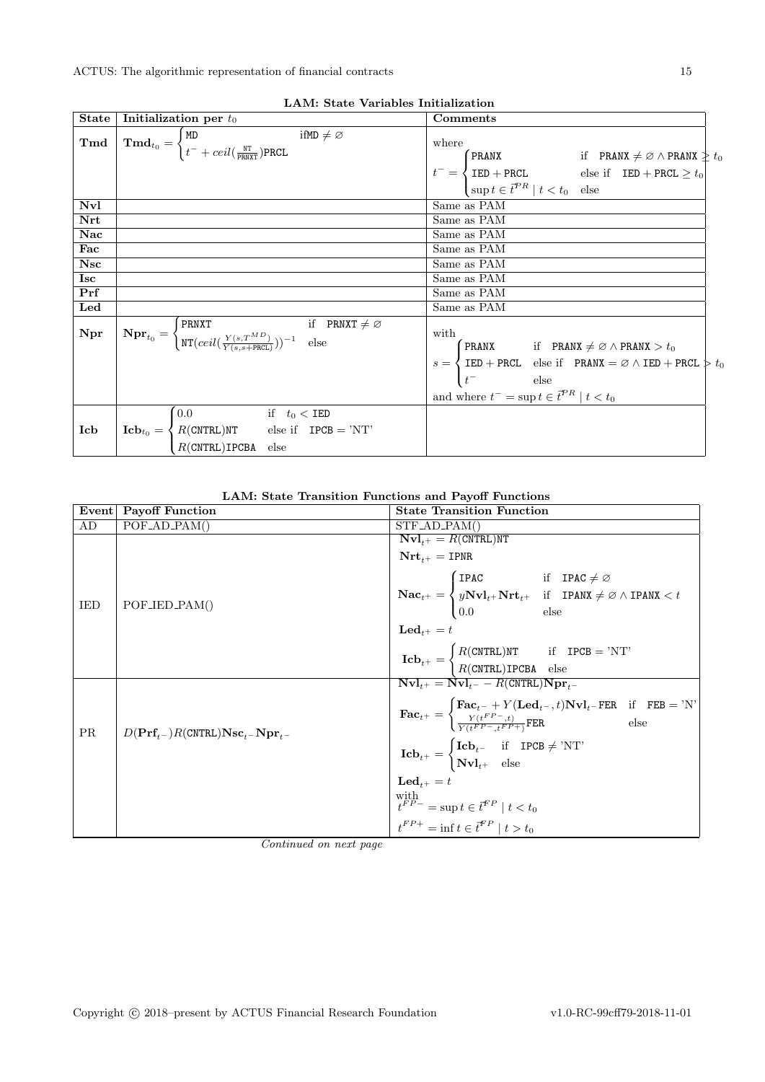|              | LAIVI. State valiables illitraiization                                                                                                                                                                                            |                                                                                                                                                                                                                                                                                           |
|--------------|-----------------------------------------------------------------------------------------------------------------------------------------------------------------------------------------------------------------------------------|-------------------------------------------------------------------------------------------------------------------------------------------------------------------------------------------------------------------------------------------------------------------------------------------|
| <b>State</b> | Initialization per $t_0$                                                                                                                                                                                                          | Comments                                                                                                                                                                                                                                                                                  |
| Tmd          | $\mathbf{Tmd}_{t_0} = \begin{cases} \mathtt{MD} & \text{ifMD} \neq \varnothing \\ t^- + \text{ceil}(\frac{\mathtt{NT}}{\mathtt{punyr}}) \mathtt{PRCL} \end{cases}$                                                                | where                                                                                                                                                                                                                                                                                     |
|              |                                                                                                                                                                                                                                   | FRANX if PRANX $\neq \emptyset \wedge$ PRANX $\geq t_0$<br>$t^- = \begin{cases}$ PRANX and the subset of $t = t_0$ and $t \in t^{TPR} \mid t < t_0$ and the subset of $t \in t^{TPR} \mid t < t_0$ are subset                                                                             |
| Nvl          |                                                                                                                                                                                                                                   | Same as PAM                                                                                                                                                                                                                                                                               |
| Nrt          |                                                                                                                                                                                                                                   | Same as PAM                                                                                                                                                                                                                                                                               |
| Nac          |                                                                                                                                                                                                                                   | Same as PAM                                                                                                                                                                                                                                                                               |
| Fac          |                                                                                                                                                                                                                                   | Same as PAM                                                                                                                                                                                                                                                                               |
| <b>Nsc</b>   |                                                                                                                                                                                                                                   | Same as PAM                                                                                                                                                                                                                                                                               |
| Isc          |                                                                                                                                                                                                                                   | Same as PAM                                                                                                                                                                                                                                                                               |
| Prf          |                                                                                                                                                                                                                                   | Same as PAM                                                                                                                                                                                                                                                                               |
| $_{\rm Led}$ |                                                                                                                                                                                                                                   | Same as PAM                                                                                                                                                                                                                                                                               |
| Npr          | $\overline{\textbf{Npr}_{t_0}} = \begin{cases} \texttt{PRNXT} & \text{if} \quad \texttt{F} \\ \texttt{NT}(\textit{ceil}(\frac{Y(s,T^{MD})}{Y(s.s + \texttt{PRCL})}))^{-1} & \text{else} \end{cases}$<br>if PRNXT $\neq \emptyset$ | with<br>$s = \begin{cases} \texttt{PRANK} & \text{if } \texttt{PRANK} \neq \varnothing \land \texttt{PRANX} > t_0 \\ \texttt{IED} + \texttt{PRCL} & \text{else if } \texttt{PRANX} = \varnothing \land \texttt{IED} + \texttt{PRCL} \\ t^- & \text{else} \end{cases} \hspace{0.05in} t_0$ |
|              |                                                                                                                                                                                                                                   |                                                                                                                                                                                                                                                                                           |
|              |                                                                                                                                                                                                                                   |                                                                                                                                                                                                                                                                                           |
|              |                                                                                                                                                                                                                                   | and where $t^- = \sup t \in \vec{t}^{PR} \mid t < t_0$                                                                                                                                                                                                                                    |
|              | 0.0 if $t_0 <$ IED                                                                                                                                                                                                                |                                                                                                                                                                                                                                                                                           |
| Icb          |                                                                                                                                                                                                                                   |                                                                                                                                                                                                                                                                                           |
|              | $\label{eq:ICb} \mathbf{Icb}_{t_0} = \left\{ \begin{aligned} &R(\texttt{CNTRL})\texttt{NT} && \text{else if} && \texttt{IPCB = 'NT'}\\ &R(\texttt{CNTRL})\texttt{IPCBA} && \text{else} && \end{aligned} \right.$                  |                                                                                                                                                                                                                                                                                           |

LAM: State Variables Initialization

LAM: State Transition Functions and Payoff Functions

| Event     | <b>Payoff Function</b>                                                  | <b>State Transition Function</b>                                                                                                                                                                                                                                                                       |
|-----------|-------------------------------------------------------------------------|--------------------------------------------------------------------------------------------------------------------------------------------------------------------------------------------------------------------------------------------------------------------------------------------------------|
| AD        | $POF$ _AD_PAM()                                                         | STF_AD_PAM()                                                                                                                                                                                                                                                                                           |
|           |                                                                         | $\mathbf{Nvl}_{t+} = R(\text{CNTRL})\text{NT}$<br>$\mathbf{Nrt}_{t^+} = \texttt{IPNR}$                                                                                                                                                                                                                 |
| IED       | $POF_\text{JED\_PAM()}$                                                 | $\begin{array}{ l l } \hline \\ & \mathbf{Nac}_{t^+}=\begin{cases} \texttt{IPAC} & \text{if} \quad \texttt{IPAC} \neq \varnothing \\ y \mathbf{Nvl}_{t^+} \mathbf{Nrt}_{t^+} & \text{if} \quad \texttt{IPANX} \neq \varnothing \wedge \texttt{IPANX} < t \\ 0.0 & \text{else} \end{cases} \end{array}$ |
|           |                                                                         | $\mathbf{Led}_{t+} = t$                                                                                                                                                                                                                                                                                |
|           |                                                                         | $\mathbf{ICb}_{t^+} = \begin{cases} R(\text{CNTRL})\texttt{NT} & \text{if} \quad \texttt{IPCB} = \text{'NT'} \\ R(\texttt{CNTRL})\texttt{IPCBA} & \text{else} \end{cases}$                                                                                                                             |
|           |                                                                         | $\overline{\mathbf{N} \mathbf{v} \mathbf{l}_{t+}} = \overline{\mathbf{N} \mathbf{v} \mathbf{l}_{t-}} - R(\text{CNTRL}) \overline{\mathbf{N} \mathbf{p} \mathbf{r}_{t-}}$                                                                                                                               |
| <b>PR</b> | $D(\textbf{Prf}_{t-})R(\text{CNTRL})\textbf{Nsc}_{t-}\textbf{Npr}_{t-}$ | $\textbf{Fac}_{t^+} = \left\{ \begin{matrix} \textbf{Fac}_{t^-} + Y(\textbf{Led}_{t^-}, t) \textbf{Nvl}_{t^-} \textbf{FER} & \text{if} & \textbf{FEB} = 'N' \\ \frac{Y(t^{FP-}, t)}{Y(t^{FP-}, t^{FP+})} \textbf{FER} & \text{else} \end{matrix} \right.$                                              |
|           |                                                                         | $\label{eq:1} \textbf{Icb}_{t^+} = \begin{cases} \textbf{Icb}_{t^-} & \text{if} \quad \texttt{IPCB} \neq \texttt{'NT'}\\ \textbf{Nvl}_{t^+} & \text{else} \end{cases}$                                                                                                                                 |
|           |                                                                         | $\mathbf{Led}_{t^+} = t$                                                                                                                                                                                                                                                                               |
|           |                                                                         | $\begin{aligned} & \underset{t^{FP+}}{\text{with}} = \sup{t \in \boldsymbol{\bar{t}}^{FP} \mid t < t_0} \\ & \quad t^{FP+} = \inf{t \in \boldsymbol{\bar{t}}^{FP} \mid t > t_0} \end{aligned}$                                                                                                         |
|           |                                                                         |                                                                                                                                                                                                                                                                                                        |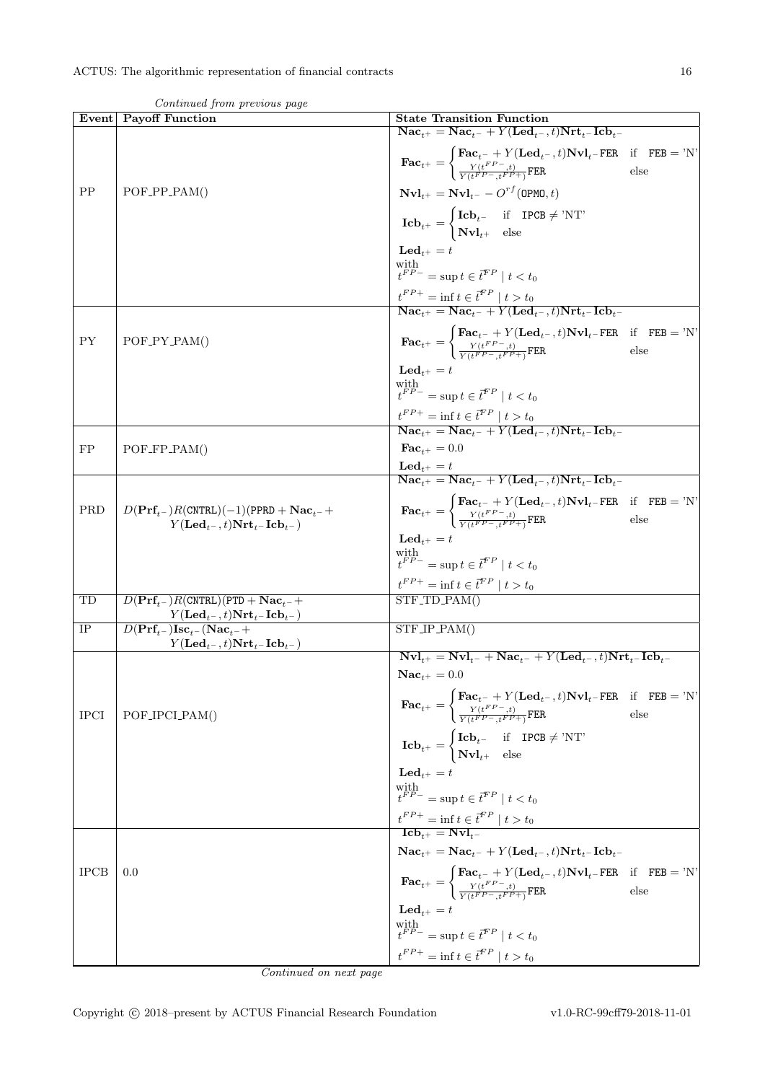|             | Contentaca from previous page<br>Event Payoff Function                                                                                   | <b>State Transition Function</b>                                                                                                                                                                                                                                     |  |
|-------------|------------------------------------------------------------------------------------------------------------------------------------------|----------------------------------------------------------------------------------------------------------------------------------------------------------------------------------------------------------------------------------------------------------------------|--|
|             |                                                                                                                                          | $\textbf{Nac}_{t+} = \textbf{Nac}_{t-} + Y(\textbf{Led}_{t-}, t)\textbf{Nrt}_{t-} \textbf{Icb}_{t-}$                                                                                                                                                                 |  |
|             |                                                                                                                                          | $\textbf{Fac}_{t^+} = \begin{cases} \textbf{Fac}_{t^-} + Y(\textbf{Led}_{t^-}, t) \textbf{Nvl}_{t^-} \textbf{FER} & \text{if} \quad \textbf{FEB} = \text{'}N' \\ \frac{Y(t^{FP-}, t)}{Y(t^FP-}, t^FP+)} \textbf{FER} & \text{else} \end{cases}$                      |  |
| PP          | $POF_PPP_PAM()$                                                                                                                          | $\mathbf{Nvl}_{t+} = \mathbf{Nvl}_{t-} - O^{rf}(\texttt{OPMO}, t)$                                                                                                                                                                                                   |  |
|             |                                                                                                                                          | $\mathbf{Leb}_{t^{+}} = \begin{cases} \mathbf{Icb}_{t^{-}} & \text{if } \mathbf{IPCB} \neq \text{'NT'} \\ \mathbf{Nvl}_{t^{+}} & \text{else} \end{cases}$                                                                                                            |  |
|             |                                                                                                                                          | $\mathbf{Led}_{t+} = t$                                                                                                                                                                                                                                              |  |
|             |                                                                                                                                          | with $t^{FP-}$ = sup $t \in \vec{t}^{FP} \mid t < t_0$                                                                                                                                                                                                               |  |
|             |                                                                                                                                          | $\frac{t^{FP+}}{\textbf{Nac}_{t+}} = \inf t \in \overline{t}^{FP} \mid t > t_0$<br>$\overline{\textbf{Nac}_{t+}} = \textbf{Nac}_{t-} + Y(\textbf{Led}_{t-}, t)\textbf{Nrt}_{t-}\textbf{Icb}_{t-}$                                                                    |  |
|             |                                                                                                                                          |                                                                                                                                                                                                                                                                      |  |
| <b>PY</b>   | $POF_PY_PAM()$                                                                                                                           | $\textbf{Fac}_{t^+} = \begin{cases} \textbf{Fac}_{t^-} + Y(\textbf{Led}_{t^-}, t) \textbf{Nvl}_{t^-} \textbf{FER} & \text{if} \quad \textbf{FEB} = \text{'N'} \\ \frac{Y(t^{FP-}, t)}{Y(t^{FP-}, t^{FP+})} \textbf{FER} & \text{else} \end{cases}$                   |  |
|             |                                                                                                                                          | $\mathbf{Led}_{t+} = t$                                                                                                                                                                                                                                              |  |
|             |                                                                                                                                          | with $t^{FP-}=\sup t\in\vec{t}^{FP}\mid t< t_0$                                                                                                                                                                                                                      |  |
|             |                                                                                                                                          |                                                                                                                                                                                                                                                                      |  |
|             |                                                                                                                                          | $\frac{t^{FP+}}{\textbf{Nac}_{t+}} = \inf t \in \overline{t}^{FP} \mid t > t_0$<br>$\overline{\textbf{Nac}_{t+}} = \textbf{Nac}_{t-} + Y(\textbf{Led}_{t-}, t) \textbf{Nrt}_{t-} \textbf{Icb}_{t-}$                                                                  |  |
| FP          | $POF_FPP_PAM()$                                                                                                                          | $\mathbf{Fac}_{t+}=0.0$                                                                                                                                                                                                                                              |  |
|             |                                                                                                                                          | $\textbf{Led}_{t+} = t$                                                                                                                                                                                                                                              |  |
|             |                                                                                                                                          | $\overline{\text{Nac}_{t+}} = \text{Nac}_{t-} + Y(\text{Led}_{t-}, t)\text{Nrt}_{t-}\text{Icb}_{t-}$                                                                                                                                                                 |  |
| PRD         | $D(\text{Prf}_{t-})R(\text{CNTRL})(-1)(\text{PPRD} + \text{Nac}_{t-} +$<br>$Y(\mathbf{Led}_{t-}, t) \mathbf{Nrt}_{t-} \mathbf{Icb}_{t-}$ | $\textbf{Fac}_{t^{+}} = \begin{cases} \textbf{Fac}_{t^{-}} + Y(\textbf{Led}_{t^{-}}, t) \textbf{Nvl}_{t^{-}} \textbf{FER} & \text{if} \textbf{FEB} = 'N' \\ \frac{Y(t^{FP} - , t)}{Y(t^{FP} - , t^{FP} + )} \textbf{FER} & \text{else} \end{cases}$                  |  |
|             |                                                                                                                                          | $\mathbf{Led}_{t+} = t$                                                                                                                                                                                                                                              |  |
|             |                                                                                                                                          | with $t^{FP-}=\sup t\in\vec{t}^{FP}\mid t< t_0$                                                                                                                                                                                                                      |  |
|             |                                                                                                                                          | $t^{FP+} = \inf t \in \vec{t}^{FP} \mid t > t_0$                                                                                                                                                                                                                     |  |
| TD          | $D(\text{Prf}_{t-})R(\text{CNTRL})(\text{PTD} + \text{Nac}_{t-} +$                                                                       | $STF\_TD\_PAM()$                                                                                                                                                                                                                                                     |  |
|             | $Y(\mathbf{Led}_{t-}, t) \mathbf{Nrt}_{t-} \mathbf{Icb}_{t-})$                                                                           |                                                                                                                                                                                                                                                                      |  |
| IP          | $D(\text{Prf}_{t-})\text{Isc}_{t-}(\text{Nac}_{t-}+)$<br>$Y(\mathbf{Led}_{t-}, t) \mathbf{Nrt}_{t-} \mathbf{Icb}_{t-})$                  | $STF/IP_PAM()$                                                                                                                                                                                                                                                       |  |
|             |                                                                                                                                          | $\overline{\mathbf{Nvl}_{t+}} = \mathbf{Nvl}_{t-} + \mathbf{Nac}_{t-} + Y(\mathbf{Led}_{t-}, t)\mathbf{Nrt}_{t-}\mathbf{Icb}_{t-}$                                                                                                                                   |  |
|             |                                                                                                                                          | $\mathbf{Nac}_{t+} = 0.0$                                                                                                                                                                                                                                            |  |
| <b>IPCI</b> | POF_IPCLPAM()                                                                                                                            | $\textbf{Fac}_{t^+} = \left\{ \begin{matrix} \textbf{Fac}_{t^-} + Y(\textbf{Led}_{t^-}, t) \textbf{Nvl}_{t^-} \textbf{FER} & \text{if} \quad \textbf{FEB} = \text{'N'} \\ \frac{Y(t^{FP-}, t)}{Y(t^{FP-}, t^{FP+})} \textbf{FER} & \text{else} \end{matrix} \right.$ |  |
|             |                                                                                                                                          | $\label{eq:1} \textbf{Icb}_{t^+} = \begin{cases} \textbf{Icb}_{t^-} & \text{if} \quad \texttt{IPCB} \neq \text{'NT'} \\ \textbf{Nvl}_{t^+} & \text{else} \end{cases}$                                                                                                |  |
|             |                                                                                                                                          | $\mathbf{Led}_{t^+} = t$                                                                                                                                                                                                                                             |  |
|             |                                                                                                                                          | with $t^{FP-}=\sup t\in\vec{t}^{FP}\mid t< t_0$                                                                                                                                                                                                                      |  |
|             |                                                                                                                                          | $\frac{t^{FP+}=\inf t\in\bar{t}^{FP}\mid t>t_0}{\mathbf{Icb}_{t^+}=\mathbf{Nvl}_{t^-}}$                                                                                                                                                                              |  |
|             |                                                                                                                                          |                                                                                                                                                                                                                                                                      |  |
|             |                                                                                                                                          | $\textbf{Nac}_{t+} = \textbf{Nac}_{t-} + Y(\textbf{Led}_{t-}, t)\textbf{Nrt}_{t-}\textbf{Icb}_{t-}$                                                                                                                                                                  |  |
| <b>IPCB</b> | 0.0                                                                                                                                      | $\textbf{Fac}_{t+} = \begin{cases} \textbf{Fac}_{t-} + Y(\textbf{Led}_{t-}, t) \textbf{Nvl}_{t-} \textbf{FER} & \text{if} \quad \textbf{FEB} = 'N' \\ \frac{Y(t^{FP} - t)}{Y(t^{FP} - t^{FP} + 1)} \textbf{FER} & \text{else} \end{cases}$                           |  |
|             |                                                                                                                                          | $\mathbf{Led}_{t^+} = t$                                                                                                                                                                                                                                             |  |
|             |                                                                                                                                          | with $t^{FP-} = \sup t \in \vec{t}^{FP} \mid t < t_0$                                                                                                                                                                                                                |  |
|             |                                                                                                                                          | $t^{FP+} = \inf t \in \bar{t}^{FP} \mid t > t_0$                                                                                                                                                                                                                     |  |

Continued from previous page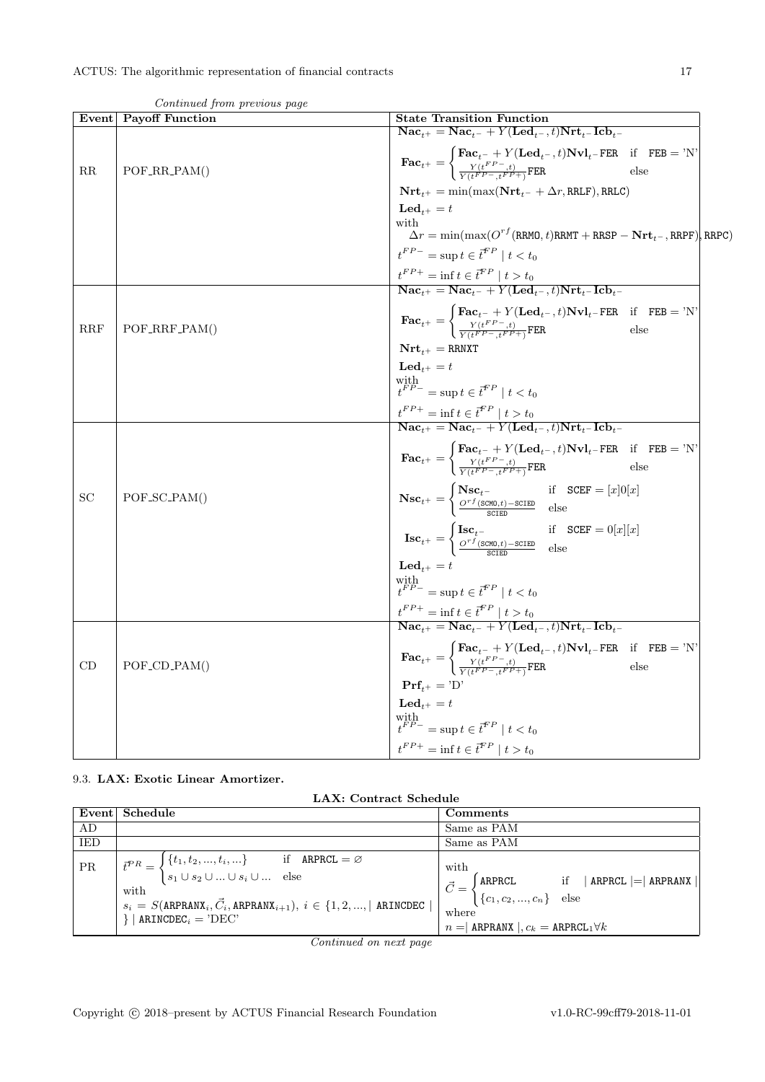|             | Event Payoff Function | <b>State Transition Function</b>                                                                                                                                                                                                                                                                                                                                                                                                  |
|-------------|-----------------------|-----------------------------------------------------------------------------------------------------------------------------------------------------------------------------------------------------------------------------------------------------------------------------------------------------------------------------------------------------------------------------------------------------------------------------------|
|             |                       | $\textbf{Nac}_{t+} = \textbf{Nac}_{t-} + Y(\textbf{Led}_{t-}, t)\textbf{Nrt}_{t-} \textbf{Icb}_{t-}$                                                                                                                                                                                                                                                                                                                              |
| $_{\rm RR}$ | $POF_RR_PAM()$        | $\textbf{Fac}_{t^+} = \begin{cases} \textbf{Fac}_{t^-} + Y(\textbf{Led}_{t^-}, t) \textbf{Nvl}_{t^-} \textbf{FER} & \text{if} \quad \textbf{FEB} = \text{'N'} \\ \frac{Y(t^{FP-}, t)}{Y(t^{FP-}, t^{FP+})} \textbf{FER} & \text{else} \end{cases}$                                                                                                                                                                                |
|             |                       | $\mathbf{Nrt}_{t^+} = \min(\max(\mathbf{Nrt}_{t^-} + \Delta r, \text{RRLF}), \text{RRLC})$                                                                                                                                                                                                                                                                                                                                        |
|             |                       | $\mathbf{Led}_{t+} = t$                                                                                                                                                                                                                                                                                                                                                                                                           |
|             |                       | with<br>$\overline{\Delta}r = \min(\max(O^{rf}(\texttt{RRMO}, t)\texttt{RRMT} + \texttt{RRSP} - \textbf{Nrt}_{t^-}, \texttt{RRPF})$ , RRPC)                                                                                                                                                                                                                                                                                       |
|             |                       | $t^{FP-} = \sup t \in \bar{t}^{FP} \mid t < t_0$                                                                                                                                                                                                                                                                                                                                                                                  |
|             |                       |                                                                                                                                                                                                                                                                                                                                                                                                                                   |
|             |                       | $\begin{array}{l} \label{eq:2} \textit{t}^{FP+} = \inf t \in \textit{t}^{FP} \mid t > t_0 \\ \textbf{Nac}_{t+} = \textbf{Nac}_{t-} + Y(\textbf{Led}_{t-}, t) \textbf{Nrt}_{t-} \textbf{Icb}_{t-} \end{array}$                                                                                                                                                                                                                     |
| <b>RRF</b>  | $POF_RRF_PAM()$       | $\textbf{Fac}_{t^{+}} = \begin{cases} \textbf{Fac}_{t^{-}} + Y(\textbf{Led}_{t^{-}}, t) \textbf{Nvl}_{t^{-}} \textbf{FER} & \text{if} \quad \textbf{FEB} = \text{'}N' \\ \frac{Y(t^{FP-}, t)}{Y(t^{FP-} + F^P + 1)} \textbf{FER} & \text{else} \end{cases}$                                                                                                                                                                       |
|             |                       | $\mathbf{Nrt}_{t+} = \texttt{RRNXT}$                                                                                                                                                                                                                                                                                                                                                                                              |
|             |                       | $\mathbf{Led}_{t^+} = t$                                                                                                                                                                                                                                                                                                                                                                                                          |
|             |                       | with $t^{FP-}=\sup t\in\vec{t}^{FP}\mid t$                                                                                                                                                                                                                                                                                                                                                                                        |
|             |                       | $\frac{t^{FP+}}{\textbf{Nac}_{t+}} = \inf t \in \overline{t}^{FP} \mid t > t_0$<br>$\overline{\textbf{Nac}_{t+}} = \textbf{Nac}_{t-} + Y(\textbf{Led}_{t-}, t)\textbf{Nrt}_{t-}\textbf{Icb}_{t-}$                                                                                                                                                                                                                                 |
|             |                       |                                                                                                                                                                                                                                                                                                                                                                                                                                   |
|             |                       | $\textbf{Fac}_{t^+} = \begin{cases} \textbf{Fac}_{t^-} + Y(\textbf{Led}_{t^-}, t) \textbf{Nvl}_{t^-} \textbf{FER} & \text{if} \quad \textbf{FEB} = \text{'N'} \\ \frac{Y(t^{FP-}, t)}{Y(t^{FP-}, t^{FP+})} \textbf{FER} & \text{else} \end{cases}$                                                                                                                                                                                |
| SC          | POF_SC_PAM()          | $\begin{aligned} \textbf{Nsc}_{t^{+}} &= \begin{cases} \textbf{Nsc}_{t^{-}} & \text{if} \quad \texttt{SCEF} = [x]0[x] \\ \frac{O^{rf}(\texttt{SCMD},t)-\texttt{SCIED}}{\texttt{SCED}} & \text{else} \end{cases} \\ \textbf{Isc}_{t^{+}} &= \begin{cases} \textbf{Isc}_{t^{-}} & \text{if} \quad \texttt{SCEF} = 0[x][x] \\ \frac{O^{rf}(\texttt{SCMD},t)-\texttt{SCIED}}{\texttt{SCIED}} & \text{else} \end{cases} \end{aligned}$ |
|             |                       |                                                                                                                                                                                                                                                                                                                                                                                                                                   |
|             |                       | $\mathbf{Led}_{t+} = t$                                                                                                                                                                                                                                                                                                                                                                                                           |
|             |                       | with $t^{FP-}=\sup t\in\vec{t}^{FP}\mid t< t_0$                                                                                                                                                                                                                                                                                                                                                                                   |
|             |                       | $\begin{array}{l} \label{eq:2} \frac{t^{FP+}}{\mathbf{Nac}_t+} = \inf t \in \overline{t}^{FP} \mid t > t_0 \\ \overline{\mathbf{Nac}_t+} = \mathbf{Nac}_{t^-} + Y(\mathbf{Led}_{t^-}, t) \mathbf{Nrt}_{t^-} \mathbf{Icb}_{t^-} \end{array}$                                                                                                                                                                                       |
|             |                       |                                                                                                                                                                                                                                                                                                                                                                                                                                   |
| CD          | $POF\_CD\_PAM()$      | $\textbf{Fac}_{t^+} = \begin{cases} \textbf{Fac}_{t^-} + Y(\textbf{Led}_{t^-}, t) \textbf{Nvl}_{t^-} \textbf{FER} & \text{if} \quad \textbf{FEB} = \text{'}N' \\ \frac{Y(t^{FP-}, t)}{Y(t^{FP-}, t^{FP+})} \textbf{FER} & \text{else} \end{cases}$                                                                                                                                                                                |
|             |                       | $Prf_{i+} = 'D'$                                                                                                                                                                                                                                                                                                                                                                                                                  |
|             |                       | $\mathbf{Led}_{t+} = t$                                                                                                                                                                                                                                                                                                                                                                                                           |
|             |                       | with $t^{FP-}=\sup t\in\overline{t}^{FP}\mid t< t_0$                                                                                                                                                                                                                                                                                                                                                                              |
|             |                       | $t^{FP+} = \inf t \in \bar{t}^{FP} \mid t > t_0$                                                                                                                                                                                                                                                                                                                                                                                  |

Continued from previous page

<span id="page-16-0"></span>9.3. LAX: Exotic Linear Amortizer.

| LAX: Contract Schedule |
|------------------------|
|                        |

|            | Event Schedule                                                                                                                                                                                                                                                                                                                                                                                                                                                                                                                                                                                                                                                                                                                            | Comments                                                        |
|------------|-------------------------------------------------------------------------------------------------------------------------------------------------------------------------------------------------------------------------------------------------------------------------------------------------------------------------------------------------------------------------------------------------------------------------------------------------------------------------------------------------------------------------------------------------------------------------------------------------------------------------------------------------------------------------------------------------------------------------------------------|-----------------------------------------------------------------|
| AD         |                                                                                                                                                                                                                                                                                                                                                                                                                                                                                                                                                                                                                                                                                                                                           | Same as PAM                                                     |
| <b>IED</b> |                                                                                                                                                                                                                                                                                                                                                                                                                                                                                                                                                                                                                                                                                                                                           | Same as PAM                                                     |
| PR         | $\begin{aligned} \n\begin{cases} \n\tilde{t}^{PR} = \begin{cases} \n\{t_1, t_2, , t_i, \} & \text{if } \text{ARPRCL} = \varnothing \\ s_1 \cup s_2 \cup  \cup s_i \cup  & \text{else}\n\end{cases} \n\end{aligned}$<br>$\left \begin{array}{ll}\text{with} \\ s_i = S(\text{ARPRANX}_i, \vec{C}_i, \text{ARPRANX}_{i+1}), \ i \in \{1, 2, , \mid \text{ARINCDEC} \mid \\ & & \text{ARINCDEC} \mid \\ & & \text{ARINCDEC} \end{array}\right  \left \begin{array}{ll} \vec{C} = \begin{cases} \text{ARPRCL} & \text{if} \quad   \text{ ARPRCL} \mid \\ \{c_1, c_2, , c_n\} & \text{else} \end{cases} \right  =   \text{ARPRANX}   \text{EPINCDEC}   \text{EPINCDEC}   \text{EPINCDEC}   \text{EPIN$<br>$\}$   ARINCDEC <sub>i</sub> = 'DEC' | with<br>$n =$ ARPRANX $, c_k =$ ARPRCL <sub>1</sub> $\forall k$ |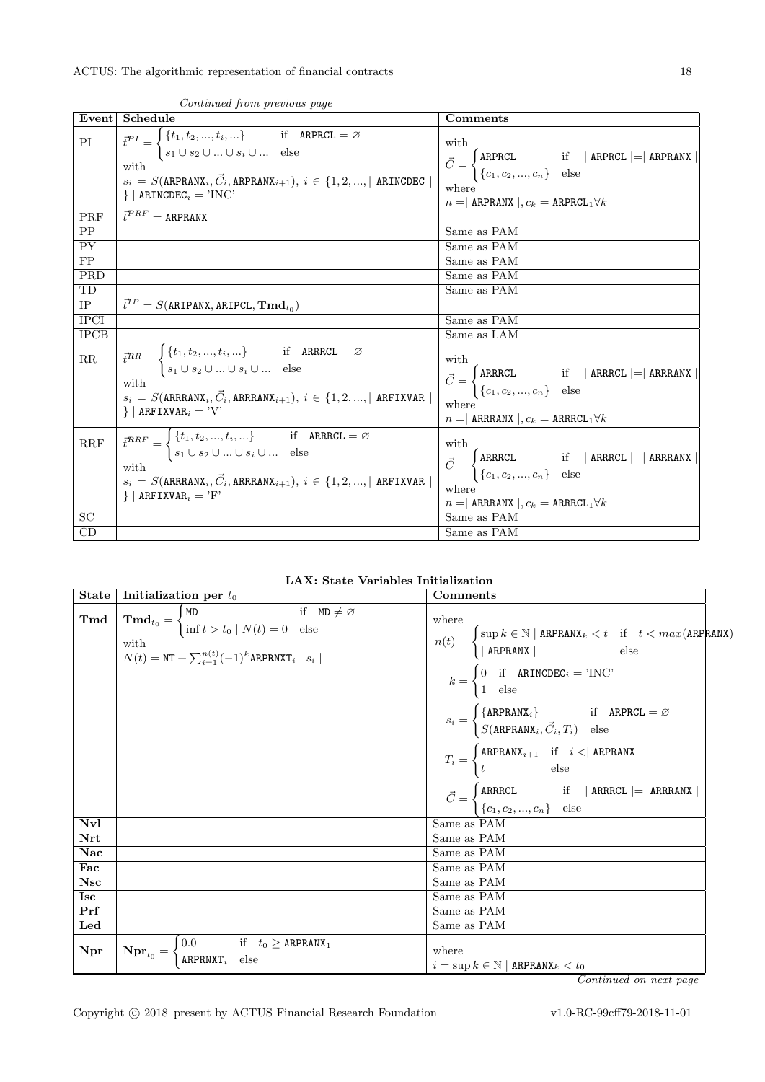|                          | Event Schedule                                                                                                                                                                                                                                                                                                                                                                                              | Comments                                                                                                                                                                                                                                             |
|--------------------------|-------------------------------------------------------------------------------------------------------------------------------------------------------------------------------------------------------------------------------------------------------------------------------------------------------------------------------------------------------------------------------------------------------------|------------------------------------------------------------------------------------------------------------------------------------------------------------------------------------------------------------------------------------------------------|
| $\mathcal{P}\mathcal{I}$ | $\begin{aligned} \overline{t}^{PI} &= \begin{cases} \{t_1, t_2, , t_i, \} & \text{if} \quad \texttt{ARPRCL} = \varnothing \\ s_1 \cup s_2 \cup  \cup s_i \cup  & \text{else} \end{cases} \\ \text{with} \quad s_i &= S(\texttt{ARPRANX}_i, \overrightarrow{C}_i, \texttt{ARPRANX}_{i+1}), \; i \in \{1, 2, , \mid \texttt{ARINCDEC} \mid \end{cases} \end{aligned}$<br>$\}$   ARINCDEC <sub>i</sub> = 'INC' | with<br>$\vec{C} = \begin{cases} \mathtt{ARPRCL} & \text{if} \quad   \text{ ARPRCL}   =   \text{ ARPRANX}   \\ \{c_1, c_2, , c_n\} & \text{else} \end{cases}$<br>where<br>$n =$ ARPRANX $\vert c_k =$ ARPRCL <sub>1</sub> $\forall k$                |
| PRF                      | $\overline{t}^{\mathcal{P}RF}=\overline{\mathtt{ARPRANX}}$                                                                                                                                                                                                                                                                                                                                                  |                                                                                                                                                                                                                                                      |
| PP                       |                                                                                                                                                                                                                                                                                                                                                                                                             | Same as PAM                                                                                                                                                                                                                                          |
| $\overline{PY}$          |                                                                                                                                                                                                                                                                                                                                                                                                             | Same as PAM                                                                                                                                                                                                                                          |
| FP                       |                                                                                                                                                                                                                                                                                                                                                                                                             | Same as PAM                                                                                                                                                                                                                                          |
| PRD                      |                                                                                                                                                                                                                                                                                                                                                                                                             | Same as PAM                                                                                                                                                                                                                                          |
| TD                       |                                                                                                                                                                                                                                                                                                                                                                                                             | Same as PAM                                                                                                                                                                                                                                          |
| <b>IP</b>                | $\vec{t}^{TP} = S(\texttt{ARIPANX}, \texttt{ARIPCL}, \textbf{Tmd}_{t_0})$                                                                                                                                                                                                                                                                                                                                   |                                                                                                                                                                                                                                                      |
| <b>IPCI</b>              |                                                                                                                                                                                                                                                                                                                                                                                                             | Same as PAM                                                                                                                                                                                                                                          |
| <b>IPCB</b>              |                                                                                                                                                                                                                                                                                                                                                                                                             | Same as LAM                                                                                                                                                                                                                                          |
| $\rm RR$                 | $\overline{t^{RR}} = \begin{cases} \{t_1, t_2, , t_i, \} & \text{if } \text{ARRCL} = \varnothing \\ s_1 \cup s_2 \cup  \cup s_i \cup  & \text{else} \end{cases}$<br>with $s_i = S(\texttt{ARRANX}_i, \vec{C}_i, \texttt{ARRANX}_{i+1}), \ i \in \{1, 2, , \mid \texttt{ARFIXVAR} \mid \texttt{R}\}$<br>$\}$   ARFIXVAR <sub>i</sub> = 'V'                                                                   | with<br>$\vec{C} = \begin{cases} \texttt{ARRCL} & \text{if} \quad   \texttt{ARRCL} \mid =   \texttt{ARRANX}   \\ \{c_1, c_2, , c_n\} & \text{else} \end{cases}$<br>where<br>$n =$ ARREANX $, c_k =$ ARRECL <sub>1</sub> $\forall k$                  |
| RRF<br>$\overline{SC}$   | $\begin{aligned} \bar{t}^{RRF} &= \begin{cases} \{t_1, t_2, , t_i, \} & \text{if} \quad \texttt{ARRCL} = \varnothing \\ s_1 \cup s_2 \cup  \cup s_i \cup  & \text{else} \end{cases} \\ \text{with} \quad s_i &= S(\texttt{ARRANX}_i, \vec{C}_i, \texttt{ARRANX}_{i+1}), \; i \in \{1, 2, ,  \text{ARTXVAR }  \end{aligned}$<br>$\}$   ARFIXVAR <sub>i</sub> = 'F'                                           | with<br>$\vec{C} = \begin{cases} \texttt{ARRCL} & \text{if} \quad   \texttt{ARRCL} \mid =   \texttt{ARRANX}   \\ \{c_1, c_2, , c_n\} & \text{else} \end{cases}$<br>where<br>$n=\mid$ ARRAANX $\mid, c_k \mid =$ ARRACL $_1 \forall k$<br>Same as PAM |
| CD                       |                                                                                                                                                                                                                                                                                                                                                                                                             | Same as PAM                                                                                                                                                                                                                                          |

Continued from previous page

LAX: State Variables Initialization

| State                         | Initialization per $t_0$                                                                                                                                                                                                           | Comments                                                                                                                                                                                                                                                                                                                                                                                                                                                                                                                                                                                                                                                                                                                                                     |
|-------------------------------|------------------------------------------------------------------------------------------------------------------------------------------------------------------------------------------------------------------------------------|--------------------------------------------------------------------------------------------------------------------------------------------------------------------------------------------------------------------------------------------------------------------------------------------------------------------------------------------------------------------------------------------------------------------------------------------------------------------------------------------------------------------------------------------------------------------------------------------------------------------------------------------------------------------------------------------------------------------------------------------------------------|
| $\operatorname{\mathbf{Tmd}}$ | $\mathbf{Tmd}_{t_0} = \begin{cases} \mathtt{MD} & \text{if } \mathtt{MD} \neq \varnothing \\ \inf t > t_0 \mid N(t) = 0 & \text{else} \end{cases}$<br>with<br>$N(t) = \text{NT} + \sum_{i=1}^{n(t)} (-1)^k \text{ARPRNXT}_i  s_i $ | where<br>$n(t) = \begin{cases} \sup{k \in \mathbb{N} \mid \texttt{ARPRANK}_k < t & \text{if} \quad t < max(\texttt{ARPRANK}) \\ \mid \texttt{ARPRANK} \mid & \text{else} \end{cases}$<br>$k = \begin{cases} 0 & \text{if} \quad \texttt{ARINCDEC}_i = \text{'INC'} \\ 1 & \text{else} \end{cases}$<br>$s_i = \begin{cases} \{\texttt{ARPRANK}_i\} & \text{if} \quad \texttt{ARPRCL} = \varnothing \\ S(\texttt{ARPRANK}_i, \vec{C}_i, T_i) & \text{else} \end{cases}$<br>$T_i = \begin{cases} \mathtt{ARPRANK}_{i+1} & \text{if} \quad i < \mid \mathtt{ARPRANK} \mid \\ t & \text{else} \end{cases}$<br>$\vec{C} = \begin{cases} \texttt{ARRCL} & \text{if} \quad \texttt{  ARPRCL } = \texttt{ ARTRANX } \\ \{c_1, c_2, , c_n\} & \text{else} \end{cases}$ |
| Nvl                           |                                                                                                                                                                                                                                    | Same as PAM                                                                                                                                                                                                                                                                                                                                                                                                                                                                                                                                                                                                                                                                                                                                                  |
| Nrt                           |                                                                                                                                                                                                                                    | Same as PAM                                                                                                                                                                                                                                                                                                                                                                                                                                                                                                                                                                                                                                                                                                                                                  |
| Nac                           |                                                                                                                                                                                                                                    | Same as PAM                                                                                                                                                                                                                                                                                                                                                                                                                                                                                                                                                                                                                                                                                                                                                  |
| Fac                           |                                                                                                                                                                                                                                    | Same as PAM                                                                                                                                                                                                                                                                                                                                                                                                                                                                                                                                                                                                                                                                                                                                                  |
| Nsc                           |                                                                                                                                                                                                                                    | Same as PAM                                                                                                                                                                                                                                                                                                                                                                                                                                                                                                                                                                                                                                                                                                                                                  |
| <b>Isc</b>                    |                                                                                                                                                                                                                                    | Same as PAM                                                                                                                                                                                                                                                                                                                                                                                                                                                                                                                                                                                                                                                                                                                                                  |
| Prf                           |                                                                                                                                                                                                                                    | Same as PAM                                                                                                                                                                                                                                                                                                                                                                                                                                                                                                                                                                                                                                                                                                                                                  |
| Led                           |                                                                                                                                                                                                                                    | Same as PAM                                                                                                                                                                                                                                                                                                                                                                                                                                                                                                                                                                                                                                                                                                                                                  |
| Npr                           | $N \mathbf{pr}_{t_0} = \begin{cases} 0.0 & \text{if } t_0 \geq \texttt{ARPRANK}_1 \\ \texttt{ARPRNXT}_i & \text{else} \end{cases}$                                                                                                 | where<br>$i = \sup k \in \mathbb{N}  $ ARPRANX $_k < t_0$                                                                                                                                                                                                                                                                                                                                                                                                                                                                                                                                                                                                                                                                                                    |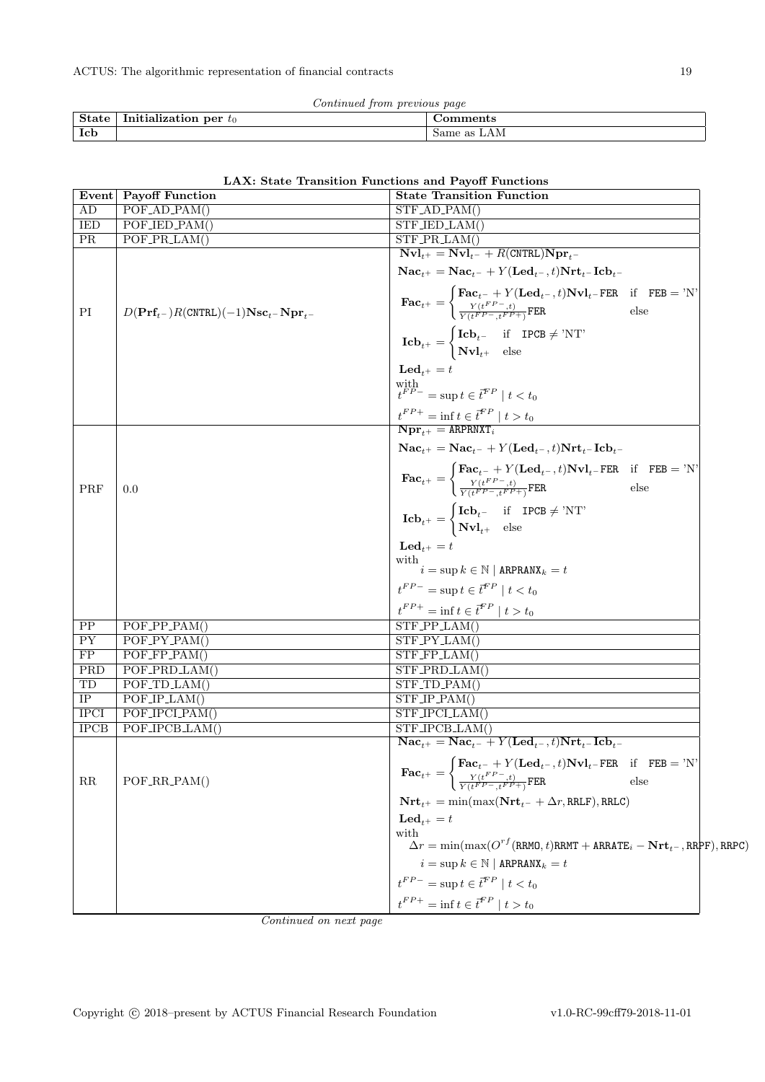|            | Continued from previous page                           |             |
|------------|--------------------------------------------------------|-------------|
|            | $\parallel$ State $\parallel$ Initialization per $t_0$ | Comments    |
| <b>Icb</b> |                                                        | Same as LAM |

|  |  | LAX: State Transition Functions and Payoff Functions |  |  |  |  |
|--|--|------------------------------------------------------|--|--|--|--|
|--|--|------------------------------------------------------|--|--|--|--|

| Event       | <b>Payoff Function</b>                                                        | hons and I ayon Functions<br><b>State Transition Function</b>                                                                                                                                                                                                           |
|-------------|-------------------------------------------------------------------------------|-------------------------------------------------------------------------------------------------------------------------------------------------------------------------------------------------------------------------------------------------------------------------|
| AD          | $POF$ <sub>-AD</sub> <sub>-PAM</sub> $()$                                     | $STF$ <sub>-AD</sub> <sub>-PAM</sub> $()$                                                                                                                                                                                                                               |
| <b>IED</b>  | POF_IED_PAM()                                                                 | $STF$ JED LAM()                                                                                                                                                                                                                                                         |
| <b>PR</b>   | $POF_PR_LAM()$                                                                | $STF_PRLAM()$                                                                                                                                                                                                                                                           |
|             |                                                                               | $\mathbf{Nvl}_{t+} = \mathbf{Nvl}_{t-} + R(\text{CNTRL})\mathbf{Npr}_{t-}$<br>$\textbf{Nac}_{t+} = \textbf{Nac}_{t-} + Y(\textbf{Led}_{t-}, t)\textbf{Nrt}_{t-}\textbf{Icb}_{t-}$                                                                                       |
| PI          | $D(\textbf{Prf}_{t-})R(\textbf{CNTRL})(-1)\textbf{Nsc}_{t-}\textbf{Npr}_{t-}$ | $\textbf{Fac}_{t^{+}} = \begin{cases} \textbf{Fac}_{t^{-}} + Y(\textbf{Led}_{t^{-}}, t) \textbf{Nvl}_{t^{-}} \textbf{FER} & \text{if} \quad \textbf{FEB} = \text{'}\textbf{N'}\\ \frac{Y(t^{FP}-,t)}{Y(t^{FP}-,t^{FP}+\text{i}} \textbf{FER} & \text{else} \end{cases}$ |
|             |                                                                               | $\mathbf{Icb}_{t^{+}} = \begin{cases} \mathbf{Icb}_{t^{-}} & \text{if } \mathbf{IPCB} \neq \text{'NT'} \\ \mathbf{Nvl}_{t^{+}} & \text{else} \end{cases}$                                                                                                               |
|             |                                                                               | $\mathbf{Led}_{t+} = t$                                                                                                                                                                                                                                                 |
|             |                                                                               | with $t^{FP-}=\sup t\in\vec{t}^{FP}\mid t< t_0$                                                                                                                                                                                                                         |
|             |                                                                               | $\boldsymbol{t}^{FP+} = \inf \boldsymbol{t} \in \boldsymbol{\bar{t}}^{FP} \mid t > t_0$<br>$Npr_{++} = ARPRNXT_i$                                                                                                                                                       |
|             |                                                                               | $\textbf{Nac}_{t+} = \textbf{Nac}_{t-} + Y(\textbf{Led}_{t-}, t)\textbf{Nrt}_{t-} \textbf{Icb}_{t-}$                                                                                                                                                                    |
| PRF         | 0.0                                                                           | $\textbf{Fac}_{t^+} = \begin{cases} \textbf{Fac}_{t^-} + Y(\textbf{Led}_{t^-}, t) \textbf{Nvl}_{t^-} \textbf{FER} & \text{if} \quad \textbf{FEB} = \text{'N'} \ \frac{Y(t^{FP-}, t)}{Y(t^{FP-}, t^{FP+})} \textbf{FER} & \text{else} \end{cases}$                       |
|             |                                                                               | $\mathbf{Icb}_{t^{+}} = \begin{cases} \mathbf{Icb}_{t^{-}} & \text{if } \mathbf{IPCB} \neq \text{'NT'} \\ \mathbf{Nvl}_{t^{+}} & \text{else} \end{cases}$                                                                                                               |
|             |                                                                               | $\mathbf{Led}_{t+} = t$                                                                                                                                                                                                                                                 |
|             |                                                                               | with<br>$\hat{i} = \sup k \in \mathbb{N} \mid \mathtt{ARPRANK}_k = t$                                                                                                                                                                                                   |
|             |                                                                               | $t^{FP-}$ = sup $t \in \overline{t}^{FP} \mid t < t_0$                                                                                                                                                                                                                  |
|             |                                                                               | $t^{FP+} = \inf t \in \overline{t}^{FP} \mid t > t_0$                                                                                                                                                                                                                   |
| PP          | $POF_PPP_PAM()$                                                               | $STF_PPLAM()$                                                                                                                                                                                                                                                           |
| PY          | $POF_PY_PAM()$                                                                | $STF_PY_LAM()$                                                                                                                                                                                                                                                          |
| FP          | $POF_FPP_PAM()$                                                               | $STF_FPLAM()$                                                                                                                                                                                                                                                           |
| PRD         | POF_PRD_LAM()                                                                 | STF_PRD_LAM()                                                                                                                                                                                                                                                           |
| TD          | $POF\_TD\_LAM()$                                                              | $STF\_TD\_PAM()$                                                                                                                                                                                                                                                        |
| IP          | $POF_IPLAM()$                                                                 | $STF_IPP_AM()$                                                                                                                                                                                                                                                          |
| <b>IPCI</b> | POF_IPCLPAM()                                                                 | STF_IPCLLAM()                                                                                                                                                                                                                                                           |
| <b>IPCB</b> | POF_IPCB_LAM()                                                                | $STF_IPCB_LAM()$                                                                                                                                                                                                                                                        |
|             |                                                                               | $\textbf{Nac}_{t+} = \textbf{Nac}_{t-} + Y(\textbf{Led}_{t-}, t)\textbf{Nrt}_{t-} \textbf{Icb}_{t-}$                                                                                                                                                                    |
|             |                                                                               |                                                                                                                                                                                                                                                                         |
| RR          | POF_RR_PAM()                                                                  | $\textbf{Fac}_{t^+} = \begin{cases} \textbf{Fac}_{t^-} + Y(\textbf{Led}_{t^-}, t) \textbf{Nvl}_{t^-} \textbf{FER} & \text{if} \quad \textbf{FEB} = \text{'}\textbf{N} \\ \frac{Y(t^{FP-}, t)}{Y(t^{FP-}, t^{FP+})} \textbf{FER} & \text{else} \end{cases}$              |
|             |                                                                               | $\mathbf{Nrt}_{t^+} = \min(\max(\mathbf{Nrt}_{t^-} + \Delta r, \texttt{RRLF}), \texttt{RRLC})$                                                                                                                                                                          |
|             |                                                                               | $\mathbf{Led}_{t+} = t$                                                                                                                                                                                                                                                 |
|             |                                                                               | with                                                                                                                                                                                                                                                                    |
|             |                                                                               | $\Delta r = \min(\max(O^{rf}(\texttt{RRMO},t)\texttt{RRMT} + \texttt{ARRATE}_{i} - \textbf{Nrt}_{t-},\texttt{RR}\texttt{PF}),\texttt{RRPC})$                                                                                                                            |
|             |                                                                               | $i = \sup k \in \mathbb{N}$   ARPRANX $k = t$                                                                                                                                                                                                                           |
|             |                                                                               | $\boldsymbol{t}^{FP-} = \sup \boldsymbol{t} \in \boldsymbol{\bar{t}}^{FP} \mid \boldsymbol{t} < t_0$                                                                                                                                                                    |
|             |                                                                               | $t^{FP+} = \inf t \in \bar{t}^{FP} \mid t > t_0$                                                                                                                                                                                                                        |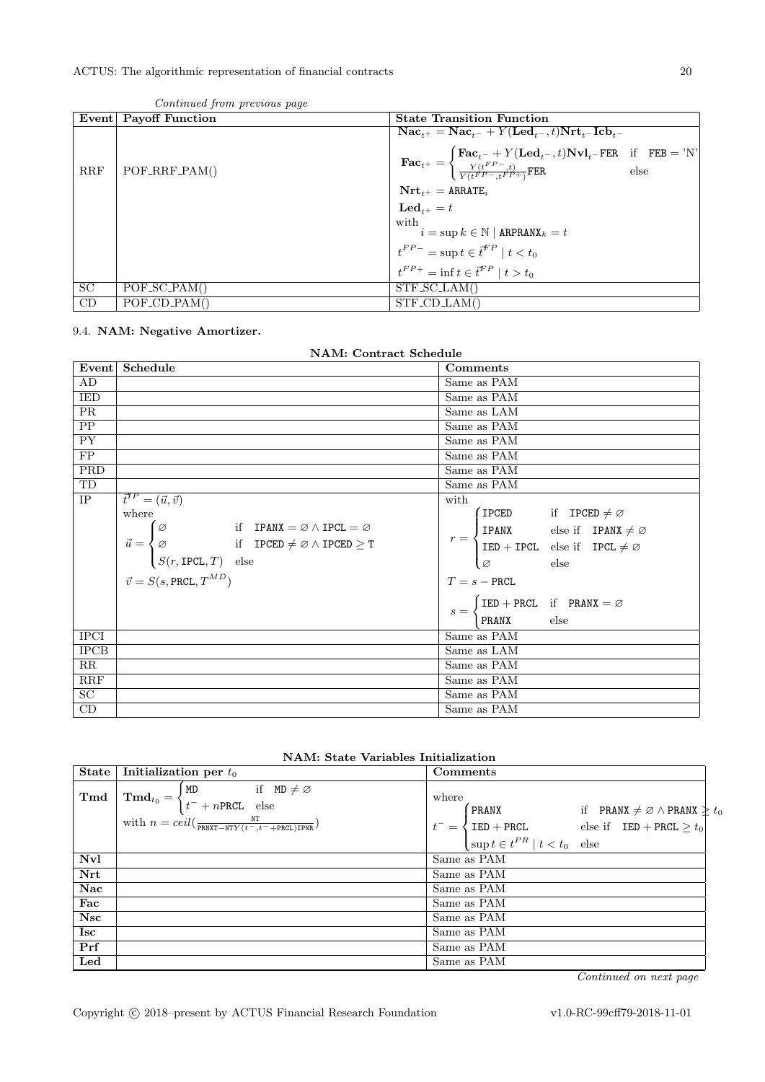|           | Event   Payoff Function | <b>State Transition Function</b>                                                                                                                                                                                                                                                                                                                           |
|-----------|-------------------------|------------------------------------------------------------------------------------------------------------------------------------------------------------------------------------------------------------------------------------------------------------------------------------------------------------------------------------------------------------|
| RRF       | $POF_RRF_PAM()$         | $\textbf{Nac}_{t+} = \textbf{Nac}_{t-} + Y(\textbf{Led}_{t-}, t)\textbf{Nrt}_{t-} \textbf{Icb}_{t-}$<br>$\textbf{Fac}_{t^+} = \begin{cases} \textbf{Fac}_{t^-} + Y(\textbf{Led}_{t^-}, t) \textbf{Nvl}_{t^-} \textbf{FER} & \text{if} \quad \textbf{FEB} = \text{'}N' \\ \frac{Y(t^{FP-}, t)}{Y(t^{FP-}, t^{FP+})} \textbf{FER} & \text{else} \end{cases}$ |
|           |                         | $\mathbf{Nrt}_{t+} = \text{ARRATE}_{i}$                                                                                                                                                                                                                                                                                                                    |
|           |                         | $\mathbf{Led}_{t+} = t$                                                                                                                                                                                                                                                                                                                                    |
|           |                         | with<br>$i = \sup k \in \mathbb{N}$   ARPRANX $_k = t$                                                                                                                                                                                                                                                                                                     |
|           |                         |                                                                                                                                                                                                                                                                                                                                                            |
|           |                         | $t^{FP-}$ = sup $t \in \overline{t}^{FP} \mid t < t_0$<br>$t^{FP+}$ = inf $t \in \overline{t}^{FP} \mid t > t_0$                                                                                                                                                                                                                                           |
| <b>SC</b> | $POF_S C_PAM()$         | $STF_SCLAM()$                                                                                                                                                                                                                                                                                                                                              |
| CD        | $POF\_CD\_PAM()$        | $STF\_CD.LAM()$                                                                                                                                                                                                                                                                                                                                            |

### Continued from previous page

# <span id="page-19-0"></span>9.4. NAM: Negative Amortizer.

|  | <b>NAM: Contract Schedule</b> |  |  |
|--|-------------------------------|--|--|
|  |                               |  |  |

|                         | Event Schedule                                                                                                                | Comments                                                                                                                                                                          |  |
|-------------------------|-------------------------------------------------------------------------------------------------------------------------------|-----------------------------------------------------------------------------------------------------------------------------------------------------------------------------------|--|
| AD                      |                                                                                                                               | Same as PAM                                                                                                                                                                       |  |
| <b>IED</b>              |                                                                                                                               | Same as PAM                                                                                                                                                                       |  |
| PR                      |                                                                                                                               | Same as LAM                                                                                                                                                                       |  |
| $\overline{PP}$         |                                                                                                                               | Same as PAM                                                                                                                                                                       |  |
| $\overline{PY}$         |                                                                                                                               | Same as PAM                                                                                                                                                                       |  |
| $\overline{FP}$         |                                                                                                                               | Same as PAM                                                                                                                                                                       |  |
| $\overline{\text{PRD}}$ |                                                                                                                               | Same as PAM                                                                                                                                                                       |  |
| TD                      |                                                                                                                               | Same as PAM                                                                                                                                                                       |  |
| $\rm IP$                | $\vec{t}^{IP} = (\vec{u}, \vec{v})$                                                                                           | with                                                                                                                                                                              |  |
|                         | where                                                                                                                         | $($ IPCED if IPCED $\neq \varnothing$                                                                                                                                             |  |
|                         | $\varphi$ if IPANX = $\varnothing \wedge$ IPCL = $\varnothing$                                                                |                                                                                                                                                                                   |  |
|                         | $\vec{u} = \begin{cases} \varnothing & \text{if } \text{IPCED} \neq \varnothing \land \text{IPCED} \geq \text{T} \end{cases}$ | $r = \begin{cases} \text{IPANX} & \text{else if} \quad \text{IPANX} \neq \varnothing \\ \text{IED} + \text{IPCL} & \text{else if} \quad \text{IPCL} \neq \varnothing \end{cases}$ |  |
|                         | $S(r, \text{IPCL}, T)$ else                                                                                                   | ø<br>else                                                                                                                                                                         |  |
|                         | $\vec{v} = S(s, \texttt{PRCL}, T^{MD})$                                                                                       | $T = s - PRCL$                                                                                                                                                                    |  |
|                         |                                                                                                                               | $IED + PRCL$ if $PRANK = \varnothing$                                                                                                                                             |  |
|                         |                                                                                                                               | $s = \cdot$<br>PRANX<br>else                                                                                                                                                      |  |
| <b>IPCI</b>             |                                                                                                                               | Same as PAM                                                                                                                                                                       |  |
| <b>IPCB</b>             |                                                                                                                               | Same as LAM                                                                                                                                                                       |  |
| $\overline{\text{RR}}$  |                                                                                                                               | Same as PAM                                                                                                                                                                       |  |
| RRF                     |                                                                                                                               | Same as PAM                                                                                                                                                                       |  |
| $\overline{SC}$         |                                                                                                                               | Same as PAM                                                                                                                                                                       |  |
| CD                      |                                                                                                                               | Same as PAM                                                                                                                                                                       |  |

|  |  |  | <b>NAM:</b> State Variables Initialization |
|--|--|--|--------------------------------------------|
|--|--|--|--------------------------------------------|

|            | State   Initialization per $t_0$                                                                                                                                   | Comments                                                                                                                                                                                                                                                                         |
|------------|--------------------------------------------------------------------------------------------------------------------------------------------------------------------|----------------------------------------------------------------------------------------------------------------------------------------------------------------------------------------------------------------------------------------------------------------------------------|
|            | <b>Tmd</b> $\begin{bmatrix} \mathbf{Tmd}^t \\ t^-\end{bmatrix}$ + nPRCL else<br>with $n = \text{ceil}(\frac{NT}{\text{PRNXT}-NTY(t-, t=+\text{PRCI}.\text{TPNR}})$ | where<br>$t^- = \begin{cases} \texttt{PRANX} & \text{if } \texttt{PRANX} \neq \varnothing \land \texttt{PRANX} \geq t_0 \\ \texttt{IED} + \texttt{PRCL} & \text{else if } \texttt{IED} + \texttt{PRCL} \geq t_0 \\ \sup t \in t^{PR} \mid t < t_0 \quad \text{else} \end{cases}$ |
| <b>Nvl</b> |                                                                                                                                                                    | Same as PAM                                                                                                                                                                                                                                                                      |
| Nrt        |                                                                                                                                                                    | Same as PAM                                                                                                                                                                                                                                                                      |
| Nac        |                                                                                                                                                                    | Same as PAM                                                                                                                                                                                                                                                                      |
| Fac        |                                                                                                                                                                    | Same as PAM                                                                                                                                                                                                                                                                      |
| <b>Nsc</b> |                                                                                                                                                                    | Same as PAM                                                                                                                                                                                                                                                                      |
| Isc        |                                                                                                                                                                    | Same as PAM                                                                                                                                                                                                                                                                      |
| Prf        |                                                                                                                                                                    | Same as PAM                                                                                                                                                                                                                                                                      |
| Led        |                                                                                                                                                                    | Same as PAM                                                                                                                                                                                                                                                                      |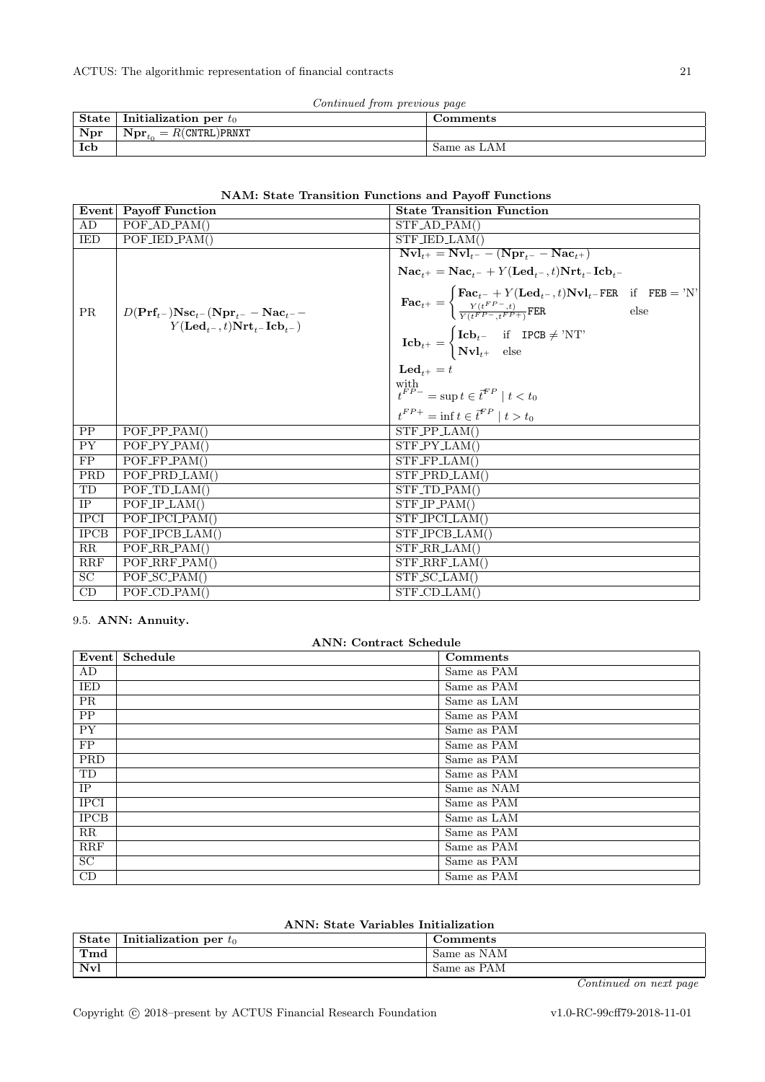| Continued from previous page |  |  |
|------------------------------|--|--|
|                              |  |  |

| State | Initialization per $t_0$                                     | Comments    |
|-------|--------------------------------------------------------------|-------------|
| Npr   | $\vert$ Npr <sub>to</sub><br>$\Delta_{\rm L}=R$ (CNTRL)PRNXT |             |
| Icb   |                                                              | Same as LAM |

### NAM: State Transition Functions and Payoff Functions

|                 | Event Payoff Function                                                        | <b>State Transition Function</b>                                                                                                                                                                                                            |
|-----------------|------------------------------------------------------------------------------|---------------------------------------------------------------------------------------------------------------------------------------------------------------------------------------------------------------------------------------------|
| AD              | $POF_AD_PAM()$                                                               | $STF$ <sub>-AD</sub> <sub>-PAM</sub> $()$                                                                                                                                                                                                   |
| IED             | $\overline{POF_{I}ED_{I}PAM}$                                                | $STF$ <sub>-IED</sub> <sub>-LAM</sub> $()$                                                                                                                                                                                                  |
|                 |                                                                              | $\overline{\mathbf{Nvl}_{t^{+}}} = \overline{\mathbf{Nvl}_{t^{-}} - (\mathbf{Npr}_{t^{-}} - \mathbf{Nac}_{t^{+}})}$<br>$\textbf{Nac}_{t+} = \textbf{Nac}_{t-} + Y(\textbf{Led}_{t-}, t)\textbf{Nrt}_{t-} \textbf{Icb}_{t-}$                 |
| <b>PR</b>       | $D(\mathbf{Prf}_{t-})\mathbf{Nsc}_{t-}(\mathbf{Npr}_{t-}-\mathbf{Nac}_{t-}-$ | $\textbf{Fac}_{t^+} = \begin{cases} \textbf{Fac}_{t^-} + Y(\textbf{Led}_{t^-}, t) \textbf{Nvl}_{t^-} \textbf{FER} & \text{if} \quad \textbf{FEB} = 'N' \\ \frac{Y(t^{FP-}, t)}{Y(t^{FP-}, t^{FP+})} \textbf{FER} & \text{else} \end{cases}$ |
|                 | $Y(\mathbf{Led}_{t-}, t) \mathbf{Nrt}_{t-} \mathbf{Icb}_{t-}$                | $\mathbf{Icb}_{t^{+}} = \begin{cases} \mathbf{Icb}_{t^{-}} & \text{if } \mathbf{IPCB} \neq \text{'NT'} \\ \mathbf{Nvl}_{t^{+}} & \text{else} \end{cases}$                                                                                   |
|                 |                                                                              | $\mathbf{Led}_{t+} = t$                                                                                                                                                                                                                     |
|                 |                                                                              | $\label{eq:optimal} \begin{array}{l} \text{with} \\ t^{FP-} = \sup{t \in \vec{t}^{FP} \mid t < t_0} \end{array}$                                                                                                                            |
|                 |                                                                              | $t^{FP+} = \inf t \in \bar{t}^{FP} \mid t > t_0$                                                                                                                                                                                            |
| PP              | $\overline{POF_PPP_PAM}$                                                     | $STF_PPLAM()$                                                                                                                                                                                                                               |
| PY              | $POF_PY_PAM()$                                                               | $STF_PY_LAM()$                                                                                                                                                                                                                              |
| FP              | $POF_FPP_PAM()$                                                              | $STF_FPLAM()$                                                                                                                                                                                                                               |
| <b>PRD</b>      | $POF$ -PRD-LAM()                                                             | $STF_PRD_LAM()$                                                                                                                                                                                                                             |
| TD              | $POF\_TD\_LAM()$                                                             | $STF\_TD\_PAM()$                                                                                                                                                                                                                            |
| IP              | $POF/IP_LAM()$                                                               | $STF\_IP\_PAM()$                                                                                                                                                                                                                            |
| <b>IPCI</b>     | POF_IPCLPAM()                                                                | STF_IPCLLAM()                                                                                                                                                                                                                               |
| <b>IPCB</b>     | POF_IPCB_LAM()                                                               | STF_IPCB_LAM()                                                                                                                                                                                                                              |
| $\overline{RR}$ | $POF_RR_PAM()$                                                               | $STF_RRLAM()$                                                                                                                                                                                                                               |
| RRF             | $POF_RRF_PAM()$                                                              | STF_RRF_LAM()                                                                                                                                                                                                                               |
| SC              | $POF_S C_PAM()$                                                              | $STF_SCLAM()$                                                                                                                                                                                                                               |
| CD              | $POF\_CD\_PAM()$                                                             | $STF$ <sub>-CD</sub> $LAM()$                                                                                                                                                                                                                |

### <span id="page-20-0"></span>9.5. ANN: Annuity.

| <b>ANN: Contract Schedule</b> |          |             |  |
|-------------------------------|----------|-------------|--|
| Event                         | Schedule | Comments    |  |
| AD                            |          | Same as PAM |  |
| <b>IED</b>                    |          | Same as PAM |  |
| PR                            |          | Same as LAM |  |
| $\overline{PP}$               |          | Same as PAM |  |
| <b>PY</b>                     |          | Same as PAM |  |
| FP                            |          | Same as PAM |  |
| PRD                           |          | Same as PAM |  |
| TD                            |          | Same as PAM |  |
| <b>IP</b>                     |          | Same as NAM |  |
| <b>IPCI</b>                   |          | Same as PAM |  |
| <b>IPCB</b>                   |          | Same as LAM |  |
| RR                            |          | Same as PAM |  |
| <b>RRF</b>                    |          | Same as PAM |  |
| SC                            |          | Same as PAM |  |
| CD                            |          | Same as PAM |  |

# ANN: State Variables Initialization

| <b>State</b> | $\mathbf{H}$<br>$\cdots$<br>Initialization per $t_0$ | . :omments            |
|--------------|------------------------------------------------------|-----------------------|
| Tmd          |                                                      | NAM<br>Same as        |
| Nvl          |                                                      | <b>PAM</b><br>Same as |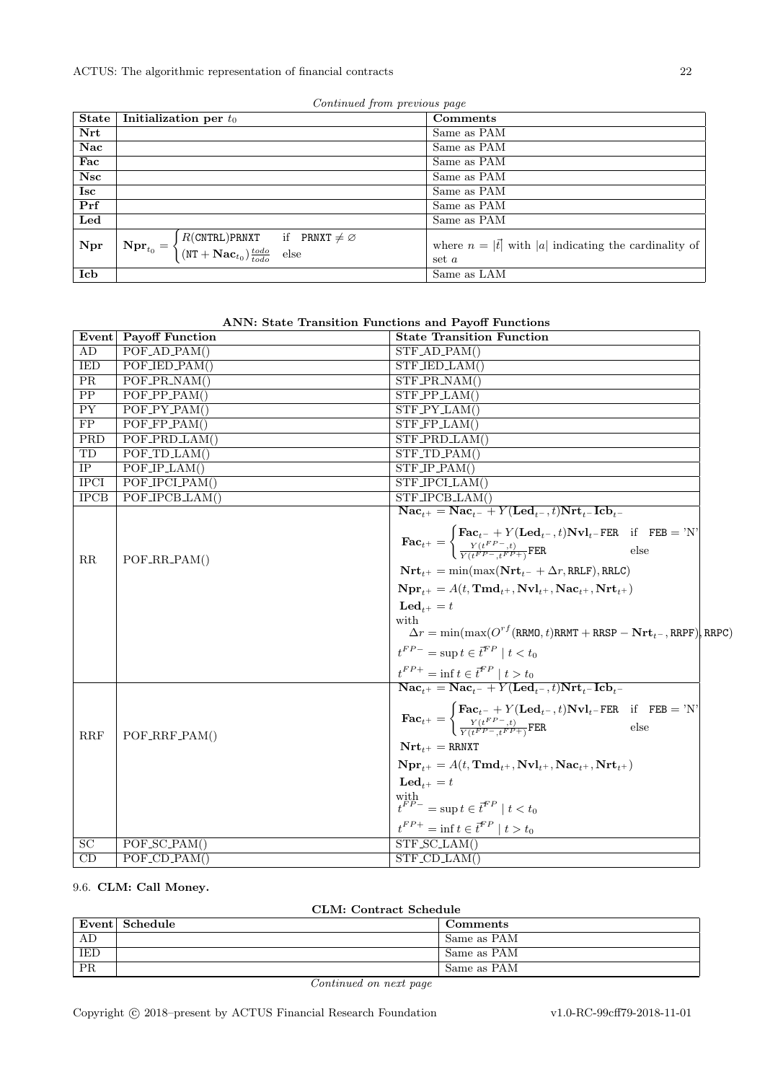ACTUS: The algorithmic representation of financial contracts 22

| Continued from previous page |  |  |
|------------------------------|--|--|
|                              |  |  |

| State      | Initialization per $t_0$                                                                                                                                                                           | Comments                                                              |
|------------|----------------------------------------------------------------------------------------------------------------------------------------------------------------------------------------------------|-----------------------------------------------------------------------|
| Nrt        |                                                                                                                                                                                                    | Same as PAM                                                           |
| Nac        |                                                                                                                                                                                                    | Same as PAM                                                           |
| Fac        |                                                                                                                                                                                                    | Same as PAM                                                           |
| <b>Nsc</b> |                                                                                                                                                                                                    | Same as PAM                                                           |
| <b>Isc</b> |                                                                                                                                                                                                    | Same as PAM                                                           |
| Prf        |                                                                                                                                                                                                    | Same as PAM                                                           |
| Led        |                                                                                                                                                                                                    | Same as PAM                                                           |
| Npr        | $N \mathbf{pr}_{t_0} = \begin{cases} R(\text{CNTRL}) \text{PRNXT} & \text{if} \quad \text{PRNXT} \neq \varnothing \\ (\text{NT} + \mathbf{Nac}_{t_0}) \frac{todo}{todo} & \text{else} \end{cases}$ | where $n =  \vec{t} $ with  a  indicating the cardinality of<br>set a |
| Icb        |                                                                                                                                                                                                    | Same as LAM                                                           |

| <b>ANN: State Transition Functions and Payoff Functions</b> |  |  |  |  |  |
|-------------------------------------------------------------|--|--|--|--|--|
|-------------------------------------------------------------|--|--|--|--|--|

|             | Event Payoff Function                     | <b>State Transition Function</b>                                                                                                                                                                                                                     |
|-------------|-------------------------------------------|------------------------------------------------------------------------------------------------------------------------------------------------------------------------------------------------------------------------------------------------------|
| AD          | $POF$ <sub>-AD</sub> <sub>-PAM</sub> $()$ | $STF$ <sub>-AD</sub> <sub>-PAM</sub> $()$                                                                                                                                                                                                            |
| IED         | POF_IED_PAM()                             | STF_IED_LAM()                                                                                                                                                                                                                                        |
| PR          | POF_PR_NAM()                              | $STF\_PR\_NAM()$                                                                                                                                                                                                                                     |
| PP          | $POF_PPP_PAM()$                           | $STF_PPLAM()$                                                                                                                                                                                                                                        |
| <b>PY</b>   | $POF_PY_PAM()$                            | $STF_PY_LAM()$                                                                                                                                                                                                                                       |
| FP          | $POF_FPP_PAM()$                           | $STF_FPLAM()$                                                                                                                                                                                                                                        |
| PRD         | POF_PRD_LAM()                             | STF_PRD_LAM()                                                                                                                                                                                                                                        |
| TD          | $POF\_TD\_LAM()$                          | $STF\_TD\_PAM()$                                                                                                                                                                                                                                     |
| <b>IP</b>   | POF/IP.LAM()                              | $STF/IP_PAM()$                                                                                                                                                                                                                                       |
| <b>IPCI</b> | POF_IPCLPAM()                             | STF_IPCLLAM()                                                                                                                                                                                                                                        |
| IPCB        | POF_IPCB_LAM()                            | STF_IPCB_LAM()                                                                                                                                                                                                                                       |
|             |                                           | $\overline{\text{Nac}_{t^+} = \text{Nac}_{t^-} + Y(\text{Led}_{t^-}, t)\text{Nrt}_{t^-}\text{Icb}_{t^-}}$                                                                                                                                            |
|             |                                           |                                                                                                                                                                                                                                                      |
|             |                                           | $\textbf{Fac}_{t^+} = \begin{cases} \textbf{Fac}_{t^-} + Y(\textbf{Led}_{t^-}, t) \textbf{Nvl}_{t^-} \textbf{FER} & \text{if} \quad \textbf{FEB} = \text{'}\textbf{N'} \ \frac{Y(t^{FP-}, t)}{Y(tFP- + FP+)} \textbf{FER} & \text{else} \end{cases}$ |
| $_{\rm RR}$ | $POF_RR_R_PAM()$                          |                                                                                                                                                                                                                                                      |
|             |                                           | $\mathbf{Nrt}_{t+} = \min(\max(\mathbf{Nrt}_{t-} + \Delta r, \text{RRLF}), \text{RRLC})$                                                                                                                                                             |
|             |                                           | $Npr_{t+} = A(t, \text{Tmd}_{t+}, Nvl_{t+}, \text{Nac}_{t+}, Nrt_{t+})$                                                                                                                                                                              |
|             |                                           | $\mathbf{Led}_{t+} = t$                                                                                                                                                                                                                              |
|             |                                           | with                                                                                                                                                                                                                                                 |
|             |                                           | $\Delta r = \min(\max(O^{rf}(RRMO, t)RRMT +RRSP - Nrt_{t-}, RRPF))$ , RRPC)                                                                                                                                                                          |
|             |                                           | $t^{FP-}$ = sup $t \in \overline{t}^{FP} \mid t < t_0$                                                                                                                                                                                               |
|             |                                           |                                                                                                                                                                                                                                                      |
|             |                                           | $\frac{t^{FP+}}{\textbf{Nac}_{t+}} = \textbf{inf} \ t \in \overline{t}^{FP} \mid t > t_0$<br>$\textbf{Nac}_{t+} = \textbf{Nac}_{t-} + Y(\textbf{Led}_{t-}, t) \textbf{Nrt}_{t-} \textbf{Icb}_{t-}$                                                   |
|             |                                           |                                                                                                                                                                                                                                                      |
|             |                                           | $\textbf{Fac}_{t+} = \begin{cases} \textbf{Fac}_{t-} + Y(\textbf{Led}_{t-}, t) \textbf{Nvl}_{t-} \textbf{FER} & \text{if} \textbf{FEB} = 'N' \\ \frac{Y(t^{FP} - t)}{Y(t^{FP} - t^{FP} + 1)} \textbf{FER} & \text{else} \end{cases}$                 |
| RRF         | POF_RRF_PAM()                             |                                                                                                                                                                                                                                                      |
|             |                                           | $\textbf{Nrt}_{t+} = \texttt{RRNXT}$                                                                                                                                                                                                                 |
|             |                                           | $Npr_{t+} = A(t, \mathrm{Tmd}_{t+}, Nvl_{t+}, \mathrm{Nac}_{t+}, Nrt_{t+})$                                                                                                                                                                          |
|             |                                           | $\mathbf{Led}_{t+} = t$                                                                                                                                                                                                                              |
|             |                                           |                                                                                                                                                                                                                                                      |
|             |                                           | with $t^{FP-}=\sup t\in\vec{t}^{FP}\mid t< t_0$                                                                                                                                                                                                      |
|             |                                           | $t^{FP+}$ = inf $t \in \overline{t}^{FP}$   $t > t_0$                                                                                                                                                                                                |
| SC          | POF_SC_PAM()                              | $STF_SCLAM()$                                                                                                                                                                                                                                        |
| CD          | $POF\_CD\_PAM()$                          | $STF$ <sub>-CD</sub> $LAM()$                                                                                                                                                                                                                         |

<span id="page-21-0"></span>9.6. CLM: Call Money.

| <b>CLM: Contract Schedule</b> |  |
|-------------------------------|--|
|-------------------------------|--|

|                        | Event Schedule | Comments    |
|------------------------|----------------|-------------|
| AD                     |                | Same as PAM |
| IED                    |                | Same as PAM |
| $\overline{\text{PR}}$ |                | Same as PAM |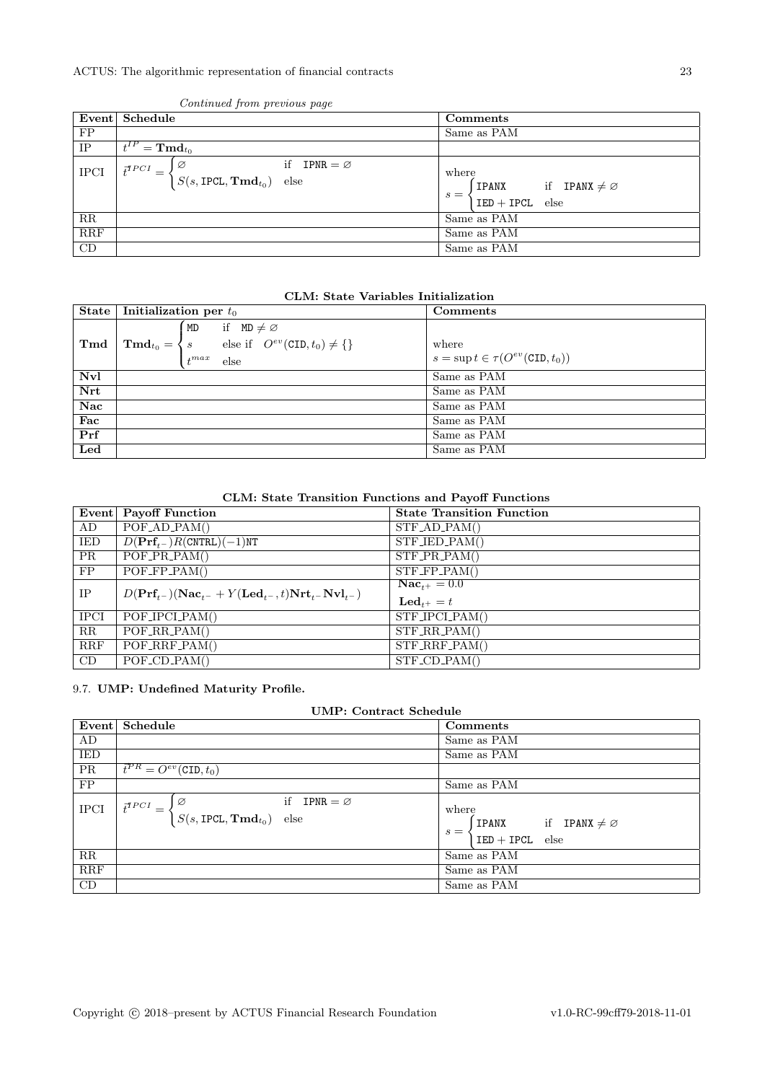|             | Event Schedule                                                                                               | Comments                                                                         |
|-------------|--------------------------------------------------------------------------------------------------------------|----------------------------------------------------------------------------------|
| FP          |                                                                                                              | Same as PAM                                                                      |
| IP          | $=\mathbf{Tmd}_{t_0}$                                                                                        |                                                                                  |
| <b>IPCI</b> | if IPNR = $\varnothing$<br>ΙØ<br>$\bar t^{TPCI}$<br>$\big  S(s, \text{IPCL}, \textbf{Tmd}_{t_0}) \big $ else | where<br>if <b>IPANX</b> $\neq \emptyset$<br>IPANX<br>$s =$<br>$IED + IPCL$ else |
| $_{\rm RR}$ |                                                                                                              | Same as PAM                                                                      |
| RRF         |                                                                                                              | Same as PAM                                                                      |
| CD          |                                                                                                              | Same as PAM                                                                      |

### Continued from previous page

# CLM: State Variables Initialization

| State | Initialization per $t_0$ |                                                                                                                                                                         | Comments                                                |
|-------|--------------------------|-------------------------------------------------------------------------------------------------------------------------------------------------------------------------|---------------------------------------------------------|
| Tmd   |                          | if $MD \neq \emptyset$<br>MD<br>$\mathbf{Tmd}_{t_0} = \left\{ s \right. \qquad \text{else if} \quad O^{ev}(\text{CID}, t_0) \neq \left\{ \right\}$<br>$t^{max}$<br>else | where<br>$s = \sup t \in \tau(O^{ev}(\text{CID}, t_0))$ |
| Nvl   |                          |                                                                                                                                                                         | Same as PAM                                             |
| Nrt   |                          |                                                                                                                                                                         | Same as PAM                                             |
| Nac   |                          |                                                                                                                                                                         | Same as PAM                                             |
| Fac   |                          |                                                                                                                                                                         | Same as PAM                                             |
| Prf   |                          |                                                                                                                                                                         | Same as PAM                                             |
| Led   |                          |                                                                                                                                                                         | Same as PAM                                             |

CLM: State Transition Functions and Payoff Functions

|             | Event   Payoff Function                                                                               | <b>State Transition Function</b>            |
|-------------|-------------------------------------------------------------------------------------------------------|---------------------------------------------|
| AD          | $POF_{AD\_PAM()}$                                                                                     | $STF$ <sub>-AD</sub> <sub>-PAM</sub> $()$   |
| IED         | $D(\textbf{Prf}_{t-})R(\texttt{CNTEL})(-1)\texttt{NT}$                                                | STF_IED_PAM()                               |
| PR.         | $POF\_PR\_PAM()$                                                                                      | $STF\_PR\_PAM()$                            |
| FP.         | $\overline{POF_FPP_PAM}$                                                                              | $STF_FP_PAM()$                              |
| IP          | $D(\mathbf{Prf}_{t-})(\mathbf{Nac}_{t-} + Y(\mathbf{Led}_{t-}, t)\mathbf{Nrt}_{t-}\mathbf{Nvl}_{t-})$ | $Nac_{t+} = 0.0$<br>$\mathbf{Led}_{t+} = t$ |
| <b>IPCI</b> | POF_IPCLPAM()                                                                                         | $\overline{\text{STF\_IPC}}$ LPAM()         |
| RR          | $POF_RR_PAM()$                                                                                        | $STF_R$ R.PAM()                             |
| RRF         | POF_RRF_PAM()                                                                                         | $STF_RRF_PAM()$                             |
| CD          | $\overline{POF}$ <sub>-CD</sub> <sub>-PAM</sub> $()$                                                  | $STF\_CD\_PAM()$                            |

## <span id="page-22-0"></span>9.7. UMP: Undefined Maturity Profile.

| UMP: Contract Schedule |                                                                                                       |                                                                                  |
|------------------------|-------------------------------------------------------------------------------------------------------|----------------------------------------------------------------------------------|
| Event                  | Schedule                                                                                              | Comments                                                                         |
| AD                     |                                                                                                       | Same as PAM                                                                      |
| <b>IED</b>             |                                                                                                       | Same as PAM                                                                      |
| <b>PR</b>              | $\overline{t}^{PR} = O^{ev}(\text{CID}, t_0)$                                                         |                                                                                  |
| FP                     |                                                                                                       | Same as PAM                                                                      |
| <b>IPCI</b>            | if IPNR = $\varnothing$<br>Ø<br>$\vec{t}^{TPCI}$ =<br>$S(s, \text{IPCL}, \textbf{Tmd}_{t_0})$<br>else | where<br>if <b>IPANX</b> $\neq \emptyset$<br>IPANX<br>$s =$<br>$IED + IPCL$ else |
| RR                     |                                                                                                       | Same as PAM                                                                      |
| RRF                    |                                                                                                       | Same as PAM                                                                      |
| CD                     |                                                                                                       | Same as PAM                                                                      |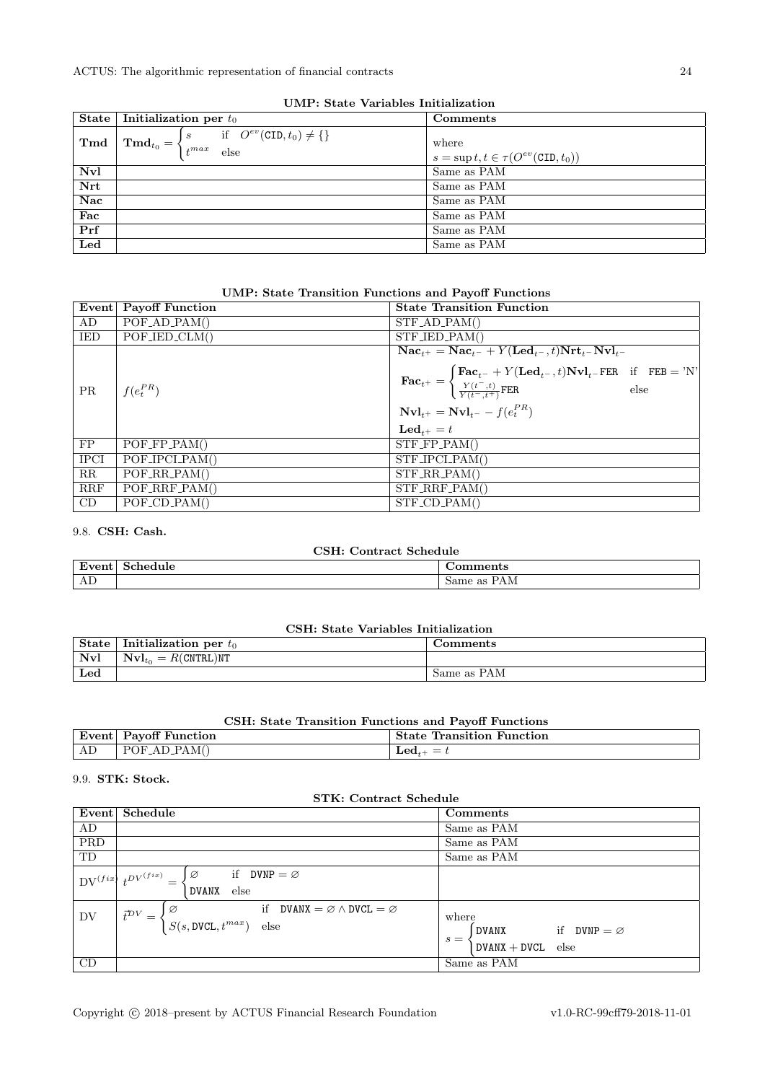| State                   | Initialization per $t_0$                                         | Comments                                                   |
|-------------------------|------------------------------------------------------------------|------------------------------------------------------------|
| T <sub>md</sub>         | if $O^{ev}(\text{CID}, t_0) \neq \{\}$<br>$\mathsf{I}$ s<br>else | where<br>$s = \sup t, t \in \tau(O^{ev}(\text{CID}, t_0))$ |
| Nvl                     |                                                                  | Same as PAM                                                |
| Nrt                     |                                                                  | Same as PAM                                                |
| $\overline{\text{Nac}}$ |                                                                  | Same as PAM                                                |
| Fac                     |                                                                  | Same as PAM                                                |
| Prf                     |                                                                  | Same as PAM                                                |
| Led                     |                                                                  | Same as PAM                                                |

UMP: State Variables Initialization

# UMP: State Transition Functions and Payoff Functions

|             | Event Payoff Function                     | <b>State Transition Function</b>                                                                                                                                                                                                                                                                                                                                                                                             |
|-------------|-------------------------------------------|------------------------------------------------------------------------------------------------------------------------------------------------------------------------------------------------------------------------------------------------------------------------------------------------------------------------------------------------------------------------------------------------------------------------------|
| AD          | $POF$ <sub>-AD</sub> <sub>-PAM</sub> $()$ | $STF$ <sub>-AD</sub> -PAM()                                                                                                                                                                                                                                                                                                                                                                                                  |
| IED         | $POF_{JED_{CLM}}($                        | $STF_{\text{JED\_PAM}}($                                                                                                                                                                                                                                                                                                                                                                                                     |
| PR          | $f(e_t^{PR})$                             | $\textbf{Nac}_{t+} = \textbf{Nac}_{t-} + Y(\textbf{Led}_{t-}, t)\textbf{Nrt}_{t-} \textbf{Nvl}_{t-}$<br>$\textbf{Fac}_{t^+} = \left\{ \begin{matrix} \textbf{Fac}_{t^-} + Y(\textbf{Led}_{t^-}, t) \textbf{Nvl}_{t^-} \textbf{FER} & \text{if} \quad \textbf{FEB} = 'N' \\ \frac{Y(t^-, t)}{Y(t^-, t^+)} \textbf{FER} & \text{else} \end{matrix} \right\}$<br>$Nvl_{t+} = Nvl_{t-} - f(e_t^{PR})$<br>$\mathbf{Led}_{t+} = t$ |
| FP          | $POF_FPP_PAM()$                           | $STF_FPP_AM()$                                                                                                                                                                                                                                                                                                                                                                                                               |
| <b>IPCI</b> | POF_IPCL_PAM()                            | $STF\_IPCI\_PAM()$                                                                                                                                                                                                                                                                                                                                                                                                           |
| RR          | $POF_RR_PAM()$                            | $STF_R$ R.PAM()                                                                                                                                                                                                                                                                                                                                                                                                              |
| RRF         | $POF_RRF_PAM()$                           | $STF_RRF_PAM()$                                                                                                                                                                                                                                                                                                                                                                                                              |
| CD          | $POF\_CD\_PAM()$                          | $STF\_CD\_PAM()$                                                                                                                                                                                                                                                                                                                                                                                                             |

### <span id="page-23-0"></span>9.8. CSH: Cash.

# CSH: Contract Schedule

| $\overline{\phantom{0}}$<br>.<br>- | ule | 1UC                                       |
|------------------------------------|-----|-------------------------------------------|
| AP.                                |     | $\Omega$<br>$5a$ me<br>T TIME<br>$\omega$ |

# CSH: State Variables Initialization

| <b>State</b> | Initialization per $t_0$                          | . :omments  |
|--------------|---------------------------------------------------|-------------|
| Nvl          | $\mathbf{Nvl}_{t_0}=R(\texttt{CNTRL})\texttt{NT}$ |             |
| ${\bf Led}$  |                                                   | Same as PAM |

# CSH: State Transition Functions and Payoff Functions

| $\overline{\phantom{0}}$ | $\alpha$ $\pi$   | State               |
|--------------------------|------------------|---------------------|
| Event∣                   | Pavoff Function  | Transition Function |
| АĽ                       | AD_PAM(`<br>POF. | ⊥eα.<br>_           |

### <span id="page-23-1"></span>9.9. STK: Stock.

| <b>STK: Contract Schedule</b> |                                                                                                                                         |                                                                                               |
|-------------------------------|-----------------------------------------------------------------------------------------------------------------------------------------|-----------------------------------------------------------------------------------------------|
| Event                         | Schedule                                                                                                                                | Comments                                                                                      |
| AD                            |                                                                                                                                         | Same as PAM                                                                                   |
| PRD                           |                                                                                                                                         | Same as PAM                                                                                   |
| TD                            |                                                                                                                                         | Same as PAM                                                                                   |
| $\mathrm{DV}^{(fix)}$         | if DVNP = $\varnothing$<br>Ø<br>$_{\iota DV}(fix)$<br>else<br><b>DVANX</b>                                                              |                                                                                               |
| DV                            | if $D VANX = \emptyset \wedge D VCL = \emptyset$<br>Ø<br>$\vec{t}^{\mathcal{D}V}$<br>$\equiv$<br>$S(s, \texttt{DVCL}, t^{max})$<br>else | where<br>if $D VNP = \emptyset$<br>DVANX<br>$s =$<br>else<br>$D V \text{ANX} + D V \text{CL}$ |
| CD                            |                                                                                                                                         | Same as PAM                                                                                   |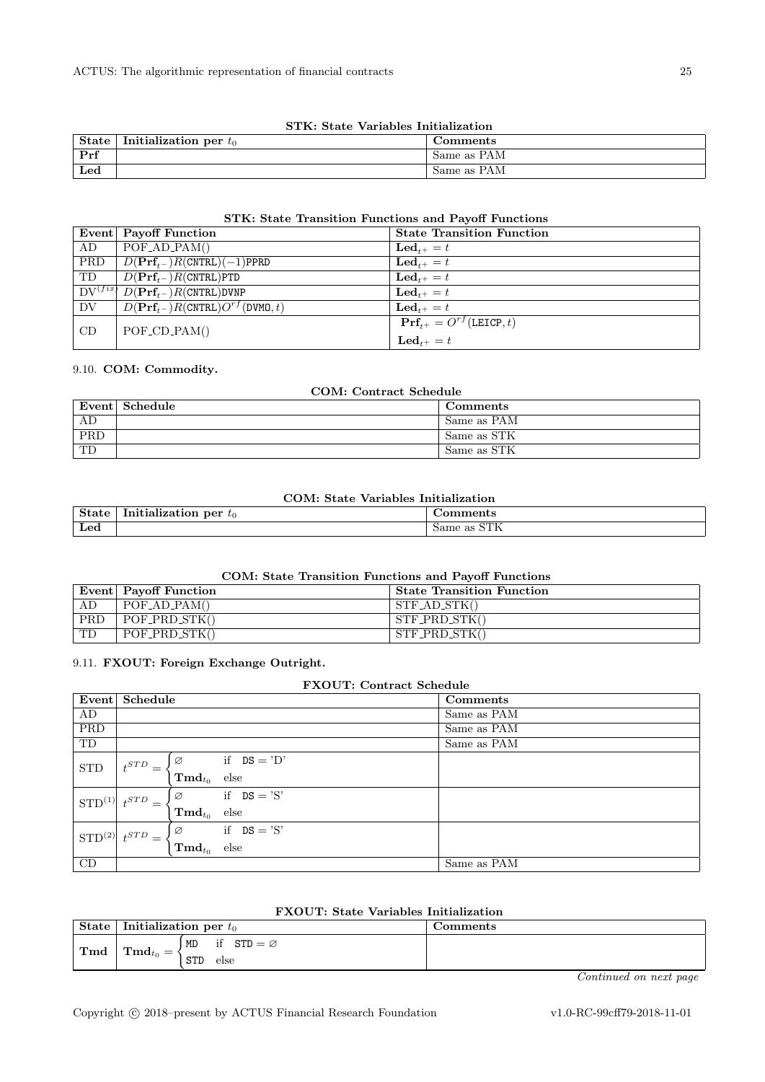| STK: State Variables Initialization    |                          |             |
|----------------------------------------|--------------------------|-------------|
| $\blacksquare$ State $\lightharpoonup$ | Initialization per $t_0$ | Comments    |
| Prf                                    |                          | Same as PAM |
| $_{\rm Led}$                           |                          | Same as PAM |

# STK: State Transition Functions and Payoff Functions

|            | DIIN, Diait Hansition Functions and Fayon Functions                  |                                               |  |
|------------|----------------------------------------------------------------------|-----------------------------------------------|--|
|            | Event Payoff Function                                                | <b>State Transition Function</b>              |  |
| AD         | POFAD.PAM()                                                          | $\mathbf{Led}_{t+} = t$                       |  |
| <b>PRD</b> | $D(\mathbf{Prf}_{t-})R(\text{CNTRL})(-1)\text{PPRD}$                 | $\mathbf{Led}_{t+} = t$                       |  |
| TD         | $D(\mathbf{Prf}_{t-})R(\text{CNTRL})$ PTD                            | $\mathbf{Led}_{t+} = t$                       |  |
|            | $\overline{DV^{(fix)}\ D(\mathbf{Prf}_{t^-})R(\texttt{CNTRL})}$ DVNP | $\mathbf{Led}_{t+} = t$                       |  |
| DV         | $D(\mathbf{Prf}_{t-})R(\text{CNTRL})O^{rf}(\text{DWMO},t)$           | $\mathbf{Led}_{t+} = t$                       |  |
| CD         | $POF\_CD\_PAM()$                                                     | $\mathbf{Prf}_{t+} = O^{rf}(\text{LEICP}, t)$ |  |
|            |                                                                      | $\mathbf{Led}_{t+} = t$                       |  |

#### <span id="page-24-0"></span>9.10. COM: Commodity.

| COM: Contract Schedule |                |             |
|------------------------|----------------|-------------|
|                        | Event Schedule | Comments    |
| AD                     |                | Same as PAM |
| <b>PRD</b>             |                | Same as STK |
| <b>TD</b>              |                | Same as STK |

### COM: State Variables Initialization

| ----------------           |                                         |                                                      |
|----------------------------|-----------------------------------------|------------------------------------------------------|
| $\sim$<br>.                | - -<br>per<br><b>\LIOL</b><br>$\iota_0$ | 11.Y                                                 |
| $\mathbf{r}$<br><b>Led</b> |                                         | <b>NETTZ</b><br>$\Omega$<br>$5a$ me<br>- as<br>0.111 |

### COM: State Transition Functions and Payoff Functions

|     | Event Payoff Function       | <b>State Transition Function</b> |
|-----|-----------------------------|----------------------------------|
| AD  | $POF$ <sub>-AD</sub> -PAM() | $STF$ <sub>-AD</sub> $STK()$     |
| PRD | POF_PRD_STK()               | $STF_PRD_STK()$                  |
| TD. | $POF_PRD_STK()$             | STF_PRD_STK()                    |

### <span id="page-24-1"></span>9.11. FXOUT: Foreign Exchange Outright.

|                       | <b>FXOUT: Contract Schedule</b> |                      |                  |  |             |
|-----------------------|---------------------------------|----------------------|------------------|--|-------------|
| Event                 | Schedule                        |                      |                  |  | Comments    |
| AD                    |                                 |                      |                  |  | Same as PAM |
| <b>PRD</b>            |                                 |                      |                  |  | Same as PAM |
| TD                    |                                 |                      |                  |  | Same as PAM |
| <b>STD</b>            | $_{\textbf{\textit{+}}STD}$     | Ø                    | if $DS = 'D'$    |  |             |
|                       |                                 | $\mathbf{Tmd}_{t_0}$ | $_{\text{else}}$ |  |             |
| $STD^{(1)}$ $t^{STD}$ |                                 | Ø                    | if $DS = 'S'$    |  |             |
|                       |                                 | $\mathbf{Tmd}_{t_0}$ | else             |  |             |
| $STD^{(2)}$ $t^{STD}$ | $=$                             | Ø                    | if $DS = 'S'$    |  |             |
|                       |                                 | $\mathbf{Tmd}_{t_0}$ | else             |  |             |
| CD                    |                                 |                      |                  |  | Same as PAM |

|  |  |  | <b>FXOUT:</b> State Variables Initialization |
|--|--|--|----------------------------------------------|
|--|--|--|----------------------------------------------|

| State | Initialization per $t_0$      |                                 | Comments |
|-------|-------------------------------|---------------------------------|----------|
| Tmd   | $\mathrm{Trind}_{t_0}$<br>$=$ | if<br>$STD = \varnothing$<br>MD |          |
|       |                               | <b>STD</b><br>else              |          |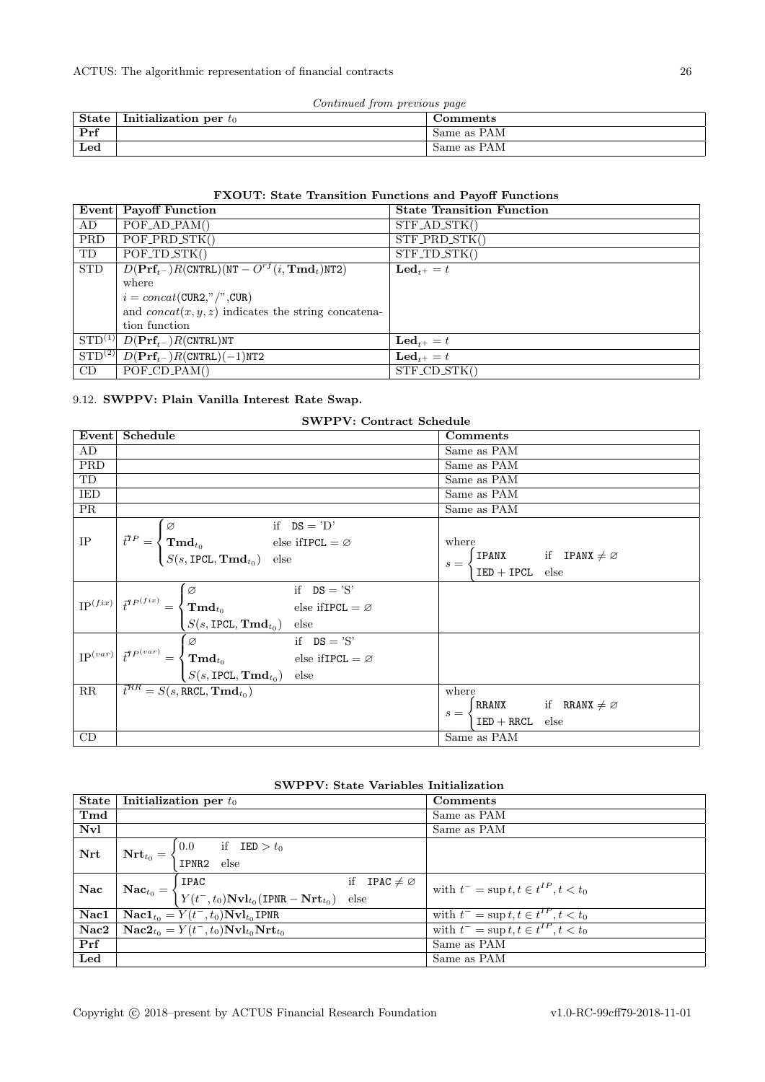| Continued from previous page |  |  |
|------------------------------|--|--|
|                              |  |  |

| <b>State</b> | Initialization per $t_0$ | Comments    |
|--------------|--------------------------|-------------|
| Prf          |                          | Same as PAM |
| ${\bf Led}$  |                          | Same as PAM |

# FXOUT: State Transition Functions and Payoff Functions

|             | Event Payoff Function                                                                             | <b>State Transition Function</b> |
|-------------|---------------------------------------------------------------------------------------------------|----------------------------------|
| AD          | $POF_{AD}PAM()$                                                                                   | $STF$ <sub>-AD</sub> $STK()$     |
| PRD         | POF_PRD_STK()                                                                                     | $STF$ <sub>PRD</sub> $STK()$     |
| TD          | $\overline{POF\_TD\_STK()}$                                                                       | $STF\_TD\_STK()$                 |
| <b>STD</b>  | $D(\mathbf{Prf}_{t-})R(\text{CNTRL})(\text{NT} - O^{rf}(i, \overline{\mathbf{Tmd}}_t)\text{NT2})$ | $\mathbf{Led}_{t+} = t$          |
|             | where                                                                                             |                                  |
|             | $i = concat(CUR2," \text{ }   \text{ } \text{ } CUR)$                                             |                                  |
|             | and $concat(x, y, z)$ indicates the string concatena-                                             |                                  |
|             | tion function                                                                                     |                                  |
| $STD^{(1)}$ | $D(\mathbf{Prf}_{t-})R(\text{CNTRL})$ NT                                                          | $\mathbf{Led}_{t+} = t$          |
| $STD^{(2)}$ | $D(\text{Prf}_{t-})R(\text{CNTRL})(-1)\text{NT2}$                                                 | $\mathbf{Led}_{t+} = t$          |
| CD          | $POF\_CD\_PAM()$                                                                                  | STF_CD_STK()                     |

### <span id="page-25-0"></span>9.12. SWPPV: Plain Vanilla Interest Rate Swap.

|                          | <b>SWPPV: Contract Schedule</b>                                                                                                                                                                                                                       |                                               |  |  |
|--------------------------|-------------------------------------------------------------------------------------------------------------------------------------------------------------------------------------------------------------------------------------------------------|-----------------------------------------------|--|--|
| Event                    | Schedule                                                                                                                                                                                                                                              | Comments                                      |  |  |
| AD                       |                                                                                                                                                                                                                                                       | Same as PAM                                   |  |  |
| <b>PRD</b>               |                                                                                                                                                                                                                                                       | Same as PAM                                   |  |  |
| $\mathcal{T}\mathcal{D}$ |                                                                                                                                                                                                                                                       | Same as PAM                                   |  |  |
| <b>IED</b>               |                                                                                                                                                                                                                                                       | Same as PAM                                   |  |  |
| PR                       |                                                                                                                                                                                                                                                       | Same as PAM                                   |  |  |
|                          | if $DS = 'D'$                                                                                                                                                                                                                                         |                                               |  |  |
| $\rm IP$                 |                                                                                                                                                                                                                                                       | where                                         |  |  |
|                          | $\overrightarrow{t}^{TP} = \begin{cases} \varnothing & \text{if} \quad \texttt{DS} = \text{'D'} \ \textbf{Tmd}_{t_0} & \text{else ifIPCL} = \varnothing \ S(s, \texttt{IPCL}, \textbf{Tmd}_{t_0}) & \text{else} \end{cases}$                          | <b>IPANX</b> if <b>IPANX</b> $\neq \emptyset$ |  |  |
|                          |                                                                                                                                                                                                                                                       | $s = -$<br>$IED + IPCL$ else                  |  |  |
|                          | if $DS = 'S'$<br>$\Box$                                                                                                                                                                                                                               |                                               |  |  |
|                          | if $DS = 'S'$<br>$H_{t_0}$ else if IPCL = $\varnothing$<br>$\left\vert \text{IP}^{(fix)}\right\vert \vec{t}^{TP^{(fix)}}=\begin{cases} \text{Tr}_{\mathbf{d}_{t_0}}\text{.} \end{cases}$                                                              |                                               |  |  |
|                          | $S(s, \text{IPCL}, \text{Tmd}_{t_0})$ else                                                                                                                                                                                                            |                                               |  |  |
|                          |                                                                                                                                                                                                                                                       |                                               |  |  |
|                          | $\mathrm{IP}^{(var)}\left \begin{array}{l l} \vec{t}^{IP^{(var)}}=\begin{cases} \varnothing \qquad \qquad & \text{if} \quad \texttt{DS}=\text{'S'}\\ \textbf{Tmd}_{t_0} \qquad \qquad & \text{else ifIPCL}=\varnothing \end{cases}\end{array}\right.$ |                                               |  |  |
|                          | $S(s, \text{IPCL}, \text{Tmd}_{t_0})$ else                                                                                                                                                                                                            |                                               |  |  |
| RR                       | $\vec{t}^{RR} = S(s, \text{RRCL}, \textbf{Tmd}_{t_0})$                                                                                                                                                                                                | where                                         |  |  |
|                          |                                                                                                                                                                                                                                                       | RRANX if RRANX $\neq \emptyset$<br>$s =$      |  |  |
|                          |                                                                                                                                                                                                                                                       | $IED + RRCL$<br>else                          |  |  |
| CD                       |                                                                                                                                                                                                                                                       | Same as PAM                                   |  |  |

# SWPPV: State Variables Initialization

| <b>State</b> |                                | Initialization per $t_0$                                                                                                                                                          |                                 | Comments                                     |
|--------------|--------------------------------|-----------------------------------------------------------------------------------------------------------------------------------------------------------------------------------|---------------------------------|----------------------------------------------|
| Tmd          |                                |                                                                                                                                                                                   |                                 | Same as PAM                                  |
| Nvl          |                                |                                                                                                                                                                                   |                                 | Same as PAM                                  |
| Nrt          |                                | 0.0<br>if $\text{IED} > t_0$                                                                                                                                                      |                                 |                                              |
|              | $\textbf{Nrt}_{t_0} = \left\{$ | IPNR2<br>else                                                                                                                                                                     |                                 |                                              |
| Nac          |                                | IPAC                                                                                                                                                                              | if <b>IPAC</b> $\neq \emptyset$ | with $t^{-} = \sup t, t \in t^{IP}, t < t_0$ |
|              |                                | $\begin{aligned} \mathbf{Nac}_{t_0} = \left\{ \begin{matrix} 11 \text{ AU} \ Y(t^-, t_0) \textbf{Nvl}_{t_0}(\text{IPNR} - \textbf{Nrt}_{t_0}) \end{matrix} \right. \end{aligned}$ | else                            |                                              |
| Nac1         |                                | $\mathbf{Nac1}_{t_0} = Y(t^-, t_0) \mathbf{Nvl}_{t_0}$ IPNR                                                                                                                       |                                 | with $t^-$ = sup $t, t \in t^{IP}, t < t_0$  |
| Nac2         |                                | $\mathbf{Nac2}_{t_0} = Y(t^-, t_0) \mathbf{Nvl}_{t_0} \mathbf{Nrt}_{t_0}$                                                                                                         |                                 | with $t^-$ = sup $t, t \in t^{IP}, t < t_0$  |
| Prf          |                                |                                                                                                                                                                                   |                                 | Same as PAM                                  |
| ${\bf Led}$  |                                |                                                                                                                                                                                   |                                 | Same as PAM                                  |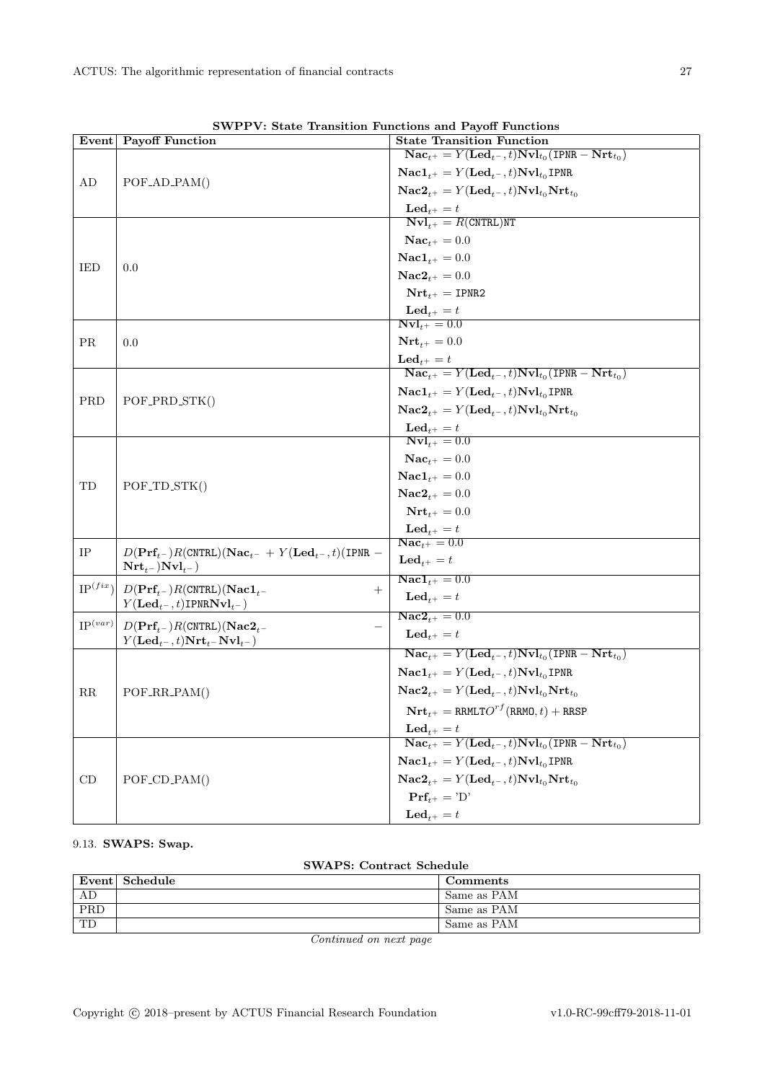|              | р н г г накие применен ганстика ана ганон ганстик<br>Event Payoff Function                | <b>State Transition Function</b>                                                                                   |
|--------------|-------------------------------------------------------------------------------------------|--------------------------------------------------------------------------------------------------------------------|
|              |                                                                                           | $\textbf{Nac}_{t+} = Y(\textbf{Led}_{t-}, t) \textbf{Nvl}_{t_0}(\textbf{IPNR} - \textbf{Nrt}_{t_0})$               |
| AD           | $POF$ <sub>-AD</sub> <sub>-PAM</sub> $()$                                                 | $\mathbf{Nac1}_{t+} = Y(\mathbf{Led}_{t-}, t) \mathbf{Nvl}_{t_0} \mathbf{IPNR}$                                    |
|              |                                                                                           | $\mathbf{Nac2}_{t+} = Y(\mathbf{Led}_{t-}, t) \mathbf{Nvl}_{t_0} \mathbf{Nrt}_{t_0}$                               |
|              |                                                                                           | $\mathbf{Led}_{t^+} = t$                                                                                           |
|              |                                                                                           | $\mathbf{Nvl}_{t+} = R(\texttt{CNTRL})\texttt{NT}$                                                                 |
|              |                                                                                           | $\mathbf{Nac}_{t+} = 0.0$                                                                                          |
|              |                                                                                           | $\mathbf{Nac1}_{t+} = 0.0$                                                                                         |
| IED          | 0.0                                                                                       | $Nac2_{t+} = 0.0$                                                                                                  |
|              |                                                                                           | $\mathbf{Nrt}_{t+} = \texttt{IPNR2}$                                                                               |
|              |                                                                                           | $\mathbf{Led}_{t^+} = t$                                                                                           |
|              |                                                                                           | $Nvl_{t+} = 0.0$                                                                                                   |
| <b>PR</b>    | 0.0                                                                                       | $Nrtt+ = 0.0$                                                                                                      |
|              |                                                                                           | $\mathbf{Led}_{t+} = t$                                                                                            |
|              |                                                                                           | $\overline{\text{Nac}_{t+}} = Y(\text{Led}_{t-}, t) \text{Nvl}_{t_0}(\text{IPNR} - \text{Nrt}_{t_0})$              |
| PRD          | POF_PRD_STK()                                                                             | $\mathbf{Nac1}_{t+} = Y(\mathbf{Led}_{t-}, t) \mathbf{Nvl}_{t_0}$ IPNR                                             |
|              |                                                                                           | $\mathbf{Nac2}_{t+} = Y(\mathbf{Led}_{t-}, t) \mathbf{Nvl}_{t_0} \mathbf{Nrt}_{t_0}$                               |
|              |                                                                                           | $\mathbf{Led}_{t^+} = t$                                                                                           |
| TD           | $POF_TD_STK()$                                                                            | $Nvl_{t+} = 0.0$                                                                                                   |
|              |                                                                                           | $\mathbf{Nac}_{t+} = 0.0$                                                                                          |
|              |                                                                                           | $\mathbf{Nac1}_{t+} = 0.0$                                                                                         |
|              |                                                                                           | $Nac2_{t+} = 0.0$                                                                                                  |
|              |                                                                                           | $Nett+ = 0.0$                                                                                                      |
|              |                                                                                           | $\mathbf{Led}_{t^+} = t$<br>$\mathbf{Nac}_{t+} = 0.0$                                                              |
| IP           | $D(\text{Prf}_{t-})R(\text{CNTRL})(\text{Nac}_{t-} + Y(\text{Led}_{t-}, t)(\text{IPNR} -$ | $\mathbf{Led}_{t+} = t$                                                                                            |
|              | $\mathbf{Nrt}_{t-}$ ) $\mathbf{Nvl}_{t-}$ )                                               | $\textbf{Nac1}_{t+} = 0.0$                                                                                         |
| $IP^{(fix)}$ | $D(\text{Prf}_{t-})R(\text{CNTRL})(\text{Nac1}_{t-})$<br>$^{+}$                           | $\mathbf{Led}_{t+} = t$                                                                                            |
|              | $Y(\mathbf{Led}_{t-}, t)$ IPNR $\mathbf{Nvl}_{t-}$                                        |                                                                                                                    |
| $IP^{(var)}$ | $D(\text{Prf}_{t-})R(\text{CNTRL})(\text{Nac2}_{t-})$                                     | $Nac2_{t+} = 0.0$                                                                                                  |
|              | $Y(\mathbf{Led}_{t-}, t) \mathbf{Nrt}_{t-} \mathbf{Nvl}_{t-})$                            | $\mathbf{Led}_{t+} = t$                                                                                            |
|              |                                                                                           | $\textbf{Nac}_{t+} = Y(\textbf{Led}_{t-}, t) \textbf{Nvl}_{t_0}(\textbf{IPNR} - \textbf{Nrt}_{t_0})$               |
|              |                                                                                           | $\mathbf{Nac1}_{t+} = Y(\mathbf{Led}_{t-}, t) \mathbf{Nvl}_{t_0} \mathbf{IPNR}$                                    |
| RR           | $POF_RR_PAM()$                                                                            | $\mathbf{Nac2}_{t+} = Y(\mathbf{Led}_{t-}, t) \mathbf{Nvl}_{t_0} \mathbf{Nrt}_{t_0}$                               |
|              |                                                                                           | $\mathbf{Nrt}_{t+} = \texttt{RRMLTO}^{rf}(\texttt{RRMO}, t) + \texttt{RRSP}$                                       |
|              |                                                                                           | $\mathbf{Led}_{t^+}=t$                                                                                             |
|              |                                                                                           | $\overline{\text{Nac}_{t^+}} = Y(\text{Led}_{t^-}, t) \overline{\text{Nvl}_{t_0}(\text{IPNR} - \text{Nrt}_{t_0})}$ |
|              |                                                                                           | $\mathbf{Nac1}_{t^+} = Y(\mathbf{Led}_{t^-}, t) \mathbf{Nvl}_{t_0} \mathbf{IPNR}$                                  |
| CD           | $POF\_CD\_PAM()$                                                                          | $\mathbf{Nac2}_{t^+} = Y(\mathbf{Led}_{t^-}, t) \mathbf{Nvl}_{t_0} \mathbf{Nrt}_{t_0}$                             |
|              |                                                                                           | $\mathbf{Prf}_{t+} = 'D'$                                                                                          |
|              |                                                                                           | $\mathbf{Led}_{t+} = t$                                                                                            |

SWPPV: State Transition Functions and Payoff Functions

# <span id="page-26-0"></span>9.13. SWAPS: Swap.

| <b>SWAPS: Contract Schedule</b> |  |  |
|---------------------------------|--|--|
|---------------------------------|--|--|

|     | Event Schedule | Comments    |
|-----|----------------|-------------|
| AD  |                | Same as PAM |
| PRD |                | Same as PAM |
| TD  |                | Same as PAM |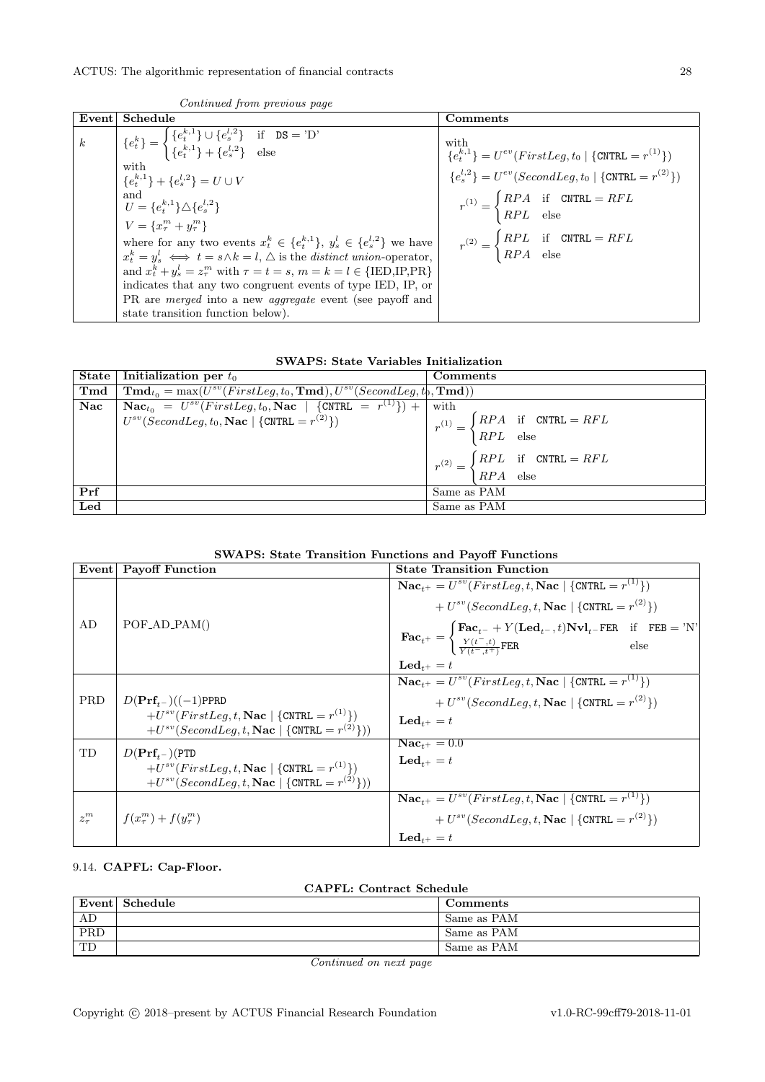| Event            | Schedule                                                                                                                                                                                                                                                                         | Comments                                                                                            |
|------------------|----------------------------------------------------------------------------------------------------------------------------------------------------------------------------------------------------------------------------------------------------------------------------------|-----------------------------------------------------------------------------------------------------|
| $\boldsymbol{k}$ | $\bigg \begin{array}{c} \{e_t^k\}=\begin{cases} \{e_t^{k,1}\}\cup\{e_s^{l,2}\} & \text{if} \quad\texttt{DS}=\texttt{'D'}\\ \{e_t^{k,1}\}+\{e_s^{l,2}\} & \text{else} \end{cases}\end{array}$                                                                                     | with<br>${e_t^{k,1}} = U^{ev}(FirstLeg, t_0 \mid \{ \text{CNTRL} = r^{(1)} \})$                     |
|                  | with<br>${e^{k,1}_{t}} + {e^{l,2}_{s}} = U \cup V$                                                                                                                                                                                                                               | ${e_s^{l,2}} = U^{ev}(SecondLeg, t_0 \mid \{CNTRL = r^{(2)}\})$                                     |
|                  | and<br>$U = \{e_i^{k,1}\}\triangle \{e_s^{l,2}\}\$                                                                                                                                                                                                                               | $r^{(1)} = \begin{cases} RPA & \text{if} \quad \text{CNTRL} = RFL \\ RPL & \text{else} \end{cases}$ |
|                  | $V = \{x_{\tau}^{m} + y_{\tau}^{m}\}\$<br>where for any two events $x_t^k \in \{e_t^{k,1}\}, y_s^l \in \{e_s^{l,2}\}\$ we have<br>$x_t^k = y_s^l \iff t = s \land k = l, \triangle$ is the distinct union-operator,                                                              | $r^{(2)} = \begin{cases} RPL & \text{if} \quad \text{CNTRL} = RFL \\ RPA & \text{else} \end{cases}$ |
|                  | and $x_t^k + y_s^l = z_\tau^m$ with $\tau = t = s$ , $m = k = l \in \{\text{IED, IP, \text{PR}}\}$<br>indicates that any two congruent events of type IED, IP, or<br>PR are <i>merged</i> into a new <i>aggregate</i> event (see payoff and<br>state transition function below). |                                                                                                     |

| Continued from previous page |  |
|------------------------------|--|
|------------------------------|--|

|                      | State   Initialization per $t_0$                                                                                     | Comments                                                                                            |
|----------------------|----------------------------------------------------------------------------------------------------------------------|-----------------------------------------------------------------------------------------------------|
| $\operatorname{Tmd}$ | $\text{Tmd}_{t_0} = \max(U^{sv}(FirstLeg, t_0, \text{Tmd}), U^{sv}(SecondLeg, t_0, \text{Tmd}))$                     |                                                                                                     |
| <b>Nac</b>           | $\text{Nac}_{t_0} = U^{sv}(FirstLeg, t_0, \text{Nac} \mid \{\text{CNTRL} = \overline{r^{(1)}}\}) + \text{Nac}_{t_0}$ | with                                                                                                |
|                      | $U^{sv}(SecondLeg, t_0, \textbf{Nac} \mid \{\text{CNTRL} = r^{(2)}\})$                                               |                                                                                                     |
|                      |                                                                                                                      | $r^{(1)} = \begin{cases} RPA & \text{if} \quad \text{CNTRL} = RFL \\ RPL & \text{else} \end{cases}$ |
|                      |                                                                                                                      | $r^{(2)} = \begin{cases} RPL & \text{if} \quad \text{CNTRL} = RFL \\ RPA & \text{else} \end{cases}$ |
|                      |                                                                                                                      |                                                                                                     |
| Prf                  |                                                                                                                      | Same as PAM                                                                                         |
| Led                  |                                                                                                                      | Same as PAM                                                                                         |

| <b>SWAPS: State Transition Functions and Payoff Functions</b> |  |  |  |  |  |
|---------------------------------------------------------------|--|--|--|--|--|
|---------------------------------------------------------------|--|--|--|--|--|

| Event      | <b>Payoff Function</b>                                                                                                                                                            | <b>State Transition Function</b>                                                                                                                                                                                                                                                                                                                                                                                    |
|------------|-----------------------------------------------------------------------------------------------------------------------------------------------------------------------------------|---------------------------------------------------------------------------------------------------------------------------------------------------------------------------------------------------------------------------------------------------------------------------------------------------------------------------------------------------------------------------------------------------------------------|
| AD         | $POF$ <sub>-AD</sub> <sub>-PAM</sub> $()$                                                                                                                                         | $\textbf{Nac}_{t+} = U^{sv}(FirstLeg, t, \textbf{Nac} \mid \{\text{CNTRL} = r^{(1)}\})$<br>+ $U^{sv}(SecondLeg, t, \textbf{Nac} \mid \{\text{CNTRL} = r^{(2)}\})$<br>$\textbf{Fac}_{t^+} = \n\begin{cases} \n\textbf{Fac}_{t^-} + Y(\textbf{Led}_{t^-}, t) \textbf{Nvl}_{t^-} \textbf{FER} & \text{if} \quad \textbf{FEB} = \text{'N'}\\ \n\frac{Y(t^-, t)}{Y(t^- + t^+)} \textbf{FER} & \text{else} \n\end{cases}$ |
|            |                                                                                                                                                                                   | $\mathbf{Led}_{t+} = t$                                                                                                                                                                                                                                                                                                                                                                                             |
| <b>PRD</b> | $D(\mathbf{Prf}_{t-})((-1)\text{PPRD})$<br>$+U^{sv}(FirstLeg, t, \textbf{Nac}   {\text{CNTRL}} = r^{(1)}))$<br>$+U^{sv}(SecondLeg, t, \textbf{Nac}   {\text{CNTRL}} = r^{(2)}))$  | $\mathbf{Nac}_{t+} = U^{sv}(FirstLeg, t, \mathbf{Nac} \mid \{\text{CNTRL} = r^{(1)}\})$<br>+ $U^{sv}(SecondLeg, t, \textbf{Nac}   \{CNTRL = r^{(2)}\})$<br>$\textbf{Led}_{t+} = t$                                                                                                                                                                                                                                  |
| TD         | $D(\mathbf{Prf}_{t-})(\texttt{PTD})$<br>$+U^{sv}(FirstLeg, t, \textbf{Nac} \mid \{\text{CNTRL} = r^{(1)}\})$<br>$+U^{sv}(SecondLeg, t, \textbf{Nac}   {\text{CNTRL} = r^{(2)}}))$ | $Nac_{+} = 0.0$<br>$\mathbf{Led}_{t+} = t$                                                                                                                                                                                                                                                                                                                                                                          |
| $z_\tau^m$ | $f(x_{\tau}^{m}) + f(y_{\tau}^{m})$                                                                                                                                               | $\mathbf{Nac}_{t+} = U^{sv}(FirstLeg, t, \mathbf{Nac} \mid \{\text{CNTRL} = r^{(1)}\})$<br>+ $U^{sv}(SecondLeg, t, \textbf{Nac}   {\text{CNTRL}} = r^{(2)})$<br>$\mathbf{Led}_{t+} = t$                                                                                                                                                                                                                             |

# <span id="page-27-0"></span>9.14. CAPFL: Cap-Floor.

| <b>CAPFL: Contract Schedule</b> |
|---------------------------------|
|---------------------------------|

|     | Event Schedule | <b>Comments</b> |
|-----|----------------|-----------------|
| AD  |                | Same as PAM     |
| PRD |                | Same as PAM     |
| TD  |                | Same as PAM     |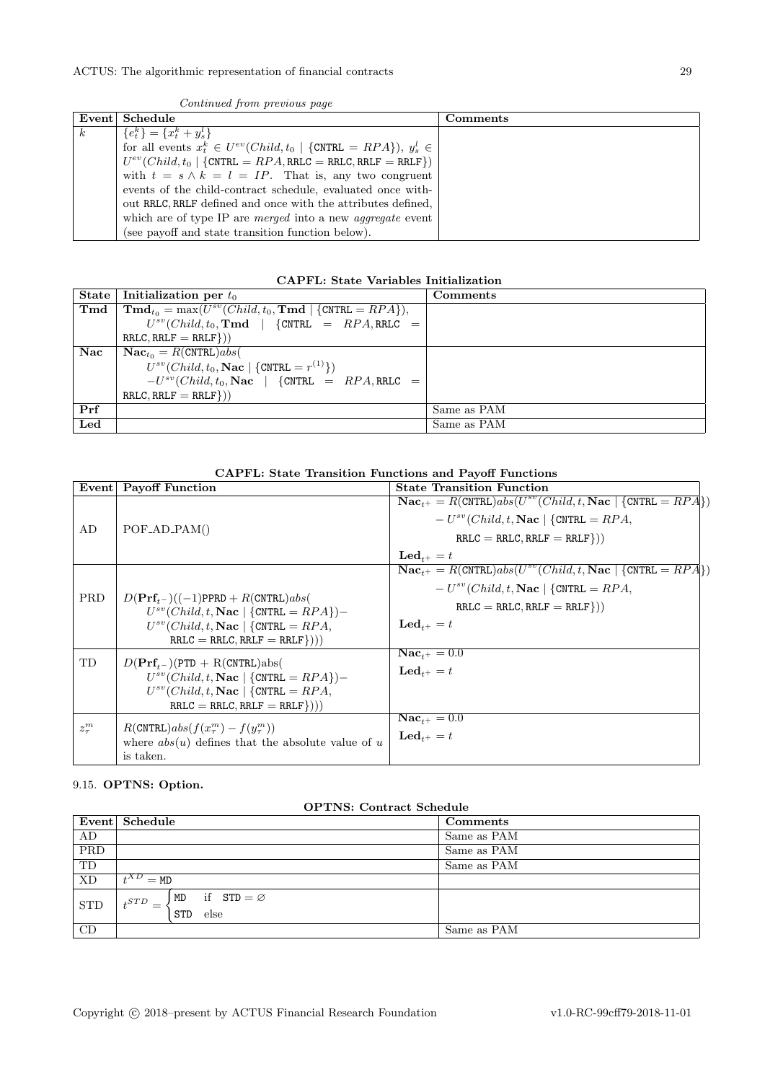|                  | Continued from previous page                                               |          |
|------------------|----------------------------------------------------------------------------|----------|
|                  | Event Schedule                                                             | Comments |
| $\boldsymbol{k}$ | ${e^k_t} = {x^k_t + y^l_s}$                                                |          |
|                  | for all events $x_t^k \in U^{ev}(Child, t_0   \{CNTRL = RPA\}), y_s^l \in$ |          |
|                  | $U^{ev}(Child, t_0 \mid \{CNTRL = RPA, RRLC = RRLC, RRLF = RRLF\})$        |          |
|                  | with $t = s \wedge k = l = IP$ . That is, any two congruent                |          |
|                  | events of the child-contract schedule, evaluated once with-                |          |
|                  | out RRLC, RRLF defined and once with the attributes defined.               |          |
|                  | which are of type IP are <i>merged</i> into a new <i>aggregate</i> event   |          |
|                  | (see payoff and state transition function below).                          |          |

Continued from previous page

| <b>CAPFL: State Variables Initialization</b> |  |  |  |
|----------------------------------------------|--|--|--|
|----------------------------------------------|--|--|--|

| State          | Initialization per $t_0$                                                                  | Comments    |
|----------------|-------------------------------------------------------------------------------------------|-------------|
| $\mathbf{Tmd}$ | $\mathbf{Tmd}_{t_0} = \max(U^{sv}(Child, t_0, \mathbf{Tmd} \mid \{\text{CNTRL} = RPA\}),$ |             |
|                | $U^{sv}(Child, t_0, \text{Tmd}$   {CNTRL = RPA, RRLC =                                    |             |
|                | $RRLC, RRLF = RRLF$ })                                                                    |             |
| Nac            | $\mathbf{Nac}_{t_0} = R(\mathtt{CNTRL})abs($                                              |             |
|                | $U^{sv}(Child, t_0, \textbf{Nac}   {CNTRL = r^{(1)}})$                                    |             |
|                | $-U^{sv}(Child, t_0, \textbf{Nac})$ {CNTRL = RPA, RRLC =                                  |             |
|                | $RRLC, RRLF = RRLF$ })                                                                    |             |
| Prf            |                                                                                           | Same as PAM |
| Led            |                                                                                           | Same as PAM |

# CAPFL: State Transition Functions and Payoff Functions

| Event      | <b>Payoff Function</b>                                                                                                                                                                                   | <b>State Transition Function</b>                                                                                                                                                                                            |
|------------|----------------------------------------------------------------------------------------------------------------------------------------------------------------------------------------------------------|-----------------------------------------------------------------------------------------------------------------------------------------------------------------------------------------------------------------------------|
| AD         | $POF$ <sub>-AD</sub> <sub>-PAM</sub> $()$                                                                                                                                                                | $\textbf{Nac}_{t+} = R(\text{CNTRL})abs(U^{sv}(Child, t, \textbf{Nac} \mid \text{CNTRL} = RPA))$<br>$-U^{sv}(Child, t, \textbf{Nac} \mid \{\text{CNTRL} = RPA,$<br>$RRLC = RRLC, RRLF = RRLF$ })<br>$\mathbf{Led}_{t+} = t$ |
| <b>PRD</b> | $D(\text{Prf}_{t-})((-1)\text{PPRD} + R(\text{CNTRL})abs($<br>$U^{sv}(Child, t, \textbf{Nac}   {CNTRL = RPA})$ -<br>$U^{sv}(Child, t, \textbf{Nac}  $ {CNTRL = $RPA$ ,<br>$RRLC = RRLC, RRLF = RRLF$ })) | $\textbf{Nac}_{t+} = R(\text{CNTRL})abs(U^{sv}(Child, t, \textbf{Nac} \mid \text{CNTRL} = RPA))$<br>$-U^{sv}(Child, t, \textbf{Nac} \mid \{\text{CNTRL} = RPA,$<br>$RRLC = RRLC, RRLF = RRLF$ })<br>$\mathbf{Led}_{t+} = t$ |
| TD         | $D(\text{Prf}_{t-})$ (PTD + R(CNTRL)abs(<br>$U^{sv}(Child, t, \textbf{Nac}  $ {CNTRL = $RPA$ })-<br>$U^{sv}(Child, t, \textbf{Nac}  $ {CNTRL = $RPA$ ,<br>$RRLC = RRLC, RRLF = RRLF))$                   | $\mathbf{Nac}_{t+} = 0.0$<br>$\mathbf{Led}_{t+} = t$                                                                                                                                                                        |
| $z_\tau^m$ | $R(\text{CNTRL})abs(f(x_\tau^m) - f(y_\tau^m))$<br>where $abs(u)$ defines that the absolute value of u<br>is taken.                                                                                      | $\mathbf{Nac}_{t+} = 0.0$<br>$\mathbf{Led}_{t+} = t$                                                                                                                                                                        |

# <span id="page-28-0"></span>9.15. OPTNS: Option.

|  | <b>OPTNS: Contract Schedule</b> |
|--|---------------------------------|
|  |                                 |

|                         | Event Schedule                                                                         | Comments    |
|-------------------------|----------------------------------------------------------------------------------------|-------------|
| AD                      |                                                                                        | Same as PAM |
| $\overline{\text{PRD}}$ |                                                                                        | Same as PAM |
| TD                      |                                                                                        | Same as PAM |
| <b>XD</b>               | $t^{XD} = M D$                                                                         |             |
| <b>STD</b>              | if $STD = \emptyset$<br>MD<br>$_{\textit{\textbf{I}}}\textit{STD}$<br>L<br>else<br>STD |             |
| CD                      |                                                                                        | Same as PAM |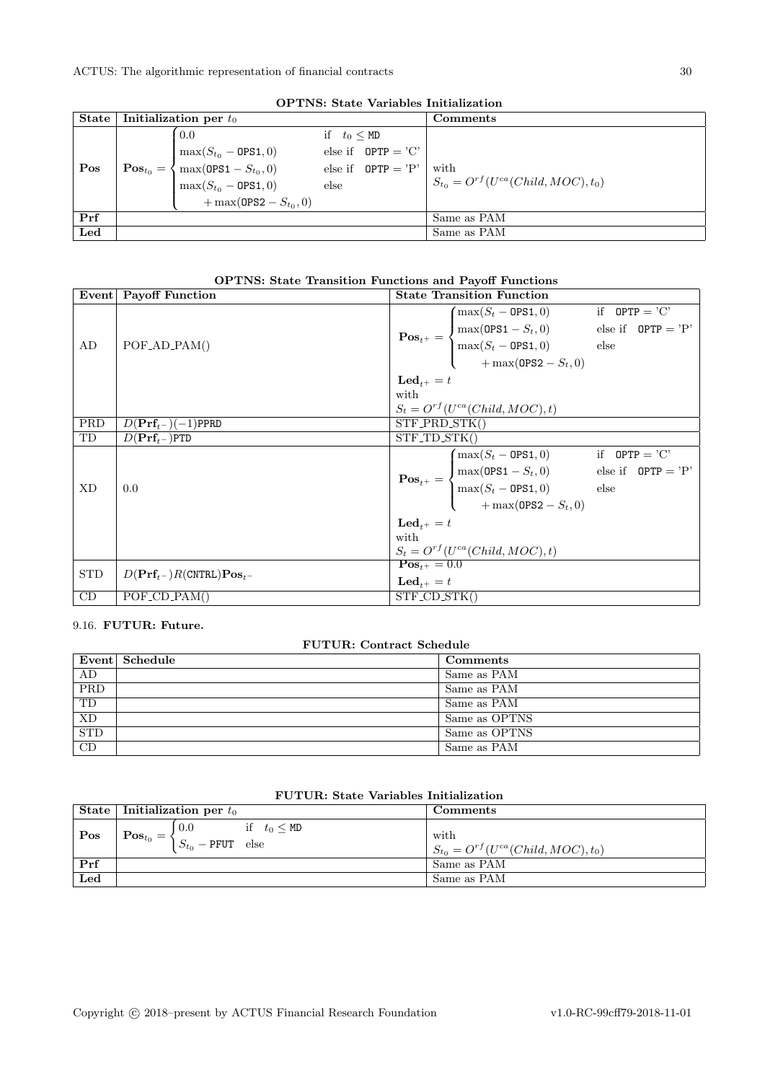| OPTINS: State Variables Initialization |                        |                                                                                                                                                                            |                           |                                                    |                                                     |
|----------------------------------------|------------------------|----------------------------------------------------------------------------------------------------------------------------------------------------------------------------|---------------------------|----------------------------------------------------|-----------------------------------------------------|
| State                                  |                        | Initialization per $t_0$                                                                                                                                                   |                           |                                                    | Comments                                            |
| Pos                                    | $\textbf{Pos}_{t_0} =$ | 0.0<br>$\begin{cases} \max(S_{t_0} - \mathtt{OPS1}, 0) \\ \max(\mathtt{OPS1} - S_{t_0}, 0) \\ \max(S_{t_0} - \mathtt{OPS1}, 0) \end{cases}$<br>+ max(0PS2 - $S_{t_0}$ , 0) | if $t_0 \leq M D$<br>else | else if $OPTP = 'C'$<br>else if $\theta$ PTP = 'P' | with<br>$S_{t_0} = O^{rf}(U^{ca}(Child, MOC), t_0)$ |
| Prf                                    |                        |                                                                                                                                                                            |                           |                                                    | Same as PAM                                         |
| Led                                    |                        |                                                                                                                                                                            |                           |                                                    | Same as PAM                                         |

OPTNE: Ctate Veriables Initialization

# OPTNS: State Transition Functions and Payoff Functions

|            | Event Payoff Function                                  | <b>State Transition Function</b> |                                                                                                                                                                                                                                                                                      |  |  |
|------------|--------------------------------------------------------|----------------------------------|--------------------------------------------------------------------------------------------------------------------------------------------------------------------------------------------------------------------------------------------------------------------------------------|--|--|
|            |                                                        |                                  |                                                                                                                                                                                                                                                                                      |  |  |
|            |                                                        |                                  |                                                                                                                                                                                                                                                                                      |  |  |
| AD         | $POF_{AD_{PAM()}}$                                     |                                  |                                                                                                                                                                                                                                                                                      |  |  |
|            |                                                        |                                  | $\textbf{Pos}_{t^+} = \begin{cases} \max(S_t - \texttt{OPS1}, 0) & \text{if } \texttt{OPTP} = \text{'C'} \\ \max(\texttt{OPS1} - S_t, 0) & \text{else if } \texttt{OPTP} = \text{'P'} \\ \max(S_t - \texttt{OPS1}, 0) & \text{else} \\ + \max(\texttt{OPS2} - S_t, 0) & \end{cases}$ |  |  |
|            |                                                        | $\mathbf{Led}_{t+} = t$          |                                                                                                                                                                                                                                                                                      |  |  |
|            |                                                        | with                             |                                                                                                                                                                                                                                                                                      |  |  |
|            |                                                        |                                  | $S_t = O^{rf}(U^{ca}(Child, MOC), t)$                                                                                                                                                                                                                                                |  |  |
| PRD        | $D(\mathbf{Prf}_{t-})(-1)$ PPRD                        | STF_PRD_STK()                    |                                                                                                                                                                                                                                                                                      |  |  |
| TD         | $D(\mathbf{Prf}_{t-})$ PTD                             | STF_TD_STK()                     |                                                                                                                                                                                                                                                                                      |  |  |
|            |                                                        |                                  |                                                                                                                                                                                                                                                                                      |  |  |
|            |                                                        |                                  |                                                                                                                                                                                                                                                                                      |  |  |
| <b>XD</b>  | 0.0                                                    |                                  |                                                                                                                                                                                                                                                                                      |  |  |
|            |                                                        |                                  | $\textbf{Pos}_{t^+} = \begin{cases} \max(S_t - \texttt{OPS1}, 0) & \text{if } \texttt{OPTP} = \text{'C'} \\ \max(\texttt{OPS1} - S_t, 0) & \text{else if } \texttt{OPTP} = \text{'P'} \\ \max(S_t - \texttt{OPS1}, 0) & \text{else} \\ + \max(\texttt{OPS2} - S_t, 0) & \end{cases}$ |  |  |
|            |                                                        | $\mathbf{Led}_{t+} = t$          |                                                                                                                                                                                                                                                                                      |  |  |
|            |                                                        | with                             |                                                                                                                                                                                                                                                                                      |  |  |
|            |                                                        |                                  | $S_t = O^{rf}(U^{ca}(Child, MOC), t)$                                                                                                                                                                                                                                                |  |  |
| <b>STD</b> |                                                        | $\mathbf{Pos}_{t^+} = 0.0$       |                                                                                                                                                                                                                                                                                      |  |  |
|            | $D(\mathbf{Prf}_{t-})R(\text{CNTRL})\mathbf{Pos}_{t-}$ | $\mathbf{Led}_{t+} = t$          |                                                                                                                                                                                                                                                                                      |  |  |
| CD         | $POF\_CD\_PAM()$                                       | STF_CD_STK()                     |                                                                                                                                                                                                                                                                                      |  |  |

# <span id="page-29-0"></span>9.16. FUTUR: Future.

| <b>FUTUR: Contract Schedule</b> |                |               |
|---------------------------------|----------------|---------------|
|                                 | Event Schedule | Comments      |
| AD                              |                | Same as PAM   |
| PRD                             |                | Same as PAM   |
| TD                              |                | Same as PAM   |
| <b>XD</b>                       |                | Same as OPTNS |
| <b>STD</b>                      |                | Same as OPTNS |
| CD                              |                | Same as PAM   |

|     | State   Initialization per $t_0$                                                                                  | Comments                                            |
|-----|-------------------------------------------------------------------------------------------------------------------|-----------------------------------------------------|
| Pos | if $t_0 \leq M D$<br>. 0.0<br>$\text{Pos}_{t_0} = \left\{ S_{t_0} - \texttt{PFTT} \right. \text{ else } \right\}$ | with<br>$S_{t_0} = O^{rf}(U^{ca}(Child, MOC), t_0)$ |
| Prf |                                                                                                                   | Same as PAM                                         |
| Led |                                                                                                                   | Same as PAM                                         |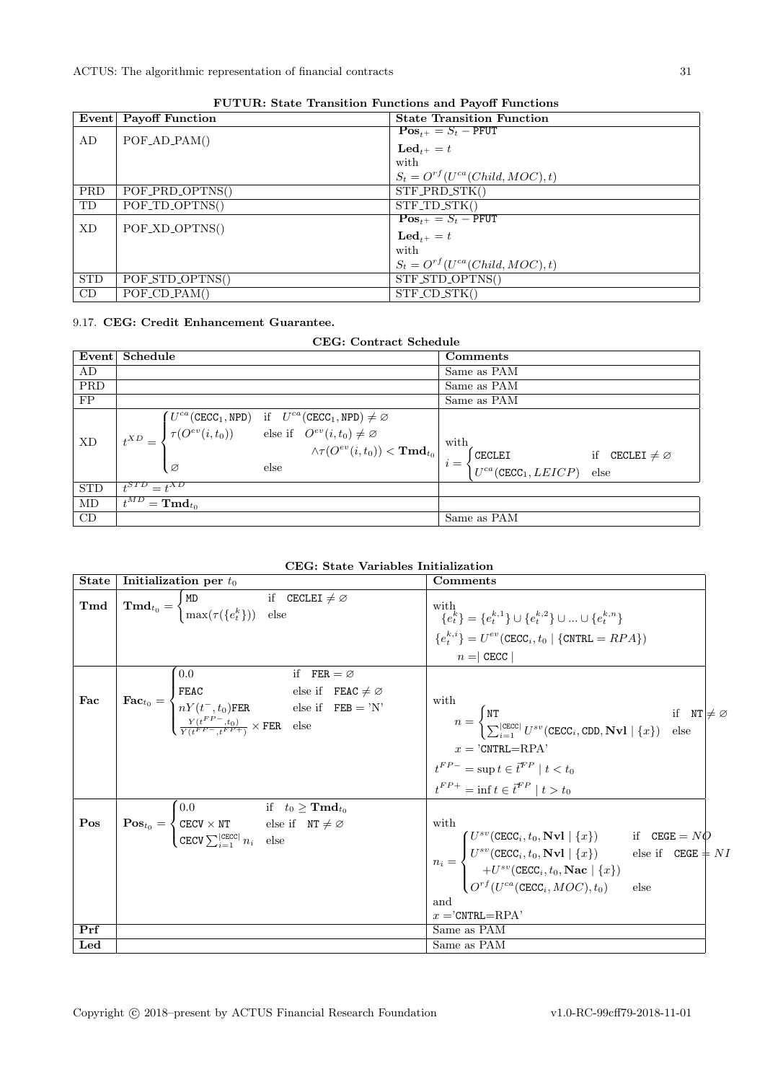|            | 1 o'll chuis beauchd ann an chomhaidh ann an chomhaidh an chomhaidh an chomhaidh an chomhaidh an chomhaidh an<br>Event Payoff Function | <b>State Transition Function</b>       |
|------------|----------------------------------------------------------------------------------------------------------------------------------------|----------------------------------------|
|            |                                                                                                                                        | $\textbf{Pos}_{t+} = S_t - \text{PFT}$ |
| AD         | $POF$ _AD_PAM()                                                                                                                        | $\mathbf{Led}_{t+} = t$                |
|            |                                                                                                                                        | with                                   |
|            |                                                                                                                                        | $S_t = O^{rf}(U^{ca}(Child, MOC), t)$  |
| <b>PRD</b> | POF_PRD_OPTNS()                                                                                                                        | $STF$ <sub>PRD</sub> $STK()$           |
| TD         | POF_TD_OPTNS()                                                                                                                         | $STF\_TD\_STK()$                       |
| XD         | POF_XD_OPTNS()                                                                                                                         | $\textbf{Pos}_{t+} = S_t - \text{PFT}$ |
|            |                                                                                                                                        | $\mathbf{Led}_{t+} = t$                |
|            |                                                                                                                                        | with                                   |
|            |                                                                                                                                        | $S_t = O^{rf}(U^{ca}(Child, MOC), t)$  |
| <b>STD</b> | POF_STD_OPTNS()                                                                                                                        | STF_STD_OPTNS()                        |
| CD         | $POF\_CD\_PAM()$                                                                                                                       | $STF$ <sub>-CD</sub> $STK()$           |

FUTUR: State Transition Functions and Payoff Functions

# <span id="page-30-0"></span>9.17. CEG: Credit Enhancement Guarantee.

| CEG: Contract Schedule |                                                                                                                                                                                                                                                                                                                                                                                                                                     |                                                                        |  |  |
|------------------------|-------------------------------------------------------------------------------------------------------------------------------------------------------------------------------------------------------------------------------------------------------------------------------------------------------------------------------------------------------------------------------------------------------------------------------------|------------------------------------------------------------------------|--|--|
| Event                  | Schedule                                                                                                                                                                                                                                                                                                                                                                                                                            | Comments                                                               |  |  |
| AD                     |                                                                                                                                                                                                                                                                                                                                                                                                                                     | Same as PAM                                                            |  |  |
| <b>PRD</b>             |                                                                                                                                                                                                                                                                                                                                                                                                                                     | Same as PAM                                                            |  |  |
| FP                     |                                                                                                                                                                                                                                                                                                                                                                                                                                     | Same as PAM                                                            |  |  |
| XD                     | $\boxed{t^{XD} = \begin{cases} U^{ca}(\texttt{CECC}_1, \texttt{NPD}) & \text{if} \quad U^{ca}(\texttt{CECC}_1, \texttt{NPD}) \neq \varnothing \\ \tau(O^{ev}(i, t_0)) & \text{else if} \quad O^{ev}(i, t_0) \neq \varnothing \\ \wedge \tau(O^{ev}(i, t_0)) < \texttt{Tmd}_{t_0} \\ \end{cases} \text{with} \atop i = \begin{cases} \texttt{CECLEI} \\ \texttt{CECLEI} \\ \tau^{rea}(\texttt{CECC}_1, \texttt{LEICP}) \end{cases}}$ | if CECLEI $\neq \emptyset$<br>$U^{ca}(\texttt{CECC}_1, LEICP)$<br>else |  |  |
| <b>STD</b>             | $t^{STD} = t^{XD}$                                                                                                                                                                                                                                                                                                                                                                                                                  |                                                                        |  |  |
| MD                     | $\overline{t^{MD}} = \textbf{Tm} \mathbf{d}_{t_0}$                                                                                                                                                                                                                                                                                                                                                                                  |                                                                        |  |  |
| CD                     |                                                                                                                                                                                                                                                                                                                                                                                                                                     | Same as PAM                                                            |  |  |

| <b>State</b>   | Initialization per $t_0$                                                                                                                                                                                                                                                                                                       | Comments                                                                                                                                                                                                                                                                                                                                                                                                          |
|----------------|--------------------------------------------------------------------------------------------------------------------------------------------------------------------------------------------------------------------------------------------------------------------------------------------------------------------------------|-------------------------------------------------------------------------------------------------------------------------------------------------------------------------------------------------------------------------------------------------------------------------------------------------------------------------------------------------------------------------------------------------------------------|
| $\mathbf{Tmd}$ | $\mathbf{Tmd}_{t_0} = \begin{cases} \mathtt{MD} & \text{if} \quad \mathtt{CE}\overline{\mathtt{CLEI}\neq\varnothing} \ \mathtt{max}(\tau(\{e^k_t\})) & \text{else} \end{cases}$                                                                                                                                                | with<br>with ${e_t^{k}} = {e_t^{k,1}} \cup {e_t^{k,2}} \cup  \cup {e_t^{k,n}}$<br>${e_t^{k,i}} = U^{ev}(\text{CECC}_i, t_0   {\text{CNTRL}} = RPA)$                                                                                                                                                                                                                                                               |
|                |                                                                                                                                                                                                                                                                                                                                |                                                                                                                                                                                                                                                                                                                                                                                                                   |
|                |                                                                                                                                                                                                                                                                                                                                | $n = c$ CECC                                                                                                                                                                                                                                                                                                                                                                                                      |
| Fac            | 0.0<br>if $FER = \varnothing$<br>$\begin{cases}\n\textbf{Fac}_{t_0} = \begin{cases}\n\texttt{FEAC} & \text{else if } \texttt{FEAC} \neq \varnothing \\ nY(t^-, t_0)\texttt{FER} & \text{else if } \texttt{FEB} = 'N' \\ \frac{Y(t^{FP}, t_0)}{Y(t^{FP} - t^{FP})} \times \texttt{FER} & \text{else}\n\end{cases}\n\end{cases}$ | with<br>$n = \begin{cases} \texttt{NT} & \text{if} \quad \texttt{NT} \neq \varnothing \ \sum_{i=1}^{ \texttt{CECC} } U^{sv}(\texttt{CECC}_i, \texttt{CDD}, \textbf{Nvl} \mid \{x\}) & \text{else} \end{cases}$<br>$x = 'CNTRL = RPA'$<br>$t^{FP-}$ = sup $t \in \vec{t}^{FP} \mid t < t_0$<br>$t^{FP+} = \inf t \in \vec{t}^{FP} \mid t > t_0$                                                                    |
| Pos            | $\textbf{Pos}_{t_0} = \begin{cases} 0.0 & \text{if} \quad t_0 \geq \textbf{Tmd}_{t_0} \\ \texttt{CECV} \times \texttt{NT} & \text{else if} \quad \texttt{NT} \neq \varnothing \\ \texttt{CECV} \sum_{i=1}^{ \texttt{CECC} } n_i & \text{else} \end{cases}$                                                                     | with                                                                                                                                                                                                                                                                                                                                                                                                              |
|                |                                                                                                                                                                                                                                                                                                                                | $\begin{aligned} \begin{cases} U^{sv}(\texttt{CECC}_i, t_0, \mathbf{Nvl} \mid \{x\}) & \text{if} \quad \texttt{CEGE} = N\dot{Q} \ U^{sv}(\texttt{CECC}_i, t_0, \mathbf{Nvl} \mid \{x\}) & \text{else if} \quad \texttt{CEGE} = N I \ + U^{sv}(\texttt{CECC}_i, t_0, \mathbf{Nac} \mid \{x\}) \ O^{rf}(U^{ca}(\texttt{CECC}_i, MOC), t_0) & \text{else} \end{cases} \end{aligned}$<br>and<br>$x =$ 'CNTRL $=$ RPA' |
| Prf            |                                                                                                                                                                                                                                                                                                                                | Same as PAM                                                                                                                                                                                                                                                                                                                                                                                                       |
| $_{\rm Led}$   |                                                                                                                                                                                                                                                                                                                                | Same as PAM                                                                                                                                                                                                                                                                                                                                                                                                       |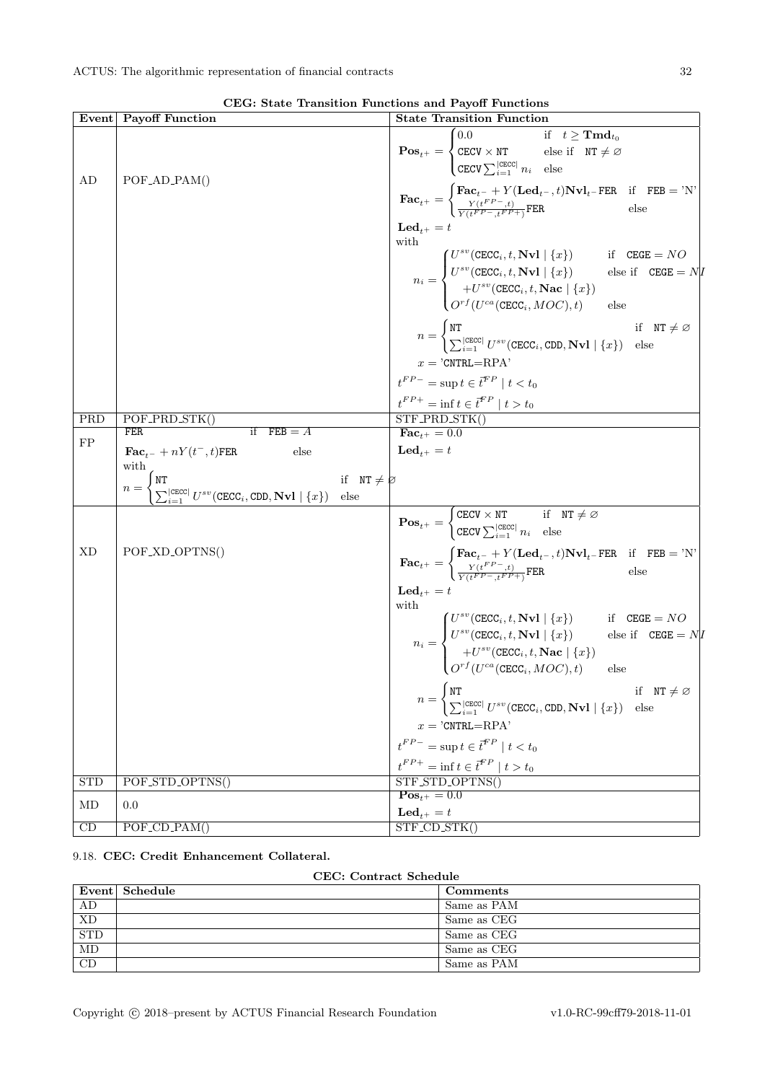|                 | Event Payoff Function                                                                                                                                                                                                                        | $\frac{1}{2}$ and $\frac{1}{2}$ and $\frac{1}{2}$ and $\frac{1}{2}$<br><b>State Transition Function</b>                                                                                                                                                                                                                                                                                                                                                                                                                                                                                                                                                                                                                                          |
|-----------------|----------------------------------------------------------------------------------------------------------------------------------------------------------------------------------------------------------------------------------------------|--------------------------------------------------------------------------------------------------------------------------------------------------------------------------------------------------------------------------------------------------------------------------------------------------------------------------------------------------------------------------------------------------------------------------------------------------------------------------------------------------------------------------------------------------------------------------------------------------------------------------------------------------------------------------------------------------------------------------------------------------|
|                 |                                                                                                                                                                                                                                              | $\textbf{Pos}_{t^+} = \begin{cases} 0.0 & \text{if} \quad t \geq \textbf{Tmd}_{t_0} \\ \texttt{CECV} \times \texttt{NT} & \text{else if} \quad \texttt{NT} \neq \varnothing \\ \texttt{CECV} \sum_{i=1}^{ \texttt{CECC} } n_i & \text{else} \end{cases}$                                                                                                                                                                                                                                                                                                                                                                                                                                                                                         |
| AD              | POF_AD_PAM()                                                                                                                                                                                                                                 | $\textbf{Fac}_{t^+} = \begin{cases} \textbf{Fac}_{t^-} + Y(\textbf{Led}_{t^-}, t) \textbf{Nvl}_{t^-} \textbf{FER} & \text{if} \quad \textbf{FEB} = 'N' \\ \frac{Y(t^{FP-}, t)}{Y(t^{FP-}, t^{FP+})} \textbf{FER} & \text{else} \end{cases}$                                                                                                                                                                                                                                                                                                                                                                                                                                                                                                      |
|                 |                                                                                                                                                                                                                                              | $\mathbf{Led}_{t+} = t$<br>with<br>$n_i = \begin{cases} U^{sv}(\texttt{CECC}_i, t, \textbf{Nvl} \mid \{x\}) & \text{if} \quad \texttt{CEGE} = NO \ U^{sv}(\texttt{CECC}_i, t, \textbf{Nvl} \mid \{x\}) & \text{else if} \quad \texttt{CEGE} = N/D \ + U^{sv}(\texttt{CECC}_i, t, \textbf{Nac} \mid \{x\}) \ O^{rf} (U^{ca}(\texttt{CECC}_i, MOC), t) & \text{else} \end{cases}$<br>$n = \begin{cases} \mathtt{NT} & \text{if} \quad \mathtt{NT} \neq \varnothing \\ \sum_{i=1}^{ \mathtt{CECC} } U^{sv}(\mathtt{CECC}_i, \mathtt{CDD}, \mathbf{Nvl} \mid \{x\}) & \text{else} \end{cases}$<br>$x = 'CNTRL = RPA'$<br>$t^{FP-}$ = sup $t \in \overline{t}^{FP} \mid t < t_0$<br>$\frac{t^{FP+}}{\mathrm{STF\_PRD\_STK()}} \frac{t^{FP}}{t > t_0}$ |
| PRD             | POF_PRD_STK()<br>if $FEB = A$<br>FER                                                                                                                                                                                                         | $\textbf{Fac}_{t+} = 0.0$                                                                                                                                                                                                                                                                                                                                                                                                                                                                                                                                                                                                                                                                                                                        |
| ${\rm FP}$      | $\mathbf{Fac}_{t-} + nY(t^-, t)$ FER<br>else<br>with<br>$n = \begin{cases} \texttt{NT} \ \sum_{i=1}^{ \texttt{CECC} } U^{sv}(\texttt{CECC}_i, \texttt{CDD}, \mathbf{Nvl} \mid \{x\}) \end{cases}$<br>if $NT \neq \emptyset$<br>$_{\rm else}$ | $\mathbf{Led}_{t^+} = t$                                                                                                                                                                                                                                                                                                                                                                                                                                                                                                                                                                                                                                                                                                                         |
| XD              |                                                                                                                                                                                                                                              | $\textbf{Pos}_{t^+} = \begin{cases} \texttt{CECV} \times \overline{\texttt{NT}} & \text{if} \quad \texttt{NT} \neq \varnothing \\ \texttt{CECV} \sum_{i=1}^{ \texttt{CECC} } n_i & \text{else} \end{cases}$                                                                                                                                                                                                                                                                                                                                                                                                                                                                                                                                      |
|                 | POF_XD_OPTNS()                                                                                                                                                                                                                               | $\textbf{Fac}_{t+} = \begin{cases} \textbf{Fac}_{t-} + Y(\textbf{Led}_{t-}, t) \textbf{Nvl}_{t-} \textbf{FER} & \text{if} \quad \textbf{FEB} = 'N' \\ \frac{Y(t^{FP} - t)}{\sqrt{(t^{FP} - t^{FP} + 1)}} \textbf{FER} & \text{else} \end{cases}$<br>$\mathbf{Led}_{t^+} = t$<br>with                                                                                                                                                                                                                                                                                                                                                                                                                                                             |
|                 |                                                                                                                                                                                                                                              | ith $n_i = \begin{cases} U^{sv}(\texttt{CECC}_i, t, \textbf{Nvl} \mid \{x\}) & \text{if} \quad \texttt{CEGE} = NO \ U^{sv}(\texttt{CECC}_i, t, \textbf{Nvl} \mid \{x\}) & \text{else if} \quad \texttt{CEGE} = N/D \ + U^{sv}(\texttt{CECC}_i, t, \textbf{Nac} \mid \{x\}) \ O^{rf}(U^{ca}(\texttt{CECC}_i, MOC), t) & \text{else} \end{cases}$                                                                                                                                                                                                                                                                                                                                                                                                  |
|                 |                                                                                                                                                                                                                                              | if $NT \neq \emptyset$<br>$n = \begin{cases} \texttt{NT} \\ \sum_{i=1}^{ \texttt{CECC} } U^{sv}(\texttt{CECC}_i, \texttt{CDD}, \textbf{Nvl} \mid \{x\}) \end{cases}$<br>else<br>$x = 'CNTRL = RPA'$                                                                                                                                                                                                                                                                                                                                                                                                                                                                                                                                              |
|                 |                                                                                                                                                                                                                                              | $t^{FP-} = \sup t \in \overline{t}^{FP} \mid t < t_0$                                                                                                                                                                                                                                                                                                                                                                                                                                                                                                                                                                                                                                                                                            |
|                 |                                                                                                                                                                                                                                              | $t^{FP+} = \inf t \in \overline{t}^{FP} \mid t > t_0$                                                                                                                                                                                                                                                                                                                                                                                                                                                                                                                                                                                                                                                                                            |
| STD             | POF_STD_OPTNS()                                                                                                                                                                                                                              | STF_STD_OPTNS()<br>$\mathbf{Pos}_{t+} = 0.0$                                                                                                                                                                                                                                                                                                                                                                                                                                                                                                                                                                                                                                                                                                     |
| MD              | 0.0                                                                                                                                                                                                                                          | $\mathbf{Led}_{t^+}=t$                                                                                                                                                                                                                                                                                                                                                                                                                                                                                                                                                                                                                                                                                                                           |
| $\overline{CD}$ | $POF\_CD\_PAM()$                                                                                                                                                                                                                             | $\overline{\text{STF\_CD\_STK}}$                                                                                                                                                                                                                                                                                                                                                                                                                                                                                                                                                                                                                                                                                                                 |

CEG: State Transition Functions and Payoff Functions

# <span id="page-31-0"></span>9.18. CEC: Credit Enhancement Collateral.

CEC: Contract Schedule

|            | Event Schedule | <b>Comments</b> |
|------------|----------------|-----------------|
| AD         |                | Same as PAM     |
| <b>XD</b>  |                | Same as CEG     |
| <b>STD</b> |                | Same as CEG     |
| MD         |                | Same as CEG     |
| CD         |                | Same as PAM     |